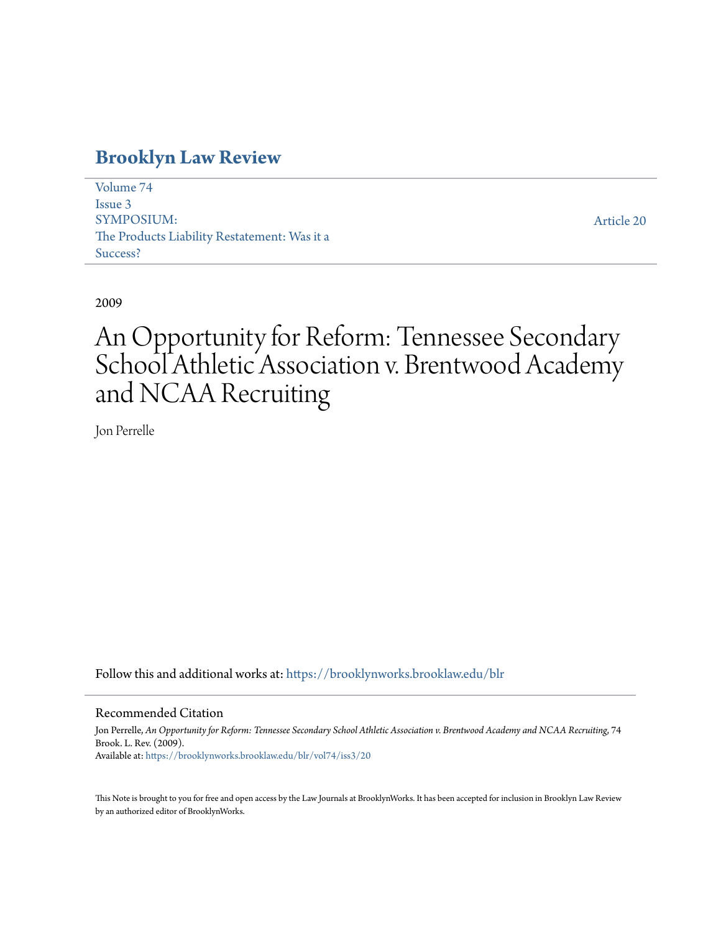# **[Brooklyn Law Review](https://brooklynworks.brooklaw.edu/blr?utm_source=brooklynworks.brooklaw.edu%2Fblr%2Fvol74%2Fiss3%2F20&utm_medium=PDF&utm_campaign=PDFCoverPages)**

[Volume 74](https://brooklynworks.brooklaw.edu/blr/vol74?utm_source=brooklynworks.brooklaw.edu%2Fblr%2Fvol74%2Fiss3%2F20&utm_medium=PDF&utm_campaign=PDFCoverPages) [Issue 3](https://brooklynworks.brooklaw.edu/blr/vol74/iss3?utm_source=brooklynworks.brooklaw.edu%2Fblr%2Fvol74%2Fiss3%2F20&utm_medium=PDF&utm_campaign=PDFCoverPages) SYMPOSIUM: The Products Liability Restatement: Was it a Success?

[Article 20](https://brooklynworks.brooklaw.edu/blr/vol74/iss3/20?utm_source=brooklynworks.brooklaw.edu%2Fblr%2Fvol74%2Fiss3%2F20&utm_medium=PDF&utm_campaign=PDFCoverPages)

2009

# An Opportunity for Reform: Tennessee Secondary School Athletic Association v. Brentwood Academy and NCAA Recruiting

Jon Perrelle

Follow this and additional works at: [https://brooklynworks.brooklaw.edu/blr](https://brooklynworks.brooklaw.edu/blr?utm_source=brooklynworks.brooklaw.edu%2Fblr%2Fvol74%2Fiss3%2F20&utm_medium=PDF&utm_campaign=PDFCoverPages)

# Recommended Citation

Jon Perrelle, *An Opportunity for Reform: Tennessee Secondary School Athletic Association v. Brentwood Academy and NCAA Recruiting*, 74 Brook. L. Rev. (2009). Available at: [https://brooklynworks.brooklaw.edu/blr/vol74/iss3/20](https://brooklynworks.brooklaw.edu/blr/vol74/iss3/20?utm_source=brooklynworks.brooklaw.edu%2Fblr%2Fvol74%2Fiss3%2F20&utm_medium=PDF&utm_campaign=PDFCoverPages)

This Note is brought to you for free and open access by the Law Journals at BrooklynWorks. It has been accepted for inclusion in Brooklyn Law Review by an authorized editor of BrooklynWorks.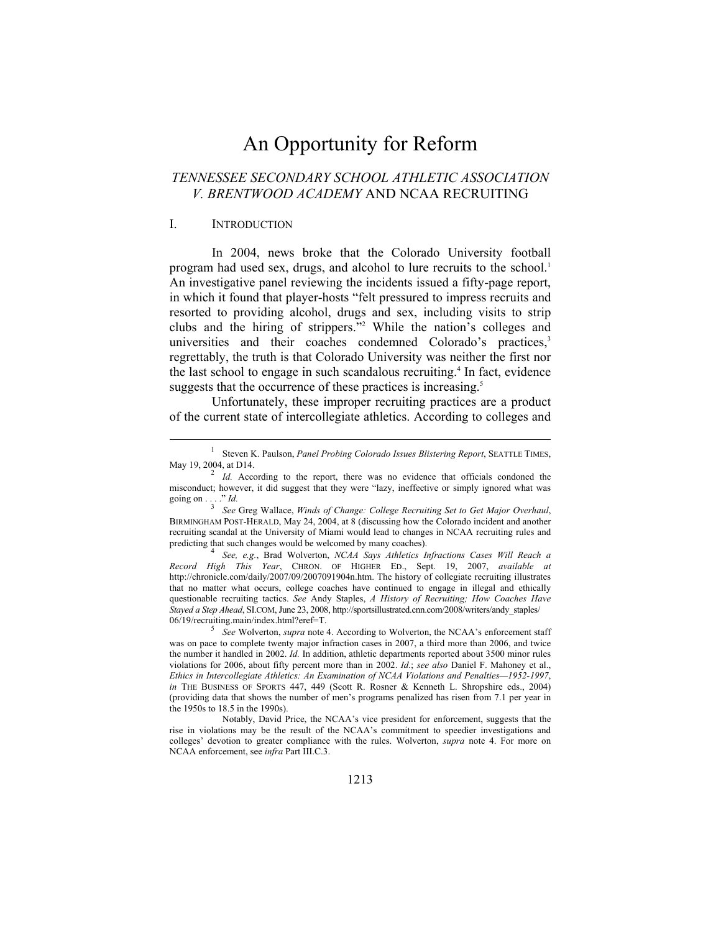# An Opportunity for Reform

# *TENNESSEE SECONDARY SCHOOL ATHLETIC ASSOCIATION V. BRENTWOOD ACADEMY* AND NCAA RECRUITING

#### I. INTRODUCTION

 $\overline{a}$ 

In 2004, news broke that the Colorado University football program had used sex, drugs, and alcohol to lure recruits to the school.<sup>1</sup> An investigative panel reviewing the incidents issued a fifty-page report, in which it found that player-hosts "felt pressured to impress recruits and resorted to providing alcohol, drugs and sex, including visits to strip clubs and the hiring of strippers."2 While the nation's colleges and universities and their coaches condemned Colorado's practices,<sup>3</sup> regrettably, the truth is that Colorado University was neither the first nor the last school to engage in such scandalous recruiting.<sup>4</sup> In fact, evidence suggests that the occurrence of these practices is increasing.<sup>5</sup>

Unfortunately, these improper recruiting practices are a product of the current state of intercollegiate athletics. According to colleges and

<sup>1</sup> Steven K. Paulson, *Panel Probing Colorado Issues Blistering Report*, SEATTLE TIMES, May 19, 2004, at D14. 2  *Id.* According to the report, there was no evidence that officials condoned the

misconduct; however, it did suggest that they were "lazy, ineffective or simply ignored what was going on . . . ." *Id.* <sup>3</sup>  *See* Greg Wallace, *Winds of Change: College Recruiting Set to Get Major Overhaul*,

BIRMINGHAM POST-HERALD, May 24, 2004, at 8 (discussing how the Colorado incident and another recruiting scandal at the University of Miami would lead to changes in NCAA recruiting rules and predicting that such changes would be welcomed by many coaches). 4

*See, e.g.*, Brad Wolverton, *NCAA Says Athletics Infractions Cases Will Reach a Record High This Year*, CHRON. OF HIGHER ED., Sept. 19, 2007, *available at* http://chronicle.com/daily/2007/09/2007091904n.htm. The history of collegiate recruiting illustrates that no matter what occurs, college coaches have continued to engage in illegal and ethically questionable recruiting tactics. *See* Andy Staples, *A History of Recruiting; How Coaches Have Stayed a Step Ahead*, SI.COM, June 23, 2008, http://sportsillustrated.cnn.com/2008/writers/andy\_staples/ 06/19/recruiting.main/index.html?eref=T.

<sup>&</sup>lt;sup>5</sup> See Wolverton, *supra* note 4. According to Wolverton, the NCAA's enforcement staff was on pace to complete twenty major infraction cases in 2007, a third more than 2006, and twice the number it handled in 2002. *Id.* In addition, athletic departments reported about 3500 minor rules violations for 2006, about fifty percent more than in 2002. *Id.*; *see also* Daniel F. Mahoney et al., *Ethics in Intercollegiate Athletics: An Examination of NCAA Violations and Penalties—1952-1997*, *in* THE BUSINESS OF SPORTS 447, 449 (Scott R. Rosner & Kenneth L. Shropshire eds., 2004) (providing data that shows the number of men's programs penalized has risen from 7.1 per year in the 1950s to 18.5 in the 1990s).

Notably, David Price, the NCAA's vice president for enforcement, suggests that the rise in violations may be the result of the NCAA's commitment to speedier investigations and colleges' devotion to greater compliance with the rules. Wolverton, *supra* note 4. For more on NCAA enforcement, see *infra* Part III.C.3.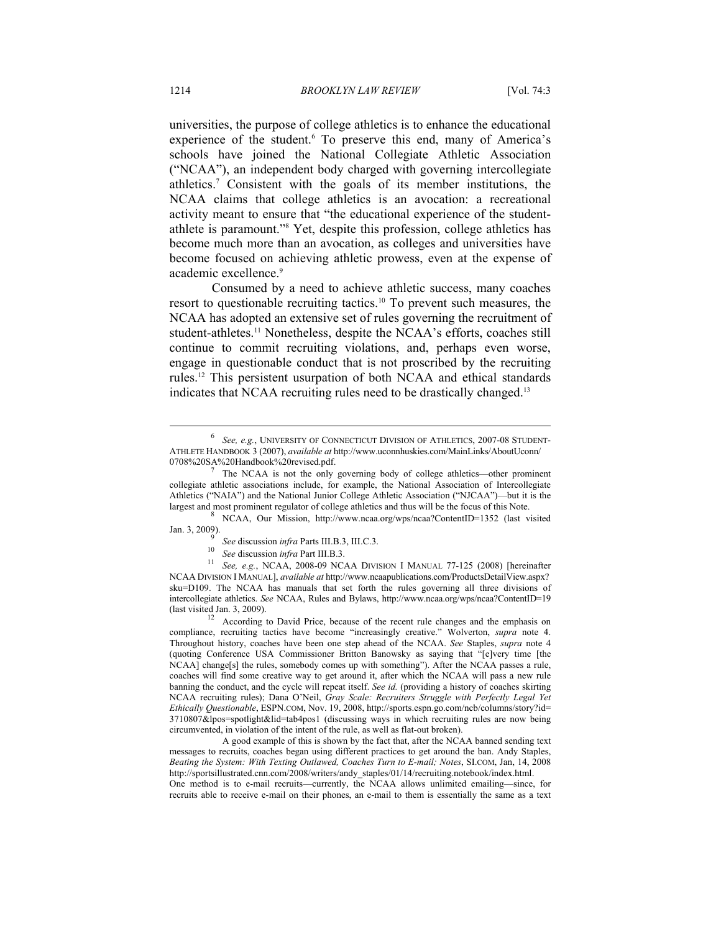universities, the purpose of college athletics is to enhance the educational experience of the student.<sup>6</sup> To preserve this end, many of America's schools have joined the National Collegiate Athletic Association ("NCAA"), an independent body charged with governing intercollegiate athletics.7 Consistent with the goals of its member institutions, the NCAA claims that college athletics is an avocation: a recreational activity meant to ensure that "the educational experience of the studentathlete is paramount."8 Yet, despite this profession, college athletics has become much more than an avocation, as colleges and universities have become focused on achieving athletic prowess, even at the expense of academic excellence.<sup>9</sup>

Consumed by a need to achieve athletic success, many coaches resort to questionable recruiting tactics.10 To prevent such measures, the NCAA has adopted an extensive set of rules governing the recruitment of student-athletes.<sup>11</sup> Nonetheless, despite the NCAA's efforts, coaches still continue to commit recruiting violations, and, perhaps even worse, engage in questionable conduct that is not proscribed by the recruiting rules.12 This persistent usurpation of both NCAA and ethical standards indicates that NCAA recruiting rules need to be drastically changed.<sup>13</sup>

 NCAA, Our Mission, http://www.ncaa.org/wps/ncaa?ContentID=1352 (last visited Jan. 3, 2009).<br> $\frac{9}{9}$  See discussion *infra* Parts III.B.3, III.C.3.

10 See discussion *infra* Part III.B.3. *See discussion <i>infra* Part III.B.3. <sup>11</sup> See, e.g., NCAA, 2008-09 NCAA DIVISION I MANUAL 77-125 (2008) [hereinafter NCAA DIVISION I MANUAL], *available at* http://www.ncaapublications.com/ProductsDetailView.aspx? sku=D109. The NCAA has manuals that set forth the rules governing all three divisions of intercollegiate athletics. *See* NCAA, Rules and Bylaws, http://www.ncaa.org/wps/ncaa?ContentID=19 (last visited Jan. 3, 2009). 12 According to David Price, because of the recent rule changes and the emphasis on

compliance, recruiting tactics have become "increasingly creative." Wolverton, *supra* note 4. Throughout history, coaches have been one step ahead of the NCAA. *See* Staples, *supra* note 4 (quoting Conference USA Commissioner Britton Banowsky as saying that "[e]very time [the NCAA] change[s] the rules, somebody comes up with something"). After the NCAA passes a rule, coaches will find some creative way to get around it, after which the NCAA will pass a new rule banning the conduct, and the cycle will repeat itself. *See id.* (providing a history of coaches skirting NCAA recruiting rules); Dana O'Neil, *Gray Scale: Recruiters Struggle with Perfectly Legal Yet Ethically Questionable*, ESPN.COM, Nov. 19, 2008, http://sports.espn.go.com/ncb/columns/story?id= 3710807&lpos=spotlight&lid=tab4pos1 (discussing ways in which recruiting rules are now being circumvented, in violation of the intent of the rule, as well as flat-out broken).

 A good example of this is shown by the fact that, after the NCAA banned sending text messages to recruits, coaches began using different practices to get around the ban. Andy Staples, *Beating the System: With Texting Outlawed, Coaches Turn to E-mail; Notes*, SI.COM, Jan, 14, 2008 http://sportsillustrated.cnn.com/2008/writers/andy\_staples/01/14/recruiting.notebook/index.html.

One method is to e-mail recruits—currently, the NCAA allows unlimited emailing—since, for recruits able to receive e-mail on their phones, an e-mail to them is essentially the same as a text

<sup>&</sup>lt;sup>6</sup> See, e.g., UNIVERSITY OF CONNECTICUT DIVISION OF ATHLETICS, 2007-08 STUDENT-ATHLETE HANDBOOK 3 (2007), *available at* http://www.uconnhuskies.com/MainLinks/AboutUconn/ 0708%20SA%20Handbook%20revised.pdf.

The NCAA is not the only governing body of college athletics—other prominent collegiate athletic associations include, for example, the National Association of Intercollegiate Athletics ("NAIA") and the National Junior College Athletic Association ("NJCAA")—but it is the largest and most prominent regulator of college athletics and thus will be the focus of this Note.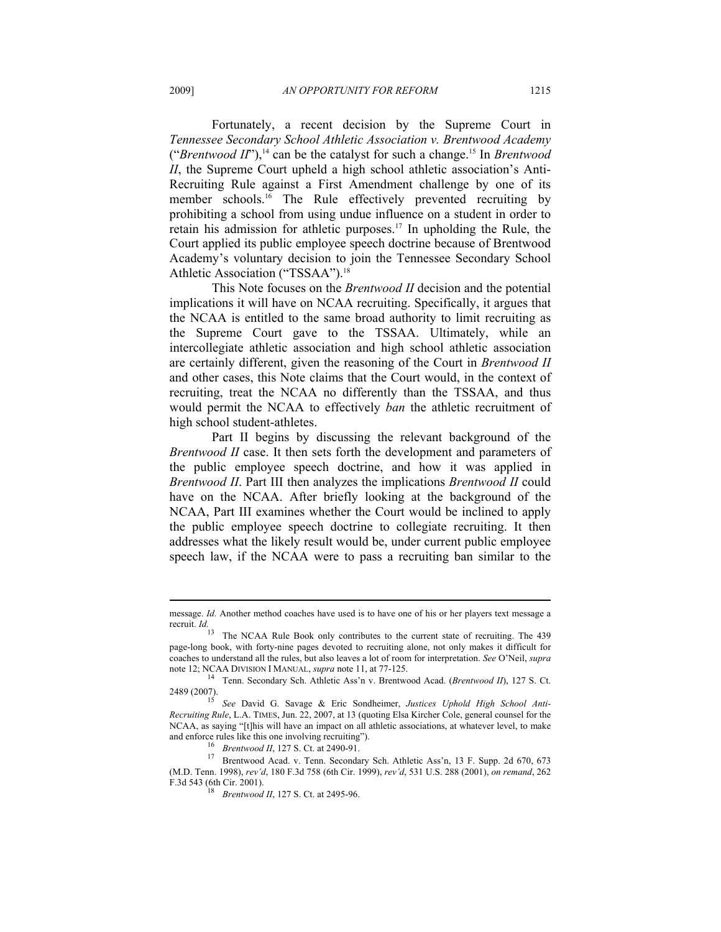Fortunately, a recent decision by the Supreme Court in *Tennessee Secondary School Athletic Association v. Brentwood Academy*  ("*Brentwood II*"),<sup>14</sup> can be the catalyst for such a change.<sup>15</sup> In *Brentwood II*, the Supreme Court upheld a high school athletic association's Anti-Recruiting Rule against a First Amendment challenge by one of its member schools.<sup>16</sup> The Rule effectively prevented recruiting by prohibiting a school from using undue influence on a student in order to retain his admission for athletic purposes.17 In upholding the Rule, the Court applied its public employee speech doctrine because of Brentwood Academy's voluntary decision to join the Tennessee Secondary School Athletic Association ("TSSAA").<sup>18</sup>

This Note focuses on the *Brentwood II* decision and the potential implications it will have on NCAA recruiting. Specifically, it argues that the NCAA is entitled to the same broad authority to limit recruiting as the Supreme Court gave to the TSSAA. Ultimately, while an intercollegiate athletic association and high school athletic association are certainly different, given the reasoning of the Court in *Brentwood II* and other cases, this Note claims that the Court would, in the context of recruiting, treat the NCAA no differently than the TSSAA, and thus would permit the NCAA to effectively *ban* the athletic recruitment of high school student-athletes.

Part II begins by discussing the relevant background of the *Brentwood II* case. It then sets forth the development and parameters of the public employee speech doctrine, and how it was applied in *Brentwood II*. Part III then analyzes the implications *Brentwood II* could have on the NCAA. After briefly looking at the background of the NCAA, Part III examines whether the Court would be inclined to apply the public employee speech doctrine to collegiate recruiting. It then addresses what the likely result would be, under current public employee speech law, if the NCAA were to pass a recruiting ban similar to the

message. *Id.* Another method coaches have used is to have one of his or her players text message a recruit. *Id.*

The NCAA Rule Book only contributes to the current state of recruiting. The 439 page-long book, with forty-nine pages devoted to recruiting alone, not only makes it difficult for coaches to understand all the rules, but also leaves a lot of room for interpretation. *See* O'Neil, *supra*

note 12; NCAA DIVISION I MANUAL, *supra* note 11, at 77-125.<br><sup>14</sup> Tenn. Secondary Sch. Athletic Ass'n v. Brentwood Acad. (*Brentwood II*), 127 S. Ct.<br>2489 (2007).

See David G. Savage & Eric Sondheimer, Justices Uphold High School Anti-*Recruiting Rule*, L.A. TIMES, Jun. 22, 2007, at 13 (quoting Elsa Kircher Cole, general counsel for the NCAA, as saying "[t]his will have an impact on all athletic associations, at whatever level, to make and enforce rules like this one involving recruiting").<br>
<sup>16</sup> *Brentwood II*, 127 S. Ct. at 2490-91.<br>
<sup>17</sup> Brentwood Acad. v. Tenn. Secondary Sch. Athletic Ass'n, 13 F. Supp. 2d 670, 673

<sup>(</sup>M.D. Tenn. 1998), *rev'd*, 180 F.3d 758 (6th Cir. 1999), *rev'd*, 531 U.S. 288 (2001), *on remand*, 262

Brentwood II, 127 S. Ct. at 2495-96.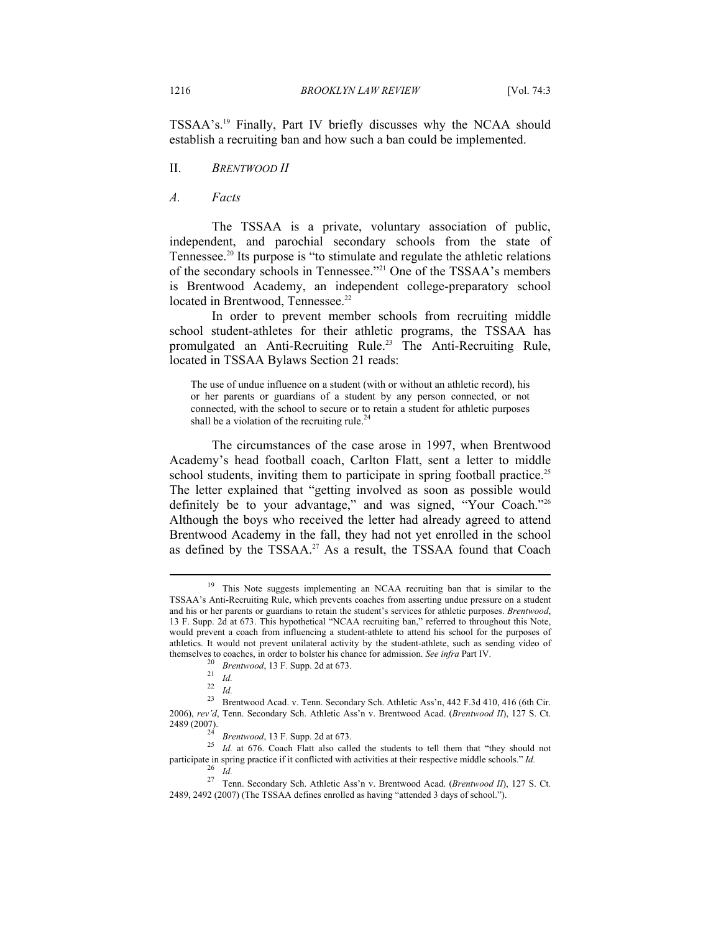TSSAA's.19 Finally, Part IV briefly discusses why the NCAA should establish a recruiting ban and how such a ban could be implemented.

II. *BRENTWOOD II*

*A. Facts* 

The TSSAA is a private, voluntary association of public, independent, and parochial secondary schools from the state of Tennessee.20 Its purpose is "to stimulate and regulate the athletic relations of the secondary schools in Tennessee."21 One of the TSSAA's members is Brentwood Academy, an independent college-preparatory school located in Brentwood, Tennessee.<sup>22</sup>

In order to prevent member schools from recruiting middle school student-athletes for their athletic programs, the TSSAA has promulgated an Anti-Recruiting Rule.<sup>23</sup> The Anti-Recruiting Rule, located in TSSAA Bylaws Section 21 reads:

The use of undue influence on a student (with or without an athletic record), his or her parents or guardians of a student by any person connected, or not connected, with the school to secure or to retain a student for athletic purposes shall be a violation of the recruiting rule. $^{24}$ 

The circumstances of the case arose in 1997, when Brentwood Academy's head football coach, Carlton Flatt, sent a letter to middle school students, inviting them to participate in spring football practice.<sup>25</sup> The letter explained that "getting involved as soon as possible would definitely be to your advantage," and was signed, "Your Coach."26 Although the boys who received the letter had already agreed to attend Brentwood Academy in the fall, they had not yet enrolled in the school as defined by the TSSAA.<sup>27</sup> As a result, the TSSAA found that Coach

<sup>&</sup>lt;sup>19</sup> This Note suggests implementing an NCAA recruiting ban that is similar to the TSSAA's Anti-Recruiting Rule, which prevents coaches from asserting undue pressure on a student and his or her parents or guardians to retain the student's services for athletic purposes. *Brentwood*, 13 F. Supp. 2d at 673. This hypothetical "NCAA recruiting ban," referred to throughout this Note, would prevent a coach from influencing a student-athlete to attend his school for the purposes of athletics. It would not prevent unilateral activity by the student-athlete, such as sending video of themselves to coaches, in order to bolster his chance for admission. See infra Part IV.<br>
<sup>20</sup> Brentwood, 13 F. Supp. 2d at 673.<br>
<sup>21</sup> Id.<br>
<sup>22</sup> Id.<br>
<sup>23</sup> Brentwood Acad. v. Tenn. Secondary Sch. Athletic Ass'n, 442 F.3d 41

<sup>2006),</sup> *rev'd*, Tenn. Secondary Sch. Athletic Ass'n v. Brentwood Acad. (*Brentwood II*), 127 S. Ct.

<sup>&</sup>lt;sup>24</sup> *Brentwood*, 13 F. Supp. 2d at 673. <sup>25</sup> *Id.* at 676. Coach Flatt also called the students to tell them that "they should not participate in spring practice if it conflicted with activities at their respective middle schools." *Id.*<br><sup>26</sup> *Id.*<br><sup>27</sup> Tenn. Secondary Sch. Athletic Ass'n v. Brentwood Acad. (*Brentwood II*), 127 S. Ct.

<sup>2489, 2492 (2007)</sup> (The TSSAA defines enrolled as having "attended 3 days of school.").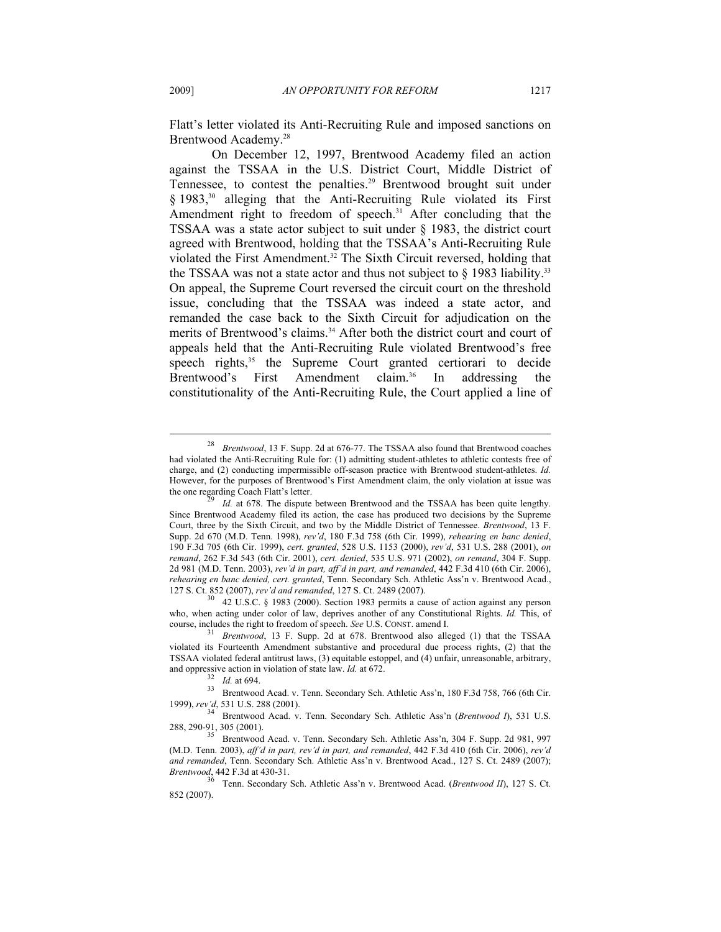Flatt's letter violated its Anti-Recruiting Rule and imposed sanctions on Brentwood Academy.28

On December 12, 1997, Brentwood Academy filed an action against the TSSAA in the U.S. District Court, Middle District of Tennessee, to contest the penalties.<sup>29</sup> Brentwood brought suit under § 1983,<sup>30</sup> alleging that the Anti-Recruiting Rule violated its First Amendment right to freedom of speech.<sup>31</sup> After concluding that the TSSAA was a state actor subject to suit under § 1983, the district court agreed with Brentwood, holding that the TSSAA's Anti-Recruiting Rule violated the First Amendment.32 The Sixth Circuit reversed, holding that the TSSAA was not a state actor and thus not subject to  $\S$  1983 liability.<sup>33</sup> On appeal, the Supreme Court reversed the circuit court on the threshold issue, concluding that the TSSAA was indeed a state actor, and remanded the case back to the Sixth Circuit for adjudication on the merits of Brentwood's claims.<sup>34</sup> After both the district court and court of appeals held that the Anti-Recruiting Rule violated Brentwood's free speech rights,<sup>35</sup> the Supreme Court granted certiorari to decide Brentwood's First Amendment claim.<sup>36</sup> In addressing the constitutionality of the Anti-Recruiting Rule, the Court applied a line of

<sup>28</sup> *Brentwood*, 13 F. Supp. 2d at 676-77. The TSSAA also found that Brentwood coaches had violated the Anti-Recruiting Rule for: (1) admitting student-athletes to athletic contests free of charge, and (2) conducting impermissible off-season practice with Brentwood student-athletes. *Id.*  However, for the purposes of Brentwood's First Amendment claim, the only violation at issue was the one regarding Coach Flatt's letter.

Id. at 678. The dispute between Brentwood and the TSSAA has been quite lengthy. Since Brentwood Academy filed its action, the case has produced two decisions by the Supreme Court, three by the Sixth Circuit, and two by the Middle District of Tennessee. *Brentwood*, 13 F. Supp. 2d 670 (M.D. Tenn. 1998), *rev'd*, 180 F.3d 758 (6th Cir. 1999), *rehearing en banc denied*, 190 F.3d 705 (6th Cir. 1999), *cert. granted*, 528 U.S. 1153 (2000), *rev'd*, 531 U.S. 288 (2001), *on remand*, 262 F.3d 543 (6th Cir. 2001), *cert. denied*, 535 U.S. 971 (2002), *on remand*, 304 F. Supp. 2d 981 (M.D. Tenn. 2003), *rev'd in part, aff'd in part, and remanded*, 442 F.3d 410 (6th Cir. 2006), *rehearing en banc denied, cert. granted*, Tenn. Secondary Sch. Athletic Ass'n v. Brentwood Acad., 127 S. Ct. 852 (2007), *rev'd and remanded*, 127 S. Ct. 2489 (2007). 30 42 U.S.C. § 1983 (2000). Section 1983 permits a cause of action against any person

who, when acting under color of law, deprives another of any Constitutional Rights. *Id.* This, of course, includes the right to freedom of speech. *See* U.S. CONST. amend I. 31 *Brentwood*, 13 F. Supp. 2d at 678. Brentwood also alleged (1) that the TSSAA

violated its Fourteenth Amendment substantive and procedural due process rights, (2) that the TSSAA violated federal antitrust laws, (3) equitable estoppel, and (4) unfair, unreasonable, arbitrary,

and oppressive action in violation of state law. *Id.* at 672.<br><sup>32</sup> *Id.* at 694.<br><sup>33</sup> Brentwood Acad. v. Tenn. Secondary Sch. Athletic Ass'n, 180 F.3d 758, 766 (6th Cir. 1999), *rev'd*, 531 U.S. 288 (2001). 34 Brentwood Acad. v. Tenn. Secondary Sch. Athletic Ass'n (*Brentwood I*), 531 U.S.

<sup>288, 290-91, 305 (2001). 35</sup> Brentwood Acad. v. Tenn. Secondary Sch. Athletic Ass'n, 304 F. Supp. 2d 981, 997

<sup>(</sup>M.D. Tenn. 2003), *aff'd in part, rev'd in part, and remanded*, 442 F.3d 410 (6th Cir. 2006), *rev'd and remanded*, Tenn. Secondary Sch. Athletic Ass'n v. Brentwood Acad., 127 S. Ct. 2489 (2007); *Brentwood*, 442 F.3d at 430-31.

<sup>36</sup> Tenn. Secondary Sch. Athletic Ass'n v. Brentwood Acad. (*Brentwood II*), 127 S. Ct. 852 (2007).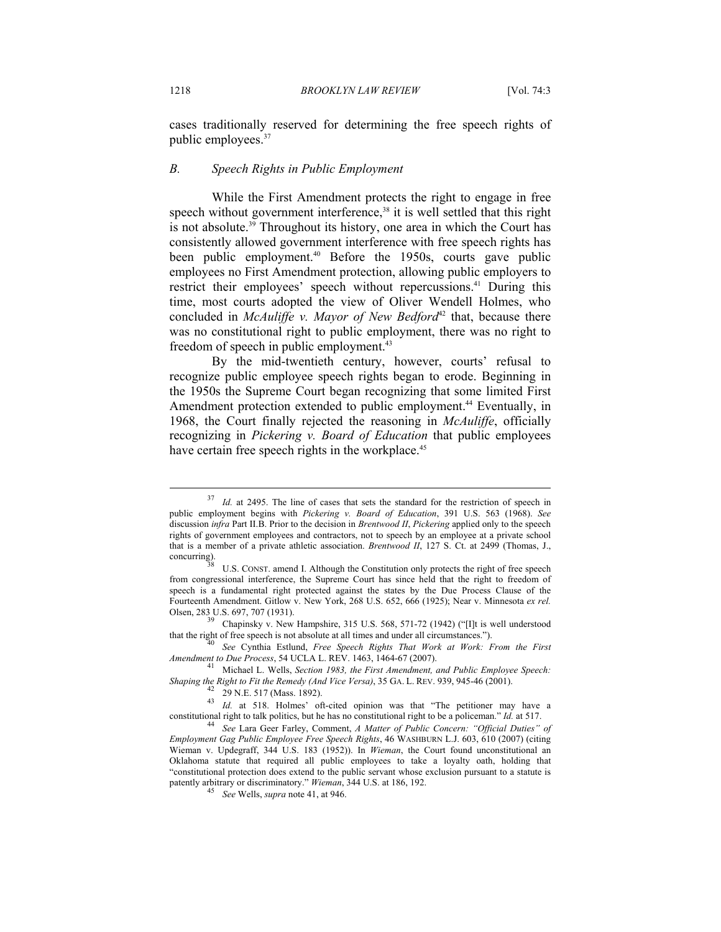cases traditionally reserved for determining the free speech rights of public employees.37

#### *B. Speech Rights in Public Employment*

While the First Amendment protects the right to engage in free speech without government interference,<sup>38</sup> it is well settled that this right is not absolute.<sup>39</sup> Throughout its history, one area in which the Court has consistently allowed government interference with free speech rights has been public employment.<sup>40</sup> Before the 1950s, courts gave public employees no First Amendment protection, allowing public employers to restrict their employees' speech without repercussions.<sup>41</sup> During this time, most courts adopted the view of Oliver Wendell Holmes, who concluded in *McAuliffe v. Mayor of New Bedford*<sup>42</sup> that, because there was no constitutional right to public employment, there was no right to freedom of speech in public employment.<sup>43</sup>

By the mid-twentieth century, however, courts' refusal to recognize public employee speech rights began to erode. Beginning in the 1950s the Supreme Court began recognizing that some limited First Amendment protection extended to public employment.<sup>44</sup> Eventually, in 1968, the Court finally rejected the reasoning in *McAuliffe*, officially recognizing in *Pickering v. Board of Education* that public employees have certain free speech rights in the workplace.<sup>45</sup>

that the right of free speech is not absolute at all times and under all circumstances."). 40 *See* Cynthia Estlund, *Free Speech Rights That Work at Work: From the First* 

<sup>&</sup>lt;sup>37</sup> *Id.* at 2495. The line of cases that sets the standard for the restriction of speech in public employment begins with *Pickering v. Board of Education*, 391 U.S. 563 (1968). *See*  discussion *infra* Part II.B. Prior to the decision in *Brentwood II*, *Pickering* applied only to the speech rights of government employees and contractors, not to speech by an employee at a private school that is a member of a private athletic association. *Brentwood II*, 127 S. Ct. at 2499 (Thomas, J.,

U.S. CONST. amend I. Although the Constitution only protects the right of free speech from congressional interference, the Supreme Court has since held that the right to freedom of speech is a fundamental right protected against the states by the Due Process Clause of the Fourteenth Amendment. Gitlow v. New York, 268 U.S. 652, 666 (1925); Near v. Minnesota *ex rel.* Olsen, 283 U.S. 697, 707 (1931). 39 Chapinsky v. New Hampshire, 315 U.S. 568, 571-72 (1942) ("[I]t is well understood

*Amendment to Due Process*, 54 UCLA L. REV. 1463, 1464-67 (2007). 41 Michael L. Wells, *Section 1983, the First Amendment, and Public Employee Speech:* 

*Shaping the Right to Fit the Remedy (And Vice Versa)*, 35 GA. L. REV. 939, 945-46 (2001). 42 29 N.E. 517 (Mass. 1892).

<sup>43</sup> *Id.* at 518. Holmes' oft-cited opinion was that "The petitioner may have a constitutional right to talk politics, but he has no constitutional right to be a policeman." *Id.* at 517.<br><sup>44</sup> See Lara Geer Farley, Comment, *A Matter of Public Concern: "Official Duties" of* 

*Employment Gag Public Employee Free Speech Rights*, 46 WASHBURN L.J. 603, 610 (2007) (citing Wieman v. Updegraff, 344 U.S. 183 (1952)). In *Wieman*, the Court found unconstitutional an Oklahoma statute that required all public employees to take a loyalty oath, holding that "constitutional protection does extend to the public servant whose exclusion pursuant to a statute is patently arbitrary or discriminatory." *Wieman*, 344 U.S. at 186, 192. 45 *See* Wells, *supra* note 41, at 946.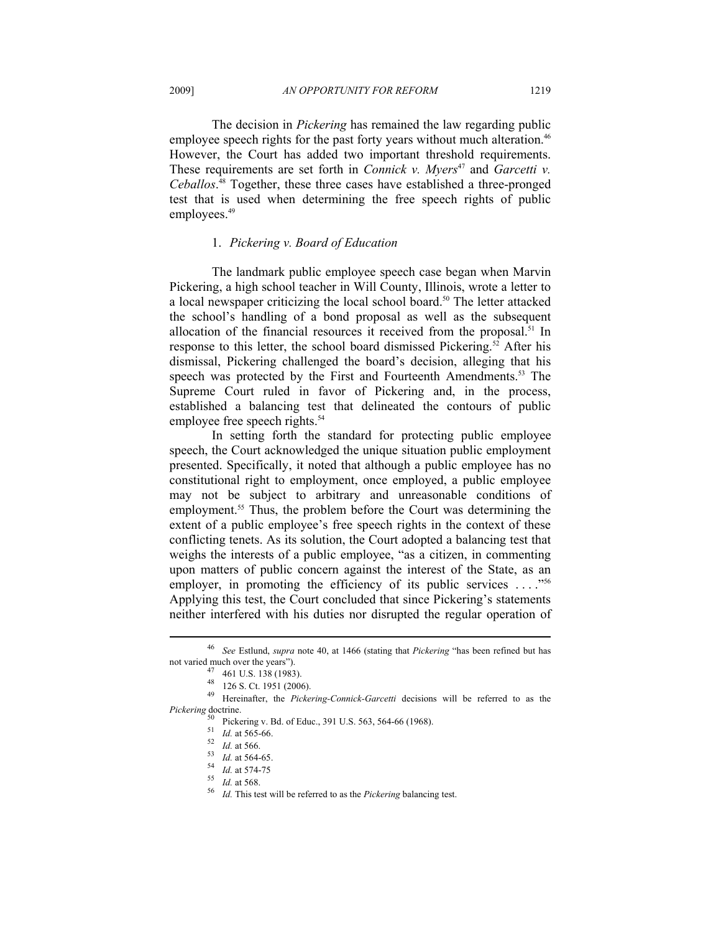The decision in *Pickering* has remained the law regarding public employee speech rights for the past forty years without much alteration.<sup>46</sup> However, the Court has added two important threshold requirements. These requirements are set forth in *Connick v. Myers<sup>47</sup>* and *Garcetti v. Ceballos*. 48 Together, these three cases have established a three-pronged test that is used when determining the free speech rights of public employees.<sup>49</sup>

# 1. *Pickering v. Board of Education*

The landmark public employee speech case began when Marvin Pickering, a high school teacher in Will County, Illinois, wrote a letter to a local newspaper criticizing the local school board.<sup>50</sup> The letter attacked the school's handling of a bond proposal as well as the subsequent allocation of the financial resources it received from the proposal.<sup>51</sup> In response to this letter, the school board dismissed Pickering.<sup>52</sup> After his dismissal, Pickering challenged the board's decision, alleging that his speech was protected by the First and Fourteenth Amendments.<sup>53</sup> The Supreme Court ruled in favor of Pickering and, in the process, established a balancing test that delineated the contours of public employee free speech rights.<sup>54</sup>

In setting forth the standard for protecting public employee speech, the Court acknowledged the unique situation public employment presented. Specifically, it noted that although a public employee has no constitutional right to employment, once employed, a public employee may not be subject to arbitrary and unreasonable conditions of employment.<sup>55</sup> Thus, the problem before the Court was determining the extent of a public employee's free speech rights in the context of these conflicting tenets. As its solution, the Court adopted a balancing test that weighs the interests of a public employee, "as a citizen, in commenting upon matters of public concern against the interest of the State, as an employer, in promoting the efficiency of its public services  $\dots$ ."<sup>56</sup> Applying this test, the Court concluded that since Pickering's statements neither interfered with his duties nor disrupted the regular operation of

49 Hereinafter, the *Pickering-Connick-Garcetti* decisions will be referred to as the *Pickering* doctrine.

<sup>46</sup> *See* Estlund, *supra* note 40, at 1466 (stating that *Pickering* "has been refined but has not varied much over the years").<br><sup>47</sup> 461 U.S. 138 (1983).

<sup>48 126</sup> S. Ct. 1951 (2006).

 $^{50}$  Pickering v. Bd. of Educ., 391 U.S. 563, 564-66 (1968).<br><sup>51</sup> *Id.* at 565-66.

<sup>&</sup>lt;sup>52</sup> Id. at 566.<br><sup>53</sup> Id. at 564-65.<br><sup>53</sup> Id. at 574-75<br><sup>55</sup> Id. at 568.<br><sup>56</sup> Id. This test will be referred to as the *Pickering* balancing test.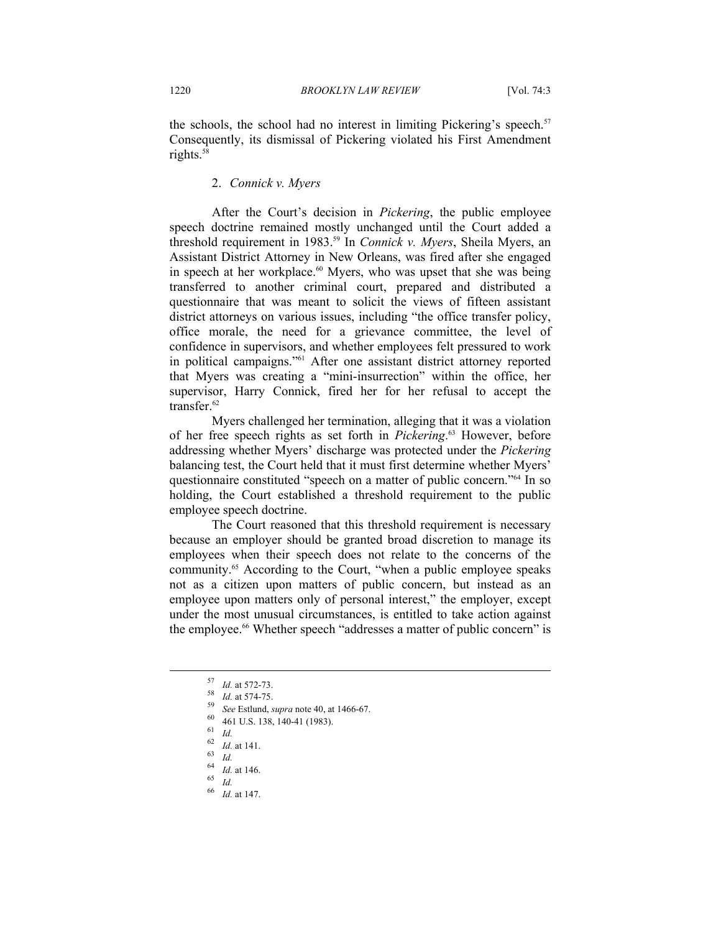the schools, the school had no interest in limiting Pickering's speech.<sup>57</sup> Consequently, its dismissal of Pickering violated his First Amendment rights.58

# 2. *Connick v. Myers*

After the Court's decision in *Pickering*, the public employee speech doctrine remained mostly unchanged until the Court added a threshold requirement in 1983.59 In *Connick v. Myers*, Sheila Myers, an Assistant District Attorney in New Orleans, was fired after she engaged in speech at her workplace.<sup>60</sup> Myers, who was upset that she was being transferred to another criminal court, prepared and distributed a questionnaire that was meant to solicit the views of fifteen assistant district attorneys on various issues, including "the office transfer policy, office morale, the need for a grievance committee, the level of confidence in supervisors, and whether employees felt pressured to work in political campaigns."61 After one assistant district attorney reported that Myers was creating a "mini-insurrection" within the office, her supervisor, Harry Connick, fired her for her refusal to accept the transfer.<sup>62</sup>

Myers challenged her termination, alleging that it was a violation of her free speech rights as set forth in *Pickering*. 63 However, before addressing whether Myers' discharge was protected under the *Pickering*  balancing test, the Court held that it must first determine whether Myers' questionnaire constituted "speech on a matter of public concern."64 In so holding, the Court established a threshold requirement to the public employee speech doctrine.

The Court reasoned that this threshold requirement is necessary because an employer should be granted broad discretion to manage its employees when their speech does not relate to the concerns of the community.65 According to the Court, "when a public employee speaks not as a citizen upon matters of public concern, but instead as an employee upon matters only of personal interest," the employer, except under the most unusual circumstances, is entitled to take action against the employee.<sup>66</sup> Whether speech "addresses a matter of public concern" is

<sup>57</sup> *Id.* at 572-73. 58 *Id.* at 574-75. 59 *See* Estlund, *supra* note 40, at 1466-67. 60 461 U.S. 138, 140-41 (1983).

<sup>61</sup> *Id.* 62 *Id.* at 141. 63 *Id.*

<sup>64</sup> *Id.* at 146. 65 *Id.*

*Id.* at 147.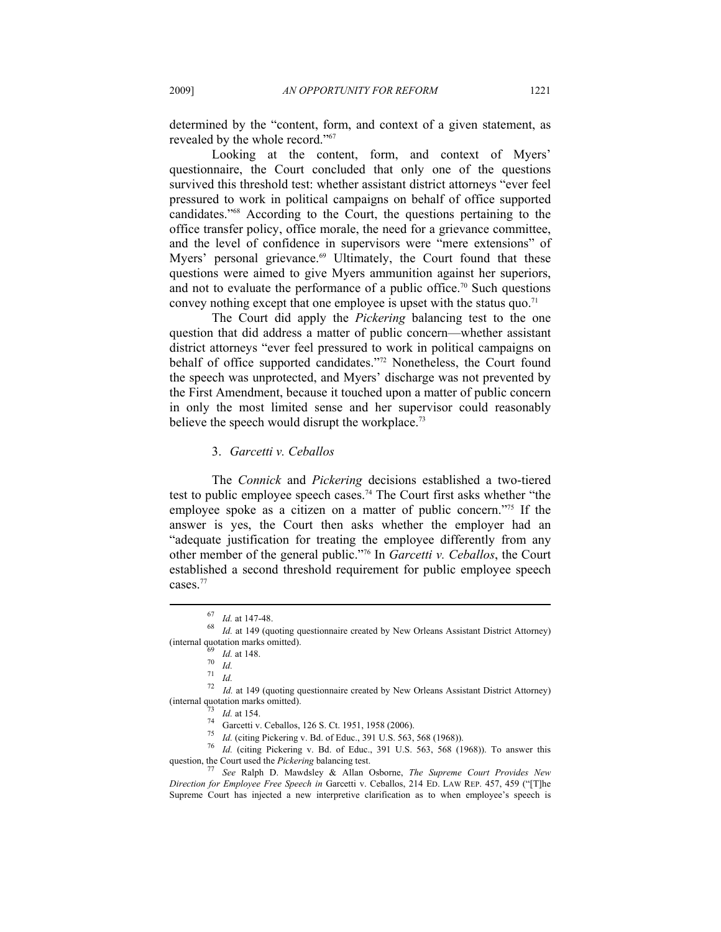determined by the "content, form, and context of a given statement, as revealed by the whole record."67

Looking at the content, form, and context of Myers' questionnaire, the Court concluded that only one of the questions survived this threshold test: whether assistant district attorneys "ever feel pressured to work in political campaigns on behalf of office supported candidates."68 According to the Court, the questions pertaining to the office transfer policy, office morale, the need for a grievance committee, and the level of confidence in supervisors were "mere extensions" of Myers' personal grievance.<sup>69</sup> Ultimately, the Court found that these questions were aimed to give Myers ammunition against her superiors, and not to evaluate the performance of a public office.<sup>70</sup> Such questions convey nothing except that one employee is upset with the status quo.<sup>71</sup>

The Court did apply the *Pickering* balancing test to the one question that did address a matter of public concern—whether assistant district attorneys "ever feel pressured to work in political campaigns on behalf of office supported candidates."72 Nonetheless, the Court found the speech was unprotected, and Myers' discharge was not prevented by the First Amendment, because it touched upon a matter of public concern in only the most limited sense and her supervisor could reasonably believe the speech would disrupt the workplace.<sup>73</sup>

#### 3. *Garcetti v. Ceballos*

The *Connick* and *Pickering* decisions established a two-tiered test to public employee speech cases.74 The Court first asks whether "the employee spoke as a citizen on a matter of public concern."<sup>75</sup> If the answer is yes, the Court then asks whether the employer had an "adequate justification for treating the employee differently from any other member of the general public."76 In *Garcetti v. Ceballos*, the Court established a second threshold requirement for public employee speech cases.<sup>77</sup>

 $\overline{a}$ 

72 *Id.* at 149 (quoting questionnaire created by New Orleans Assistant District Attorney) (internal quotation marks omitted).<br>
73 *Id.* at 154.<br>
74 Garcetti v. Ceballos, 126 S. Ct. 1951, 1958 (2006).<br>
75 *Id.* (citing Pickering v. Bd. of Educ., 391 U.S. 563, 568 (1968)).

<sup>76</sup> Id. (citing Pickering v. Bd. of Educ., 391 U.S. 563, 568 (1968)). To answer this question, the Court used the *Pickering* balancing test. 77 *See* Ralph D. Mawdsley & Allan Osborne, *The Supreme Court Provides New* 

*Direction for Employee Free Speech in* Garcetti v. Ceballos, 214 ED. LAW REP. 457, 459 ("[T]he Supreme Court has injected a new interpretive clarification as to when employee's speech is

<sup>67</sup> *Id.* at 147-48. 68 *Id.* at 149 (quoting questionnaire created by New Orleans Assistant District Attorney) (internal quotation marks omitted).<br> $\frac{69}{70}$  *Id.* at 148.

<sup>71</sup> *Id.*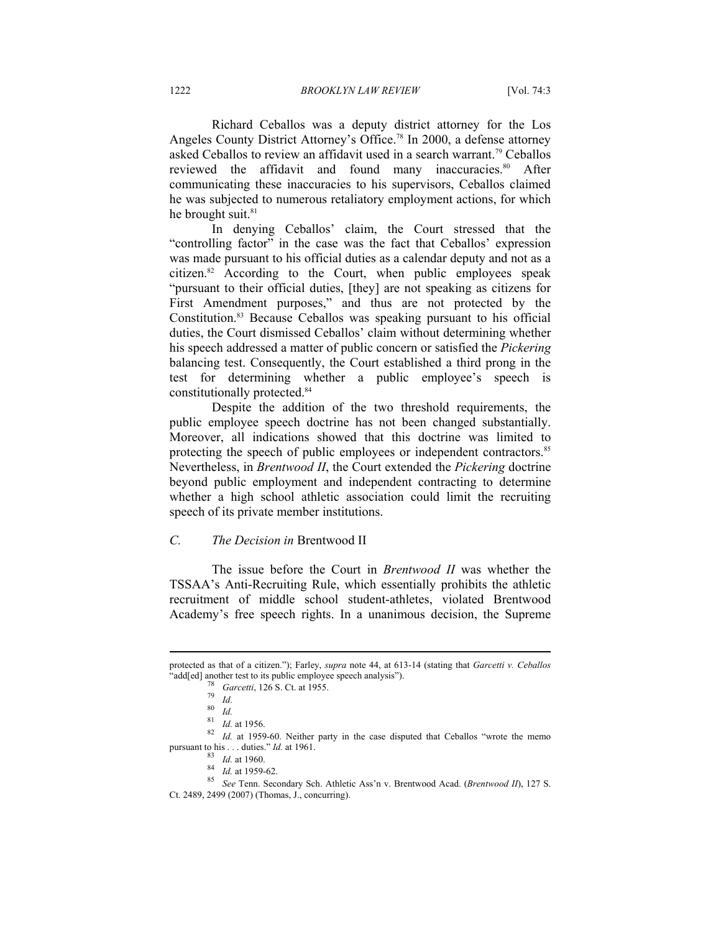Richard Ceballos was a deputy district attorney for the Los Angeles County District Attorney's Office.<sup>78</sup> In 2000, a defense attorney asked Ceballos to review an affidavit used in a search warrant.<sup>79</sup> Ceballos reviewed the affidavit and found many inaccuracies.<sup>80</sup> After communicating these inaccuracies to his supervisors, Ceballos claimed he was subjected to numerous retaliatory employment actions, for which he brought suit.<sup>81</sup>

In denying Ceballos' claim, the Court stressed that the "controlling factor" in the case was the fact that Ceballos' expression was made pursuant to his official duties as a calendar deputy and not as a citizen.<sup>82</sup> According to the Court, when public employees speak "pursuant to their official duties, [they] are not speaking as citizens for First Amendment purposes," and thus are not protected by the Constitution.<sup>83</sup> Because Ceballos was speaking pursuant to his official duties, the Court dismissed Ceballos' claim without determining whether his speech addressed a matter of public concern or satisfied the *Pickering*  balancing test. Consequently, the Court established a third prong in the test for determining whether a public employee's speech is constitutionally protected.84

Despite the addition of the two threshold requirements, the public employee speech doctrine has not been changed substantially. Moreover, all indications showed that this doctrine was limited to protecting the speech of public employees or independent contractors.<sup>85</sup> Nevertheless, in *Brentwood II*, the Court extended the *Pickering* doctrine beyond public employment and independent contracting to determine whether a high school athletic association could limit the recruiting speech of its private member institutions.

### *C. The Decision in* Brentwood II

The issue before the Court in *Brentwood II* was whether the TSSAA's Anti-Recruiting Rule, which essentially prohibits the athletic recruitment of middle school student-athletes, violated Brentwood Academy's free speech rights. In a unanimous decision, the Supreme

protected as that of a citizen."); Farley, *supra* note 44, at 613-14 (stating that *Garcetti v. Ceballos*

<sup>&</sup>quot;add[ed] another test to its public employee speech analysis").<br>  $\frac{78}{78}$  Garcetti, 126 S. Ct. at 1955.<br>  $\frac{79}{79}$  Id.<br>  $\frac{80}{16}$ .<br>  $\frac{1}{4}$ . at 1956.<br>  $\frac{82}{16}$ . at 1959-60. Neither party in the case disputed t

pursuant to his . . . duties." *Id.* at 1961.<br><sup>83</sup> *Id.* at 1959-62.<br><sup>85</sup> *See* Tenn. Secondary Sch. Athletic Ass'n v. Brentwood Acad. (*Brentwood II*), 127 S. Ct. 2489, 2499 (2007) (Thomas, J., concurring).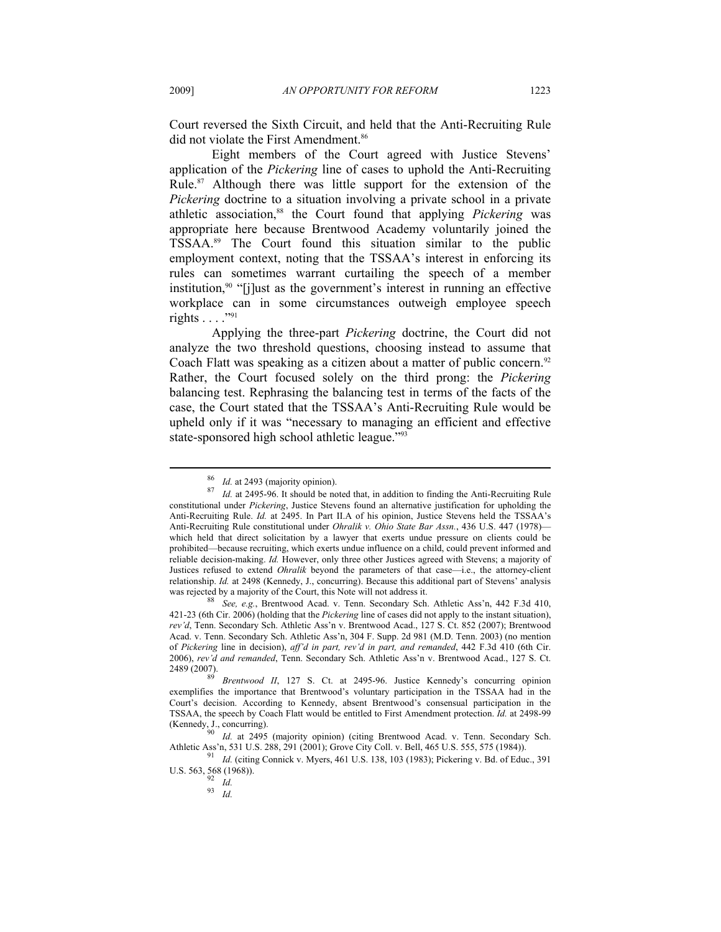Court reversed the Sixth Circuit, and held that the Anti-Recruiting Rule did not violate the First Amendment.<sup>86</sup>

Eight members of the Court agreed with Justice Stevens' application of the *Pickering* line of cases to uphold the Anti-Recruiting Rule.87 Although there was little support for the extension of the *Pickering* doctrine to a situation involving a private school in a private athletic association,88 the Court found that applying *Pickering* was appropriate here because Brentwood Academy voluntarily joined the TSSAA.89 The Court found this situation similar to the public employment context, noting that the TSSAA's interest in enforcing its rules can sometimes warrant curtailing the speech of a member institution,90 "[j]ust as the government's interest in running an effective workplace can in some circumstances outweigh employee speech rights . . . ."91

Applying the three-part *Pickering* doctrine, the Court did not analyze the two threshold questions, choosing instead to assume that Coach Flatt was speaking as a citizen about a matter of public concern.<sup>92</sup> Rather, the Court focused solely on the third prong: the *Pickering*  balancing test. Rephrasing the balancing test in terms of the facts of the case, the Court stated that the TSSAA's Anti-Recruiting Rule would be upheld only if it was "necessary to managing an efficient and effective state-sponsored high school athletic league."93

<sup>86</sup> *Id.* at 2493 (majority opinion). 87 *Id.* at 2495-96. It should be noted that, in addition to finding the Anti-Recruiting Rule constitutional under *Pickering*, Justice Stevens found an alternative justification for upholding the Anti-Recruiting Rule. *Id.* at 2495. In Part II.A of his opinion, Justice Stevens held the TSSAA's Anti-Recruiting Rule constitutional under *Ohralik v. Ohio State Bar Assn.*, 436 U.S. 447 (1978) which held that direct solicitation by a lawyer that exerts undue pressure on clients could be prohibited—because recruiting, which exerts undue influence on a child, could prevent informed and reliable decision-making. *Id.* However, only three other Justices agreed with Stevens; a majority of Justices refused to extend *Ohralik* beyond the parameters of that case—i.e., the attorney-client relationship. *Id.* at 2498 (Kennedy, J., concurring). Because this additional part of Stevens' analysis was rejected by a majority of the Court, this Note will not address it.<br><sup>88</sup> See, e.g., Brentwood Acad. v. Tenn. Secondary Sch. Athletic Ass'n, 442 F.3d 410,

<sup>421-23 (6</sup>th Cir. 2006) (holding that the *Pickering* line of cases did not apply to the instant situation), *rev'd*, Tenn. Secondary Sch. Athletic Ass'n v. Brentwood Acad., 127 S. Ct. 852 (2007); Brentwood Acad. v. Tenn. Secondary Sch. Athletic Ass'n, 304 F. Supp. 2d 981 (M.D. Tenn. 2003) (no mention of *Pickering* line in decision), *aff'd in part, rev'd in part, and remanded*, 442 F.3d 410 (6th Cir. 2006), *rev'd and remanded*, Tenn. Secondary Sch. Athletic Ass'n v. Brentwood Acad., 127 S. Ct.

Brentwood II, 127 S. Ct. at 2495-96. Justice Kennedy's concurring opinion exemplifies the importance that Brentwood's voluntary participation in the TSSAA had in the Court's decision. According to Kennedy, absent Brentwood's consensual participation in the TSSAA, the speech by Coach Flatt would be entitled to First Amendment protection. *Id.* at 2498-99

Id. at 2495 (majority opinion) (citing Brentwood Acad. v. Tenn. Secondary Sch. Athletic Ass'n, 531 U.S. 288, 291 (2001); Grove City Coll. v. Bell, 465 U.S. 555, 575 (1984)). 91 *Id.* (citing Connick v. Myers, 461 U.S. 138, 103 (1983); Pickering v. Bd. of Educ., 391

U.S. 563, 568 (1968)).<br><sup>92</sup> *Id.*<br><sup>93</sup> *Id.*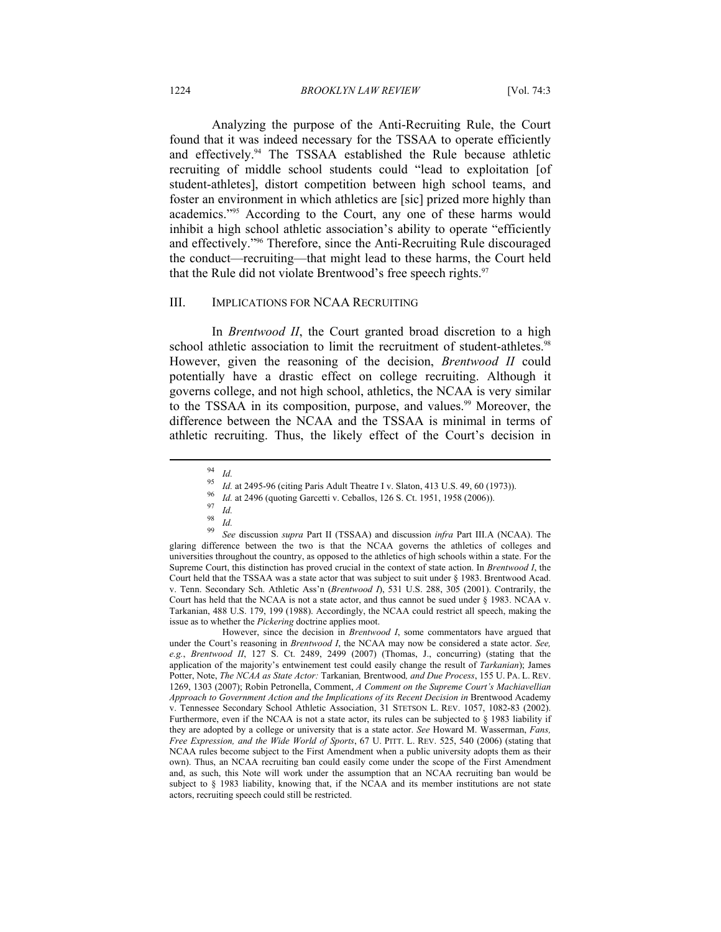#### 1224 *BROOKLYN LAW REVIEW* [Vol. 74:3

Analyzing the purpose of the Anti-Recruiting Rule, the Court found that it was indeed necessary for the TSSAA to operate efficiently and effectively.<sup>94</sup> The TSSAA established the Rule because athletic recruiting of middle school students could "lead to exploitation [of student-athletes], distort competition between high school teams, and foster an environment in which athletics are [sic] prized more highly than academics."95 According to the Court, any one of these harms would inhibit a high school athletic association's ability to operate "efficiently and effectively."96 Therefore, since the Anti-Recruiting Rule discouraged the conduct—recruiting—that might lead to these harms, the Court held that the Rule did not violate Brentwood's free speech rights.<sup>97</sup>

#### III. IMPLICATIONS FOR NCAA RECRUITING

In *Brentwood II*, the Court granted broad discretion to a high school athletic association to limit the recruitment of student-athletes.<sup>98</sup> However, given the reasoning of the decision, *Brentwood II* could potentially have a drastic effect on college recruiting. Although it governs college, and not high school, athletics, the NCAA is very similar to the TSSAA in its composition, purpose, and values.<sup>99</sup> Moreover, the difference between the NCAA and the TSSAA is minimal in terms of athletic recruiting. Thus, the likely effect of the Court's decision in

 $\overline{a}$ 

<sup>99</sup> *See* discussion *supra* Part II (TSSAA) and discussion *infra* Part III.A (NCAA). The glaring difference between the two is that the NCAA governs the athletics of colleges and universities throughout the country, as opposed to the athletics of high schools within a state. For the Supreme Court, this distinction has proved crucial in the context of state action. In *Brentwood I*, the Court held that the TSSAA was a state actor that was subject to suit under § 1983. Brentwood Acad. v. Tenn. Secondary Sch. Athletic Ass'n (*Brentwood I*), 531 U.S. 288, 305 (2001). Contrarily, the Court has held that the NCAA is not a state actor, and thus cannot be sued under § 1983. NCAA v. Tarkanian, 488 U.S. 179, 199 (1988). Accordingly, the NCAA could restrict all speech, making the issue as to whether the *Pickering* doctrine applies moot.

 However, since the decision in *Brentwood I*, some commentators have argued that under the Court's reasoning in *Brentwood I*, the NCAA may now be considered a state actor. *See, e.g.*, *Brentwood II*, 127 S. Ct. 2489, 2499 (2007) (Thomas, J., concurring) (stating that the application of the majority's entwinement test could easily change the result of *Tarkanian*); James Potter, Note, *The NCAA as State Actor:* Tarkanian*,* Brentwood*, and Due Process*, 155 U. PA. L. REV. 1269, 1303 (2007); Robin Petronella, Comment, *A Comment on the Supreme Court's Machiavellian*  Approach to Government Action and the Implications of its Recent Decision in Brentwood Academy v. Tennessee Secondary School Athletic Association, 31 STETSON L. REV. 1057, 1082-83 (2002). Furthermore, even if the NCAA is not a state actor, its rules can be subjected to § 1983 liability if they are adopted by a college or university that is a state actor. *See* Howard M. Wasserman, *Fans, Free Expression, and the Wide World of Sports*, 67 U. PITT. L. REV. 525, 540 (2006) (stating that NCAA rules become subject to the First Amendment when a public university adopts them as their own). Thus, an NCAA recruiting ban could easily come under the scope of the First Amendment and, as such, this Note will work under the assumption that an NCAA recruiting ban would be subject to § 1983 liability, knowing that, if the NCAA and its member institutions are not state actors, recruiting speech could still be restricted.

 $\frac{94}{95}$  *Id.* 

<sup>&</sup>lt;sup>95</sup> Id. at 2495-96 (citing Paris Adult Theatre I v. Slaton, 413 U.S. 49, 60 (1973)).<br><sup>96</sup> Id. at 2496 (quoting Garcetti v. Ceballos, 126 S. Ct. 1951, 1958 (2006)).<br><sup>97</sup> Id.

 $\frac{98}{99}$  *Id.*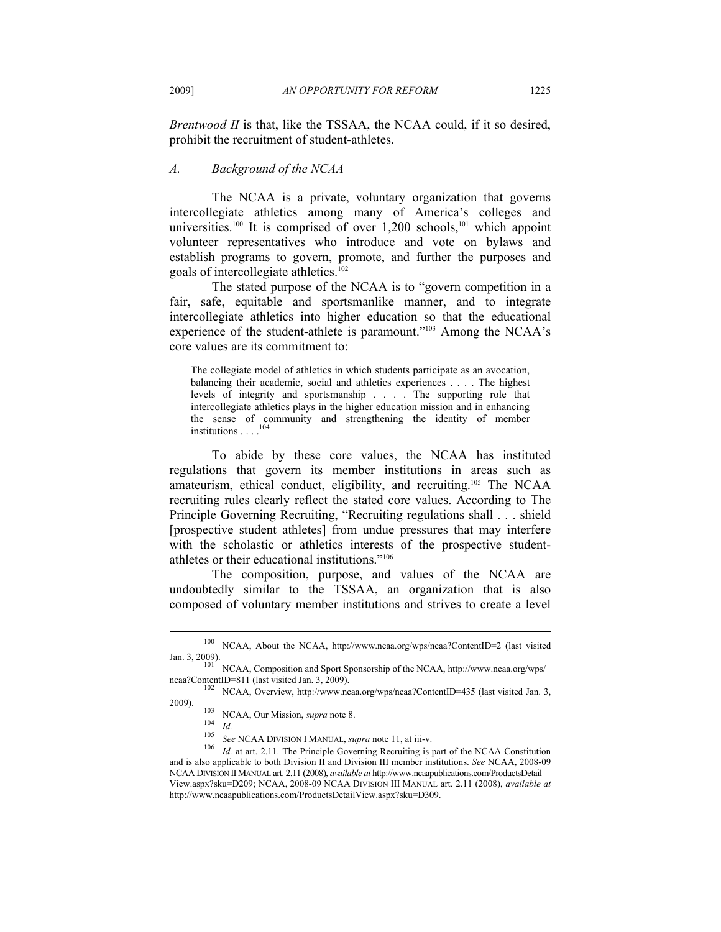*Brentwood II* is that, like the TSSAA, the NCAA could, if it so desired, prohibit the recruitment of student-athletes.

# *A. Background of the NCAA*

The NCAA is a private, voluntary organization that governs intercollegiate athletics among many of America's colleges and universities.<sup>100</sup> It is comprised of over  $1,200$  schools,<sup>101</sup> which appoint volunteer representatives who introduce and vote on bylaws and establish programs to govern, promote, and further the purposes and goals of intercollegiate athletics.102

The stated purpose of the NCAA is to "govern competition in a fair, safe, equitable and sportsmanlike manner, and to integrate intercollegiate athletics into higher education so that the educational experience of the student-athlete is paramount."103 Among the NCAA's core values are its commitment to:

The collegiate model of athletics in which students participate as an avocation, balancing their academic, social and athletics experiences . . . . The highest levels of integrity and sportsmanship . . . . The supporting role that intercollegiate athletics plays in the higher education mission and in enhancing the sense of community and strengthening the identity of member institutions  $\ldots$ .<sup>104</sup>

To abide by these core values, the NCAA has instituted regulations that govern its member institutions in areas such as amateurism, ethical conduct, eligibility, and recruiting.105 The NCAA recruiting rules clearly reflect the stated core values. According to The Principle Governing Recruiting, "Recruiting regulations shall . . . shield [prospective student athletes] from undue pressures that may interfere with the scholastic or athletics interests of the prospective studentathletes or their educational institutions."106

The composition, purpose, and values of the NCAA are undoubtedly similar to the TSSAA, an organization that is also composed of voluntary member institutions and strives to create a level

<sup>100</sup> NCAA, About the NCAA, http://www.ncaa.org/wps/ncaa?ContentID=2 (last visited

Jan. 3, 2009). 101 NCAA, Composition and Sport Sponsorship of the NCAA, http://www.ncaa.org/wps/

ncaa?ContentID=811 (last visited Jan. 3, 2009).<br><sup>102</sup> NCAA, Overview, http://www.ncaa.org/wps/ncaa?ContentID=435 (last visited Jan. 3, 2009).

<sup>&</sup>lt;sup>103</sup> NCAA, Our Mission, *supra* note 8.<br><sup>104</sup> *Id.*<br><sup>105</sup> *See* NCAA DIVISION I MANUAL, *supra* note 11, at iii-v.<br><sup>105</sup> *Id.* at art. 2.11. The Principle Governing Recruiting is part of the NCAA Constitution and is also applicable to both Division II and Division III member institutions. *See* NCAA, 2008-09 NCAA DIVISION IIMANUAL art. 2.11 (2008), *available at* http://www.ncaapublications.com/ProductsDetail View.aspx?sku=D209; NCAA, 2008-09 NCAA DIVISION III MANUAL art. 2.11 (2008), *available at* http://www.ncaapublications.com/ProductsDetailView.aspx?sku=D309.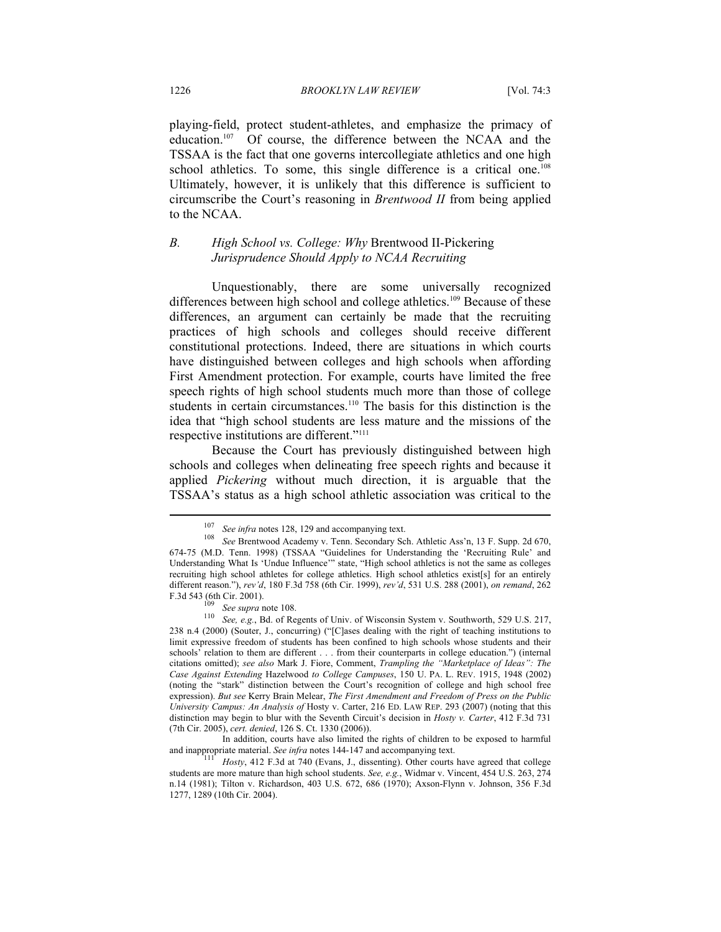playing-field, protect student-athletes, and emphasize the primacy of education.107 Of course, the difference between the NCAA and the TSSAA is the fact that one governs intercollegiate athletics and one high school athletics. To some, this single difference is a critical one.<sup>108</sup> Ultimately, however, it is unlikely that this difference is sufficient to circumscribe the Court's reasoning in *Brentwood II* from being applied to the NCAA.

# *B. High School vs. College: Why* Brentwood II-Pickering *Jurisprudence Should Apply to NCAA Recruiting*

Unquestionably, there are some universally recognized differences between high school and college athletics.<sup>109</sup> Because of these differences, an argument can certainly be made that the recruiting practices of high schools and colleges should receive different constitutional protections. Indeed, there are situations in which courts have distinguished between colleges and high schools when affording First Amendment protection. For example, courts have limited the free speech rights of high school students much more than those of college students in certain circumstances.<sup>110</sup> The basis for this distinction is the idea that "high school students are less mature and the missions of the respective institutions are different."111

Because the Court has previously distinguished between high schools and colleges when delineating free speech rights and because it applied *Pickering* without much direction, it is arguable that the TSSAA's status as a high school athletic association was critical to the

<sup>&</sup>lt;sup>107</sup> See infra notes 128, 129 and accompanying text.<br><sup>108</sup> See Brentwood Academy v. Tenn. Secondary Sch. Athletic Ass'n, 13 F. Supp. 2d 670, 674-75 (M.D. Tenn. 1998) (TSSAA "Guidelines for Understanding the 'Recruiting Rule' and Understanding What Is 'Undue Influence'" state, "High school athletics is not the same as colleges recruiting high school athletes for college athletics. High school athletics exist[s] for an entirely different reason."), *rev'd*, 180 F.3d 758 (6th Cir. 1999), *rev'd*, 531 U.S. 288 (2001), *on remand*, 262

F.3d 543 (6th Cir. 2001).<br><sup>109</sup> *See supra* note 108.<br><sup>110</sup> *See, e.g.*, Bd. of Regents of Univ. of Wisconsin System v. Southworth, 529 U.S. 217, 238 n.4 (2000) (Souter, J., concurring) ("[C]ases dealing with the right of teaching institutions to limit expressive freedom of students has been confined to high schools whose students and their schools<sup>7</sup> relation to them are different . . . from their counterparts in college education.") (internal citations omitted); *see also* Mark J. Fiore, Comment, *Trampling the "Marketplace of Ideas": The Case Against Extending* Hazelwood *to College Campuses*, 150 U. PA. L. REV. 1915, 1948 (2002) (noting the "stark" distinction between the Court's recognition of college and high school free expression). *But see* Kerry Brain Melear, *The First Amendment and Freedom of Press on the Public University Campus: An Analysis of* Hosty v. Carter, 216 ED. LAW REP. 293 (2007) (noting that this distinction may begin to blur with the Seventh Circuit's decision in *Hosty v. Carter*, 412 F.3d 731 (7th Cir. 2005), *cert. denied*, 126 S. Ct. 1330 (2006)).

In addition, courts have also limited the rights of children to be exposed to harmful and inappropriate material. *See infra* notes 144-147 and accompanying text.<br><sup>111</sup> Hosty, 412 F.3d at 740 (Evans, J., dissenting). Other courts have agreed that college

students are more mature than high school students. *See, e.g.*, Widmar v. Vincent, 454 U.S. 263, 274 n.14 (1981); Tilton v. Richardson, 403 U.S. 672, 686 (1970); Axson-Flynn v. Johnson, 356 F.3d 1277, 1289 (10th Cir. 2004).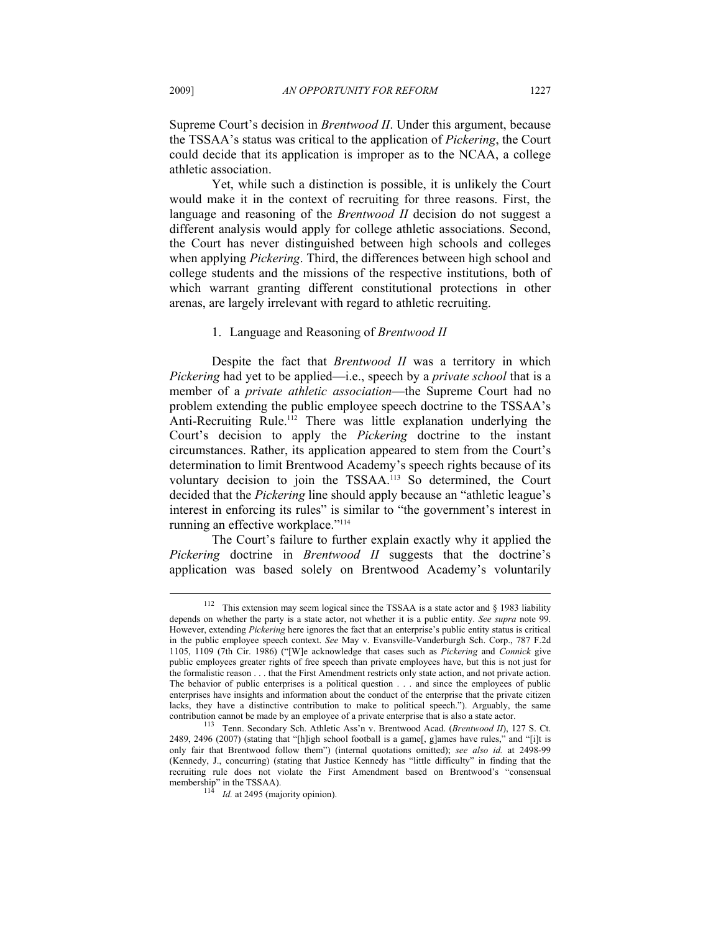Supreme Court's decision in *Brentwood II*. Under this argument, because the TSSAA's status was critical to the application of *Pickering*, the Court could decide that its application is improper as to the NCAA, a college athletic association.

Yet, while such a distinction is possible, it is unlikely the Court would make it in the context of recruiting for three reasons. First, the language and reasoning of the *Brentwood II* decision do not suggest a different analysis would apply for college athletic associations. Second, the Court has never distinguished between high schools and colleges when applying *Pickering*. Third, the differences between high school and college students and the missions of the respective institutions, both of which warrant granting different constitutional protections in other arenas, are largely irrelevant with regard to athletic recruiting.

#### 1. Language and Reasoning of *Brentwood II*

Despite the fact that *Brentwood II* was a territory in which *Pickering* had yet to be applied—i.e., speech by a *private school* that is a member of a *private athletic association*—the Supreme Court had no problem extending the public employee speech doctrine to the TSSAA's Anti-Recruiting Rule.<sup>112</sup> There was little explanation underlying the Court's decision to apply the *Pickering* doctrine to the instant circumstances. Rather, its application appeared to stem from the Court's determination to limit Brentwood Academy's speech rights because of its voluntary decision to join the TSSAA.113 So determined, the Court decided that the *Pickering* line should apply because an "athletic league's interest in enforcing its rules" is similar to "the government's interest in running an effective workplace."<sup>114</sup>

The Court's failure to further explain exactly why it applied the *Pickering* doctrine in *Brentwood II* suggests that the doctrine's application was based solely on Brentwood Academy's voluntarily

<sup>&</sup>lt;sup>112</sup> This extension may seem logical since the TSSAA is a state actor and  $\S$  1983 liability depends on whether the party is a state actor, not whether it is a public entity. *See supra* note 99. However, extending *Pickering* here ignores the fact that an enterprise's public entity status is critical in the public employee speech context. *See* May v. Evansville-Vanderburgh Sch. Corp., 787 F.2d 1105, 1109 (7th Cir. 1986) ("[W]e acknowledge that cases such as *Pickering* and *Connick* give public employees greater rights of free speech than private employees have, but this is not just for the formalistic reason . . . that the First Amendment restricts only state action, and not private action. The behavior of public enterprises is a political question . . . and since the employees of public enterprises have insights and information about the conduct of the enterprise that the private citizen lacks, they have a distinctive contribution to make to political speech."). Arguably, the same contribution cannot be made by an employee of a private enterprise that is also a state actor. 113 Tenn. Secondary Sch. Athletic Ass'n v. Brentwood Acad. (*Brentwood II*), 127 S. Ct.

<sup>2489, 2496 (2007) (</sup>stating that "[h]igh school football is a game[, g]ames have rules," and "[i]t is only fair that Brentwood follow them") (internal quotations omitted); *see also id.* at 2498-99 (Kennedy, J., concurring) (stating that Justice Kennedy has "little difficulty" in finding that the recruiting rule does not violate the First Amendment based on Brentwood's "consensual membership" in the TSSAA).<br><sup>114</sup> *Id.* at 2495 (majority opinion).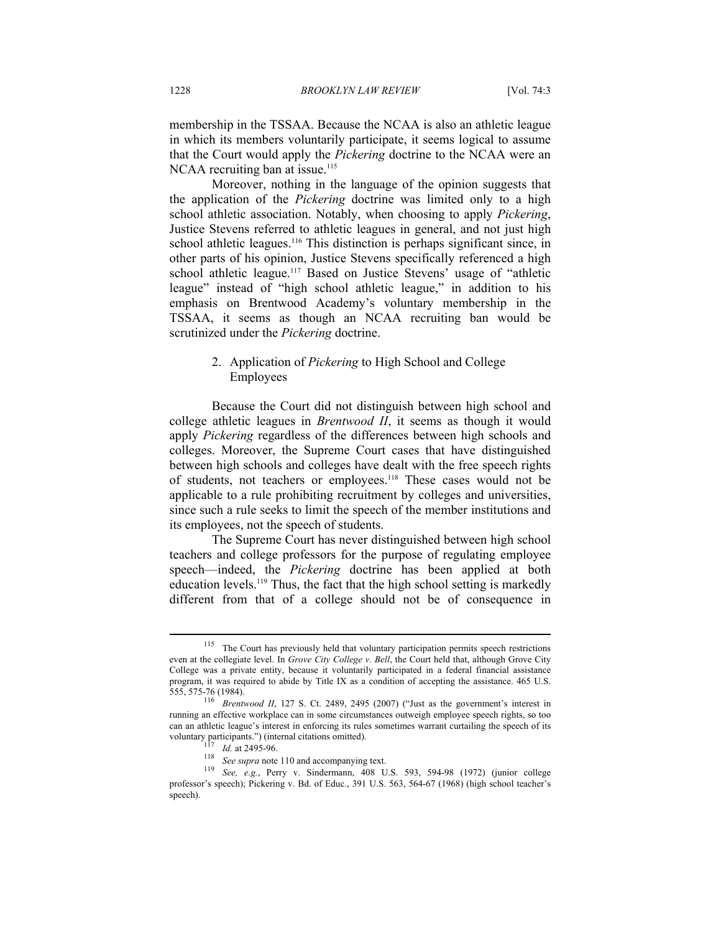membership in the TSSAA. Because the NCAA is also an athletic league in which its members voluntarily participate, it seems logical to assume that the Court would apply the *Pickering* doctrine to the NCAA were an NCAA recruiting ban at issue.<sup>115</sup>

Moreover, nothing in the language of the opinion suggests that the application of the *Pickering* doctrine was limited only to a high school athletic association. Notably, when choosing to apply *Pickering*, Justice Stevens referred to athletic leagues in general, and not just high school athletic leagues.<sup>116</sup> This distinction is perhaps significant since, in other parts of his opinion, Justice Stevens specifically referenced a high school athletic league.<sup>117</sup> Based on Justice Stevens' usage of "athletic league" instead of "high school athletic league," in addition to his emphasis on Brentwood Academy's voluntary membership in the TSSAA, it seems as though an NCAA recruiting ban would be scrutinized under the *Pickering* doctrine.

# 2. Application of *Pickering* to High School and College Employees

Because the Court did not distinguish between high school and college athletic leagues in *Brentwood II*, it seems as though it would apply *Pickering* regardless of the differences between high schools and colleges. Moreover, the Supreme Court cases that have distinguished between high schools and colleges have dealt with the free speech rights of students, not teachers or employees.118 These cases would not be applicable to a rule prohibiting recruitment by colleges and universities, since such a rule seeks to limit the speech of the member institutions and its employees, not the speech of students.

The Supreme Court has never distinguished between high school teachers and college professors for the purpose of regulating employee speech—indeed, the *Pickering* doctrine has been applied at both education levels.119 Thus, the fact that the high school setting is markedly different from that of a college should not be of consequence in

<sup>&</sup>lt;sup>115</sup> The Court has previously held that voluntary participation permits speech restrictions even at the collegiate level. In *Grove City College v. Bell*, the Court held that, although Grove City College was a private entity, because it voluntarily participated in a federal financial assistance program, it was required to abide by Title IX as a condition of accepting the assistance. 465 U.S. 555, 575-76 (1984). 116 *Brentwood II*, 127 S. Ct. 2489, 2495 (2007) ("Just as the government's interest in

running an effective workplace can in some circumstances outweigh employee speech rights, so too can an athletic league's interest in enforcing its rules sometimes warrant curtailing the speech of its voluntary participants.") (internal citations omitted).

volume 117 *Id.* at 2495-96.<br><sup>118</sup> See supra note 110 and accompanying text.<br><sup>119</sup> See, e.g., Perry v. Sindermann, 408 U.S. 593, 594-98 (1972) (junior college professor's speech); Pickering v. Bd. of Educ., 391 U.S. 563, 564-67 (1968) (high school teacher's speech).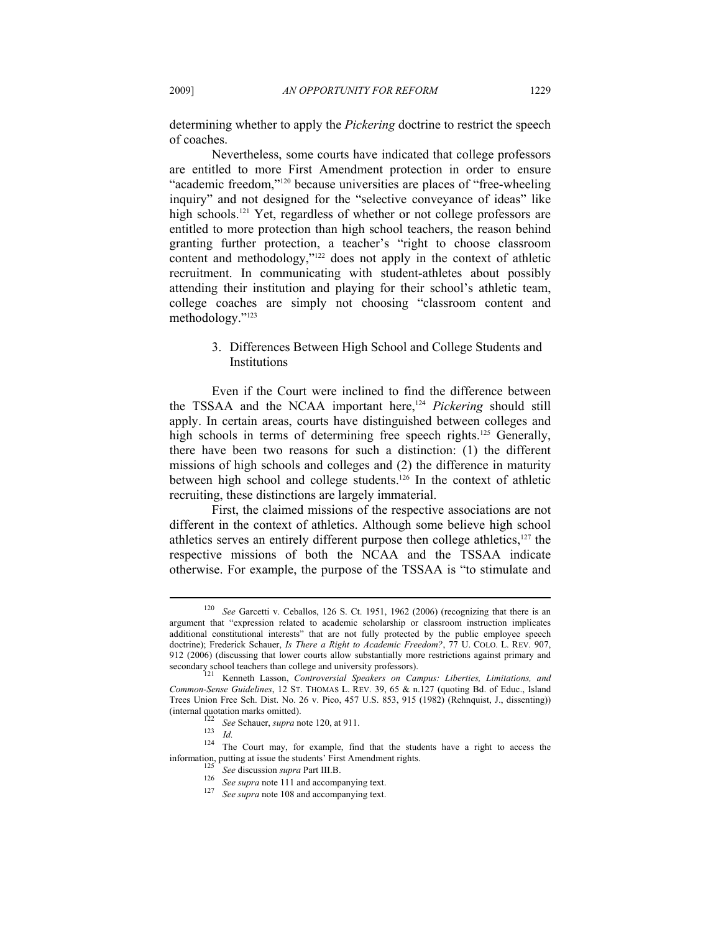determining whether to apply the *Pickering* doctrine to restrict the speech of coaches.

Nevertheless, some courts have indicated that college professors are entitled to more First Amendment protection in order to ensure "academic freedom,"120 because universities are places of "free-wheeling inquiry" and not designed for the "selective conveyance of ideas" like high schools.<sup>121</sup> Yet, regardless of whether or not college professors are entitled to more protection than high school teachers, the reason behind granting further protection, a teacher's "right to choose classroom content and methodology,"<sup>122</sup> does not apply in the context of athletic recruitment. In communicating with student-athletes about possibly attending their institution and playing for their school's athletic team, college coaches are simply not choosing "classroom content and methodology."123

> 3. Differences Between High School and College Students and Institutions

Even if the Court were inclined to find the difference between the TSSAA and the NCAA important here,124 *Pickering* should still apply. In certain areas, courts have distinguished between colleges and high schools in terms of determining free speech rights.<sup>125</sup> Generally, there have been two reasons for such a distinction: (1) the different missions of high schools and colleges and (2) the difference in maturity between high school and college students.126 In the context of athletic recruiting, these distinctions are largely immaterial.

First, the claimed missions of the respective associations are not different in the context of athletics. Although some believe high school athletics serves an entirely different purpose then college athletics, $127$  the respective missions of both the NCAA and the TSSAA indicate otherwise. For example, the purpose of the TSSAA is "to stimulate and

<sup>120</sup> *See* Garcetti v. Ceballos, 126 S. Ct. 1951, 1962 (2006) (recognizing that there is an argument that "expression related to academic scholarship or classroom instruction implicates additional constitutional interests" that are not fully protected by the public employee speech doctrine); Frederick Schauer, *Is There a Right to Academic Freedom?*, 77 U. COLO. L. REV. 907, 912 (2006) (discussing that lower courts allow substantially more restrictions against primary and secondary school teachers than college and university professors).<br><sup>121</sup> Kenneth Lasson, *Controversial Speakers on Campus: Liberties, Limitations, and* 

*Common-Sense Guidelines*, 12 ST. THOMAS L. REV. 39, 65 & n.127 (quoting Bd. of Educ., Island Trees Union Free Sch. Dist. No. 26 v. Pico, 457 U.S. 853, 915 (1982) (Rehnquist, J., dissenting))

<sup>(</sup>internal quotation marks omitted). 122 *See* Schauer, *supra* note 120, at 911. 123 *Id.* 124 The Court may, for example, find that the students have a right to access the information, putting at issue the students' First Amendment rights.<br>
<sup>125</sup> See discussion *supra* Part III.B.<br>
<sup>126</sup> See supra note 111 and accompanying text.<br>
<sup>127</sup> See supra note 108 and accompanying text.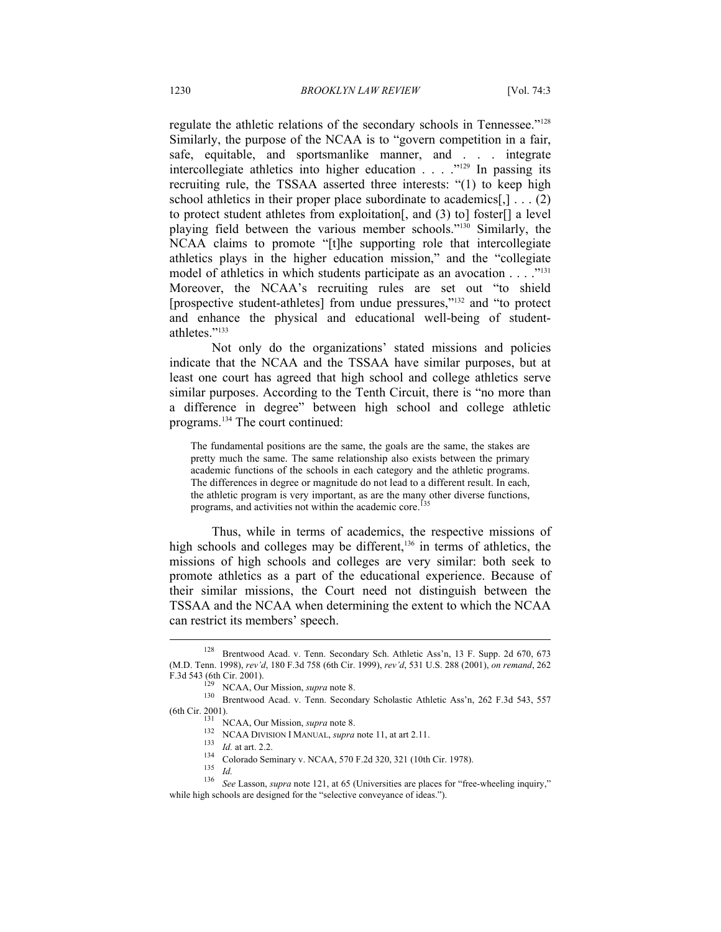regulate the athletic relations of the secondary schools in Tennessee."128 Similarly, the purpose of the NCAA is to "govern competition in a fair, safe, equitable, and sportsmanlike manner, and . . . integrate intercollegiate athletics into higher education . . . . "<sup>129</sup> In passing its recruiting rule, the TSSAA asserted three interests: "(1) to keep high school athletics in their proper place subordinate to academics $[,] \ldots (2)$ to protect student athletes from exploitation[, and (3) to] foster[] a level playing field between the various member schools."130 Similarly, the NCAA claims to promote "[t]he supporting role that intercollegiate athletics plays in the higher education mission," and the "collegiate model of athletics in which students participate as an avocation . . . . "<sup>131</sup> Moreover, the NCAA's recruiting rules are set out "to shield [prospective student-athletes] from undue pressures,"132 and "to protect and enhance the physical and educational well-being of studentathletes<sup>"133</sup>

Not only do the organizations' stated missions and policies indicate that the NCAA and the TSSAA have similar purposes, but at least one court has agreed that high school and college athletics serve similar purposes. According to the Tenth Circuit, there is "no more than a difference in degree" between high school and college athletic programs.134 The court continued:

The fundamental positions are the same, the goals are the same, the stakes are pretty much the same. The same relationship also exists between the primary academic functions of the schools in each category and the athletic programs. The differences in degree or magnitude do not lead to a different result. In each, the athletic program is very important, as are the many other diverse functions, programs, and activities not within the academic core.<sup>13</sup>

Thus, while in terms of academics, the respective missions of high schools and colleges may be different,<sup>136</sup> in terms of athletics, the missions of high schools and colleges are very similar: both seek to promote athletics as a part of the educational experience. Because of their similar missions, the Court need not distinguish between the TSSAA and the NCAA when determining the extent to which the NCAA can restrict its members' speech.

<sup>128</sup> Brentwood Acad. v. Tenn. Secondary Sch. Athletic Ass'n, 13 F. Supp. 2d 670, 673 (M.D. Tenn. 1998), *rev'd*, 180 F.3d 758 (6th Cir. 1999), *rev'd*, 531 U.S. 288 (2001), *on remand*, 262 F.3d 543 (6th Cir. 2001). 129 NCAA, Our Mission, *supra* note 8. 130 Brentwood Acad. v. Tenn. Secondary Scholastic Athletic Ass'n, 262 F.3d 543, 557

<sup>(6</sup>th Cir. 2001).<br>
131 NCAA, Our Mission, *supra* note 8.<br>
132 NCAA DIVISION I MANUAL, *supra* note 11, at art 2.11.<br>
133 Id. at art. 2.2.<br>
134 Colorado Seminary v. NCAA, 570 F.2d 320, 321 (10th Cir. 1978).<br>
135 Id.<br>
136 S while high schools are designed for the "selective conveyance of ideas.").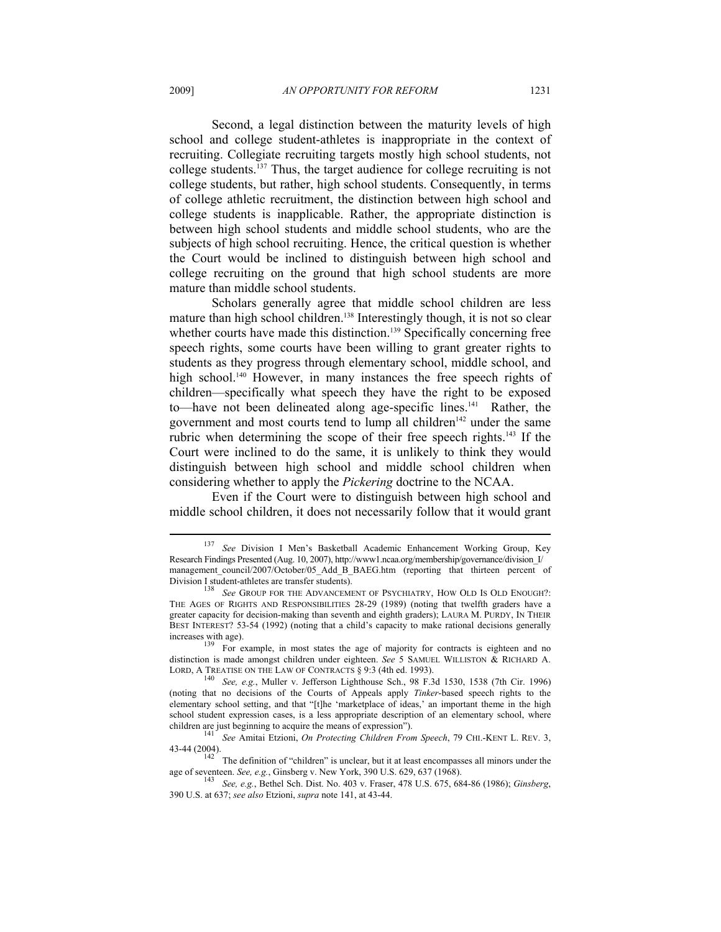Second, a legal distinction between the maturity levels of high school and college student-athletes is inappropriate in the context of recruiting. Collegiate recruiting targets mostly high school students, not college students.137 Thus, the target audience for college recruiting is not college students, but rather, high school students. Consequently, in terms of college athletic recruitment, the distinction between high school and college students is inapplicable. Rather, the appropriate distinction is between high school students and middle school students, who are the subjects of high school recruiting. Hence, the critical question is whether the Court would be inclined to distinguish between high school and college recruiting on the ground that high school students are more mature than middle school students.

Scholars generally agree that middle school children are less mature than high school children.<sup>138</sup> Interestingly though, it is not so clear whether courts have made this distinction.<sup>139</sup> Specifically concerning free speech rights, some courts have been willing to grant greater rights to students as they progress through elementary school, middle school, and high school.<sup>140</sup> However, in many instances the free speech rights of children—specifically what speech they have the right to be exposed to—have not been delineated along age-specific lines.<sup>141</sup> Rather, the government and most courts tend to lump all children<sup>142</sup> under the same rubric when determining the scope of their free speech rights.<sup>143</sup> If the Court were inclined to do the same, it is unlikely to think they would distinguish between high school and middle school children when considering whether to apply the *Pickering* doctrine to the NCAA.

Even if the Court were to distinguish between high school and middle school children, it does not necessarily follow that it would grant

43-44 (2004). 142 The definition of "children" is unclear, but it at least encompasses all minors under the

age of seventeen. *See, e.g.*, Ginsberg v. New York, 390 U.S. 629, 637 (1968).<br><sup>143</sup> *See, e.g.*, Bethel Sch. Dist. No. 403 v. Fraser, 478 U.S. 675, 684-86 (1986); *Ginsberg*,

<sup>137</sup> *See* Division I Men's Basketball Academic Enhancement Working Group, Key Research Findings Presented (Aug. 10, 2007), http://www1.ncaa.org/membership/governance/division\_I/ management\_council/2007/October/05\_Add\_B\_BAEG.htm (reporting that thirteen percent of Division I student-athletes are transfer students). 138 *See* GROUP FOR THE ADVANCEMENT OF PSYCHIATRY, HOW OLD IS OLD ENOUGH?:

THE AGES OF RIGHTS AND RESPONSIBILITIES 28-29 (1989) (noting that twelfth graders have a greater capacity for decision-making than seventh and eighth graders); LAURA M. PURDY, IN THEIR BEST INTEREST? 53-54 (1992) (noting that a child's capacity to make rational decisions generally

increases with age).<br><sup>139</sup> For example, in most states the age of majority for contracts is eighteen and no distinction is made amongst children under eighteen. *See* 5 SAMUEL WILLISTON & RICHARD A.

LORD, A TREATISE ON THE LAW OF CONTRACTS § 9:3 (4th ed. 1993). 140 *See, e.g.*, Muller v. Jefferson Lighthouse Sch., 98 F.3d 1530, 1538 (7th Cir. 1996) (noting that no decisions of the Courts of Appeals apply *Tinker*-based speech rights to the elementary school setting, and that "[t]he 'marketplace of ideas,' an important theme in the high school student expression cases, is a less appropriate description of an elementary school, where children are just beginning to acquire the means of expression"). 141 *See* Amitai Etzioni, *On Protecting Children From Speech*, 79 CHI.-KENT L. REV. 3,

<sup>390</sup> U.S. at 637; *see also* Etzioni, *supra* note 141, at 43-44.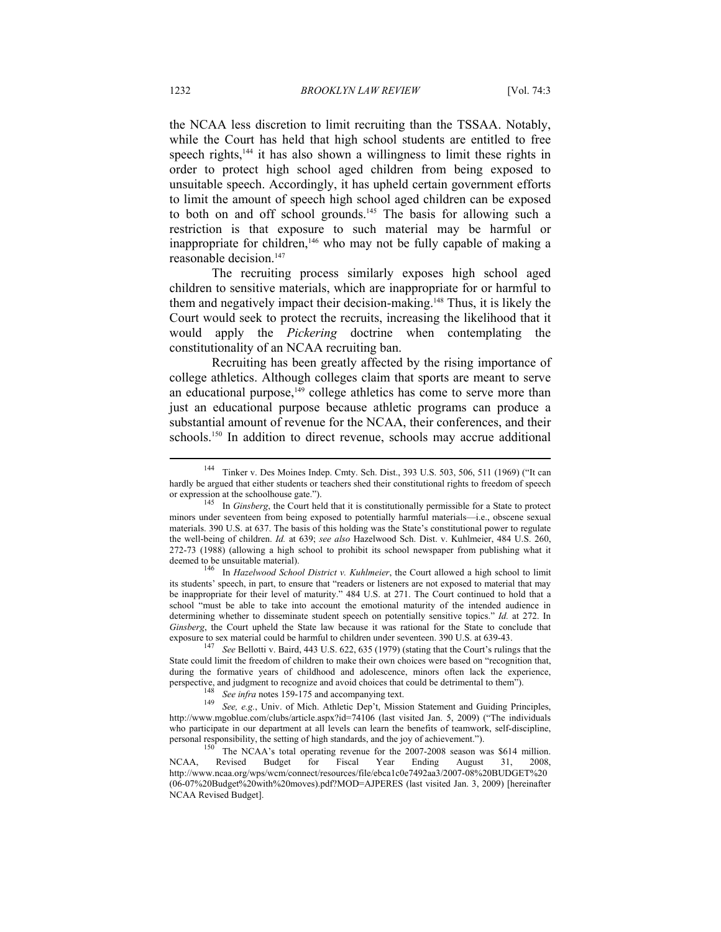the NCAA less discretion to limit recruiting than the TSSAA. Notably, while the Court has held that high school students are entitled to free speech rights,<sup>144</sup> it has also shown a willingness to limit these rights in order to protect high school aged children from being exposed to unsuitable speech. Accordingly, it has upheld certain government efforts to limit the amount of speech high school aged children can be exposed to both on and off school grounds.<sup>145</sup> The basis for allowing such a restriction is that exposure to such material may be harmful or inappropriate for children,<sup>146</sup> who may not be fully capable of making a reasonable decision.<sup>147</sup>

The recruiting process similarly exposes high school aged children to sensitive materials, which are inappropriate for or harmful to them and negatively impact their decision-making.148 Thus, it is likely the Court would seek to protect the recruits, increasing the likelihood that it would apply the *Pickering* doctrine when contemplating the constitutionality of an NCAA recruiting ban.

Recruiting has been greatly affected by the rising importance of college athletics. Although colleges claim that sports are meant to serve an educational purpose,<sup>149</sup> college athletics has come to serve more than just an educational purpose because athletic programs can produce a substantial amount of revenue for the NCAA, their conferences, and their schools.<sup>150</sup> In addition to direct revenue, schools may accrue additional

its students' speech, in part, to ensure that "readers or listeners are not exposed to material that may be inappropriate for their level of maturity." 484 U.S. at 271. The Court continued to hold that a school "must be able to take into account the emotional maturity of the intended audience in determining whether to disseminate student speech on potentially sensitive topics." *Id.* at 272. In *Ginsberg*, the Court upheld the State law because it was rational for the State to conclude that exposure to sex material could be harmful to children under seventeen. 390 U.S. at 639-43.

<sup>147</sup> *See* Bellotti v. Baird, 443 U.S. 622, 635 (1979) (stating that the Court's rulings that the State could limit the freedom of children to make their own choices were based on "recognition that, during the formative years of childhood and adolescence, minors often lack the experience,

perspective, and judgment to recognize and avoid choices that could be detrimental to them").<br>
<sup>148</sup> See infra notes 159-175 and accompanying text.<br>
<sup>149</sup> See, e.g., Univ. of Mich. Athletic Dep't, Mission Statement and Gui http://www.mgoblue.com/clubs/article.aspx?id=74106 (last visited Jan. 5, 2009) ("The individuals who participate in our department at all levels can learn the benefits of teamwork, self-discipline, personal responsibility, the setting of high standards, and the joy of achievement.").<br><sup>150</sup> The NCAA's total operating revenue for the 2007-2008 season was \$614 million.

NCAA, Revised Budget for Fiscal Year Ending August 31, 2008, http://www.ncaa.org/wps/wcm/connect/resources/file/ebca1c0e7492aa3/2007-08%20BUDGET%20 (06-07%20Budget%20with%20moves).pdf?MOD=AJPERES (last visited Jan. 3, 2009) [hereinafter NCAA Revised Budget].

<sup>144</sup> Tinker v. Des Moines Indep. Cmty. Sch. Dist., 393 U.S. 503, 506, 511 (1969) ("It can hardly be argued that either students or teachers shed their constitutional rights to freedom of speech or expression at the schoolhouse gate.").

<sup>&</sup>lt;sup>145</sup> In *Ginsberg*, the Court held that it is constitutionally permissible for a State to protect minors under seventeen from being exposed to potentially harmful materials—i.e., obscene sexual materials. 390 U.S. at 637. The basis of this holding was the State's constitutional power to regulate the well-being of children. *Id.* at 639; *see also* Hazelwood Sch. Dist. v. Kuhlmeier, 484 U.S. 260, 272-73 (1988) (allowing a high school to prohibit its school newspaper from publishing what it deemed to be unsuitable material).<br><sup>146</sup> In *Hazelwood School District v. Kuhlmeier*, the Court allowed a high school to limit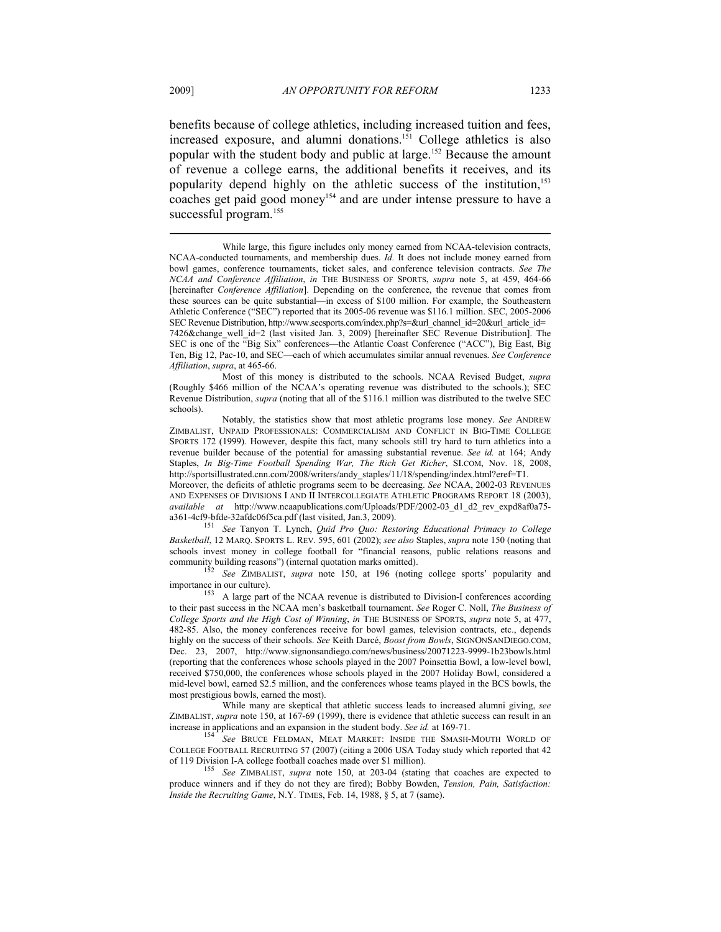benefits because of college athletics, including increased tuition and fees, increased exposure, and alumni donations.151 College athletics is also popular with the student body and public at large.152 Because the amount of revenue a college earns, the additional benefits it receives, and its popularity depend highly on the athletic success of the institution,<sup>153</sup> coaches get paid good money<sup>154</sup> and are under intense pressure to have a successful program.<sup>155</sup>

 Most of this money is distributed to the schools. NCAA Revised Budget, *supra* (Roughly \$466 million of the NCAA's operating revenue was distributed to the schools.); SEC Revenue Distribution, *supra* (noting that all of the \$116.1 million was distributed to the twelve SEC schools).

 Notably, the statistics show that most athletic programs lose money. *See* ANDREW ZIMBALIST, UNPAID PROFESSIONALS: COMMERCIALISM AND CONFLICT IN BIG-TIME COLLEGE SPORTS 172 (1999). However, despite this fact, many schools still try hard to turn athletics into a revenue builder because of the potential for amassing substantial revenue. *See id.* at 164; Andy Staples, *In Big-Time Football Spending War, The Rich Get Richer*, SI.COM, Nov. 18, 2008, http://sportsillustrated.cnn.com/2008/writers/andy\_staples/11/18/spending/index.html?eref=T1.

Moreover, the deficits of athletic programs seem to be decreasing. *See* NCAA, 2002-03 REVENUES AND EXPENSES OF DIVISIONS I AND II INTERCOLLEGIATE ATHLETIC PROGRAMS REPORT 18 (2003), *available at* http://www.ncaapublications.com/Uploads/PDF/2002-03\_d1\_d2\_rev\_expd8af0a75-

a361-4cf9-bfde-32afdc06f5ca.pdf (last visited, Jan.3, 2009). 151 *See* Tanyon T. Lynch, *Quid Pro Quo: Restoring Educational Primacy to College Basketball*, 12 MARQ. SPORTS L. REV. 595, 601 (2002); *see also* Staples, *supra* note 150 (noting that schools invest money in college football for "financial reasons, public relations reasons and community building reasons") (internal quotation marks omitted).

See ZIMBALIST, *supra* note 150, at 196 (noting college sports' popularity and

importance in our culture). 153 A large part of the NCAA revenue is distributed to Division-I conferences according to their past success in the NCAA men's basketball tournament. *See* Roger C. Noll, *The Business of College Sports and the High Cost of Winning*, *in* THE BUSINESS OF SPORTS, *supra* note 5, at 477, 482-85. Also, the money conferences receive for bowl games, television contracts, etc., depends highly on the success of their schools. *See* Keith Darcé, *Boost from Bowls*, SIGNONSANDIEGO.COM, Dec. 23, 2007, http://www.signonsandiego.com/news/business/20071223-9999-1b23bowls.html (reporting that the conferences whose schools played in the 2007 Poinsettia Bowl, a low-level bowl, received \$750,000, the conferences whose schools played in the 2007 Holiday Bowl, considered a mid-level bowl, earned \$2.5 million, and the conferences whose teams played in the BCS bowls, the most prestigious bowls, earned the most).

 While many are skeptical that athletic success leads to increased alumni giving, *see* ZIMBALIST, *supra* note 150, at 167-69 (1999), there is evidence that athletic success can result in an increase in applications and an expansion in the student body. *See id.* at 169-71.

increase in applications and an expansion in the student body. *See id.* at 169-71. 154 *See* BRUCE FELDMAN, MEAT MARKET: INSIDE THE SMASH-MOUTH WORLD OF COLLEGE FOOTBALL RECRUITING 57 (2007) (citing a 2006 USA Today study which reported that 42 of 119 Division I-A college football coaches made over \$1 million). 155 *See* ZIMBALIST, *supra* note 150, at 203-04 (stating that coaches are expected to

produce winners and if they do not they are fired); Bobby Bowden, *Tension, Pain, Satisfaction: Inside the Recruiting Game*, N.Y. TIMES, Feb. 14, 1988, § 5, at 7 (same).

While large, this figure includes only money earned from NCAA-television contracts, NCAA-conducted tournaments, and membership dues. *Id.* It does not include money earned from bowl games, conference tournaments, ticket sales, and conference television contracts. *See The NCAA and Conference Affiliation*, *in* THE BUSINESS OF SPORTS, *supra* note 5, at 459, 464-66 [hereinafter *Conference Affiliation*]. Depending on the conference, the revenue that comes from these sources can be quite substantial—in excess of \$100 million. For example, the Southeastern Athletic Conference ("SEC") reported that its 2005-06 revenue was \$116.1 million. SEC, 2005-2006 SEC Revenue Distribution, http://www.secsports.com/index.php?s=&url\_channel\_id=20&url\_article\_id= 7426&change well id=2 (last visited Jan. 3, 2009) [hereinafter SEC Revenue Distribution]. The SEC is one of the "Big Six" conferences—the Atlantic Coast Conference ("ACC"), Big East, Big Ten, Big 12, Pac-10, and SEC—each of which accumulates similar annual revenues. *See Conference Affiliation*, *supra*, at 465-66.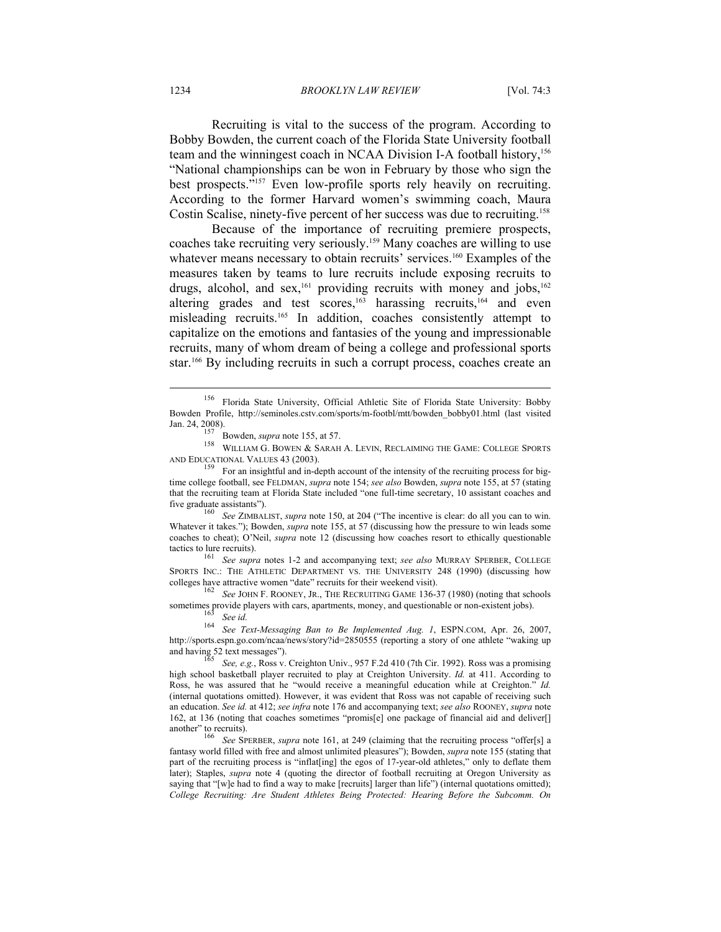1234 *BROOKLYN LAW REVIEW* [Vol. 74:3

Recruiting is vital to the success of the program. According to Bobby Bowden, the current coach of the Florida State University football team and the winningest coach in NCAA Division I-A football history,<sup>156</sup> "National championships can be won in February by those who sign the best prospects."157 Even low-profile sports rely heavily on recruiting. According to the former Harvard women's swimming coach, Maura Costin Scalise, ninety-five percent of her success was due to recruiting.<sup>158</sup>

Because of the importance of recruiting premiere prospects, coaches take recruiting very seriously.159 Many coaches are willing to use whatever means necessary to obtain recruits' services.<sup>160</sup> Examples of the measures taken by teams to lure recruits include exposing recruits to drugs, alcohol, and sex,<sup>161</sup> providing recruits with money and jobs,<sup>162</sup> altering grades and test scores,<sup>163</sup> harassing recruits,<sup>164</sup> and even misleading recruits.165 In addition, coaches consistently attempt to capitalize on the emotions and fantasies of the young and impressionable recruits, many of whom dream of being a college and professional sports star.<sup>166</sup> By including recruits in such a corrupt process, coaches create an

Jan. 24, 2008). 157 Bowden, *supra* note 155, at 57. 158 WILLIAM G. BOWEN & SARAH A. LEVIN, RECLAIMING THE GAME: COLLEGE SPORTS

<sup>160</sup> See ZIMBALIST, *supra* note 150, at 204 ("The incentive is clear: do all you can to win. Whatever it takes."); Bowden, *supra* note 155, at 57 (discussing how the pressure to win leads some coaches to cheat); O'Neil, *supra* note 12 (discussing how coaches resort to ethically questionable tactics to lure recruits). 161 *See supra* notes 1-2 and accompanying text; *see also* MURRAY SPERBER, COLLEGE

SPORTS INC.: THE ATHLETIC DEPARTMENT VS. THE UNIVERSITY 248 (1990) (discussing how colleges have attractive women "date" recruits for their weekend visit).

See JOHN F. ROONEY, JR., THE RECRUITING GAME 136-37 (1980) (noting that schools sometimes provide players with cars, apartments, money, and questionable or non-existent jobs).<br><sup>163</sup> *See id.* <sup>164</sup> *See Text-Messaging Ban to Be Implemented Aug. 1*, ESPN.COM, Apr. 26, 2007,

http://sports.espn.go.com/ncaa/news/story?id=2850555 (reporting a story of one athlete "waking up and having 52 text messages").<br><sup>165</sup> See, e.g., Ross v. Creighton Univ., 957 F.2d 410 (7th Cir. 1992). Ross was a promising

high school basketball player recruited to play at Creighton University. *Id.* at 411. According to Ross, he was assured that he "would receive a meaningful education while at Creighton." *Id.*  (internal quotations omitted). However, it was evident that Ross was not capable of receiving such an education. *See id.* at 412; *see infra* note 176 and accompanying text; *see also* ROONEY, *supra* note 162, at 136 (noting that coaches sometimes "promis[e] one package of financial aid and deliver[] another" to recruits). 166 *See* SPERBER, *supra* note 161, at 249 (claiming that the recruiting process "offer[s] a

fantasy world filled with free and almost unlimited pleasures"); Bowden, *supra* note 155 (stating that part of the recruiting process is "inflat[ing] the egos of 17-year-old athletes," only to deflate them later); Staples, *supra* note 4 (quoting the director of football recruiting at Oregon University as saying that "[w]e had to find a way to make [recruits] larger than life") (internal quotations omitted); *College Recruiting: Are Student Athletes Being Protected: Hearing Before the Subcomm. On* 

<sup>156</sup> Florida State University, Official Athletic Site of Florida State University: Bobby Bowden Profile, http://seminoles.cstv.com/sports/m-footbl/mtt/bowden\_bobby01.html (last visited

AND EDUCATIONAL VALUES 43 (2003).<br><sup>159</sup> For an insightful and in-depth account of the intensity of the recruiting process for bigtime college football, see FELDMAN, *supra* note 154; *see also* Bowden, *supra* note 155, at 57 (stating that the recruiting team at Florida State included "one full-time secretary, 10 assistant coaches and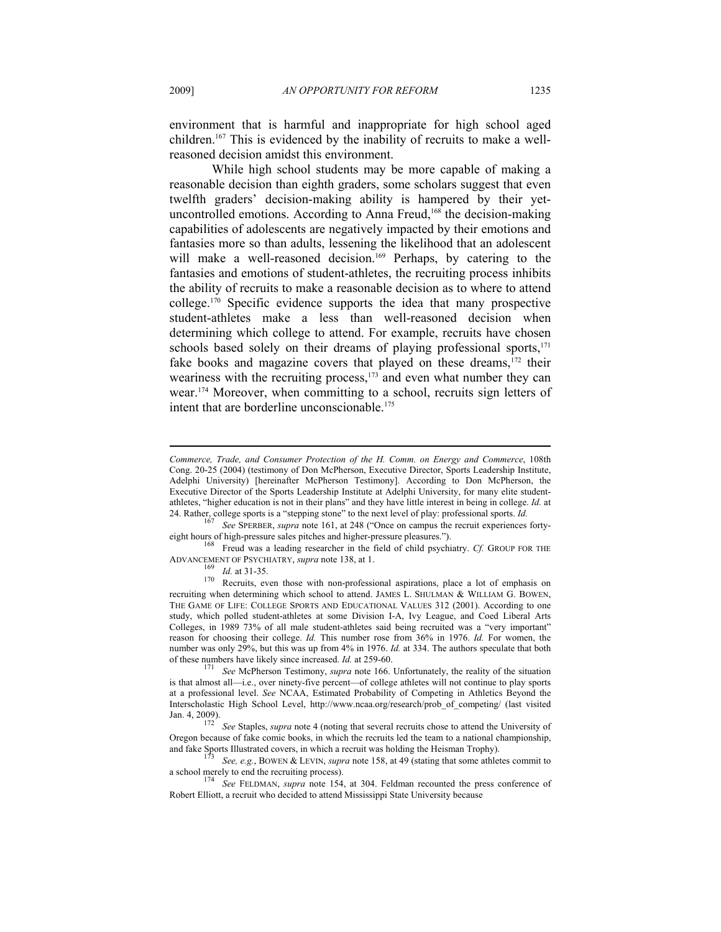environment that is harmful and inappropriate for high school aged children.167 This is evidenced by the inability of recruits to make a wellreasoned decision amidst this environment.

While high school students may be more capable of making a reasonable decision than eighth graders, some scholars suggest that even twelfth graders' decision-making ability is hampered by their yetuncontrolled emotions. According to Anna Freud,<sup>168</sup> the decision-making capabilities of adolescents are negatively impacted by their emotions and fantasies more so than adults, lessening the likelihood that an adolescent will make a well-reasoned decision.<sup>169</sup> Perhaps, by catering to the fantasies and emotions of student-athletes, the recruiting process inhibits the ability of recruits to make a reasonable decision as to where to attend college.170 Specific evidence supports the idea that many prospective student-athletes make a less than well-reasoned decision when determining which college to attend. For example, recruits have chosen schools based solely on their dreams of playing professional sports, $171$ fake books and magazine covers that played on these dreams,<sup>172</sup> their weariness with the recruiting process, $173$  and even what number they can wear.174 Moreover, when committing to a school, recruits sign letters of intent that are borderline unconscionable.<sup>175</sup>

*Commerce, Trade, and Consumer Protection of the H. Comm. on Energy and Commerce*, 108th Cong. 20-25 (2004) (testimony of Don McPherson, Executive Director, Sports Leadership Institute, Adelphi University) [hereinafter McPherson Testimony]. According to Don McPherson, the Executive Director of the Sports Leadership Institute at Adelphi University, for many elite studentathletes, "higher education is not in their plans" and they have little interest in being in college. *Id.* at 24. Rather, college sports is a "stepping stone" to the next level of play: professional sports. *Id.* 167 *See* SPERBER, *supra* note 161, at 248 ("Once on campus the recruit experiences forty-

eight hours of high-pressure sales pitches and higher-pressure pleasures."). 168 Freud was a leading researcher in the field of child psychiatry. *Cf.* GROUP FOR THE

ADVANCEMENT OF PSYCHIATRY, *supra* note 138, at 1.<br><sup>169</sup> *Id.* at 31-35.<br>Recruits, even those with non-professional aspirations, place a lot of emphasis on<br> $\frac{170}{6}$  Recruits, even those with non-professional aspirations recruiting when determining which school to attend. JAMES L. SHULMAN & WILLIAM G. BOWEN, THE GAME OF LIFE: COLLEGE SPORTS AND EDUCATIONAL VALUES 312 (2001). According to one study, which polled student-athletes at some Division I-A, Ivy League, and Coed Liberal Arts Colleges, in 1989 73% of all male student-athletes said being recruited was a "very important" reason for choosing their college. *Id.* This number rose from 36% in 1976. *Id.* For women, the number was only 29%, but this was up from 4% in 1976. *Id.* at 334. The authors speculate that both of these numbers have likely since increased. *Id.* at 259-60.

<sup>&</sup>lt;sup>171</sup> See McPherson Testimony, *supra* note 166. Unfortunately, the reality of the situation is that almost all—i.e., over ninety-five percent—of college athletes will not continue to play sports at a professional level. *See* NCAA, Estimated Probability of Competing in Athletics Beyond the Interscholastic High School Level, http://www.ncaa.org/research/prob\_of\_competing/ (last visited

Jan. 4, 2009). 172 *See* Staples, *supra* note 4 (noting that several recruits chose to attend the University of Oregon because of fake comic books, in which the recruits led the team to a national championship, and fake Sports Illustrated covers, in which a recruit was holding the Heisman Trophy).

<sup>&</sup>lt;sup>1/3</sup> See, e.g., BOWEN & LEVIN, *supra* note 158, at 49 (stating that some athletes commit to a school merely to end the recruiting process). <sup>174</sup> See EX NAME

See FELDMAN, *supra* note 154, at 304. Feldman recounted the press conference of Robert Elliott, a recruit who decided to attend Mississippi State University because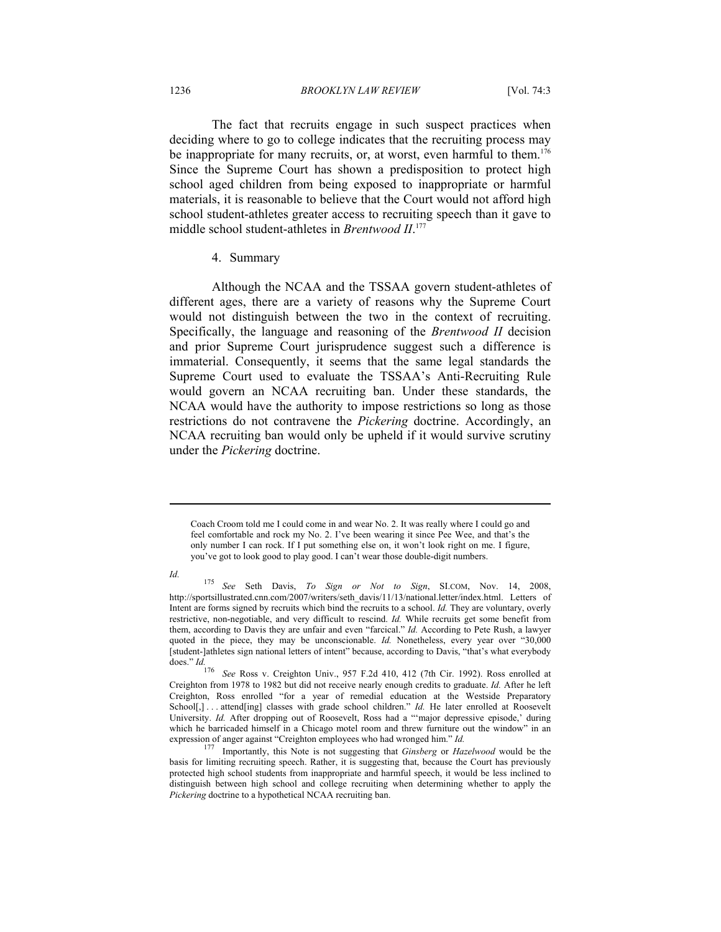#### 1236 *BROOKLYN LAW REVIEW* [Vol. 74:3

The fact that recruits engage in such suspect practices when deciding where to go to college indicates that the recruiting process may be inappropriate for many recruits, or, at worst, even harmful to them.<sup>176</sup> Since the Supreme Court has shown a predisposition to protect high school aged children from being exposed to inappropriate or harmful materials, it is reasonable to believe that the Court would not afford high school student-athletes greater access to recruiting speech than it gave to middle school student-athletes in *Brentwood II*. 177

#### 4. Summary

Although the NCAA and the TSSAA govern student-athletes of different ages, there are a variety of reasons why the Supreme Court would not distinguish between the two in the context of recruiting. Specifically, the language and reasoning of the *Brentwood II* decision and prior Supreme Court jurisprudence suggest such a difference is immaterial. Consequently, it seems that the same legal standards the Supreme Court used to evaluate the TSSAA's Anti-Recruiting Rule would govern an NCAA recruiting ban. Under these standards, the NCAA would have the authority to impose restrictions so long as those restrictions do not contravene the *Pickering* doctrine. Accordingly, an NCAA recruiting ban would only be upheld if it would survive scrutiny under the *Pickering* doctrine.

Coach Croom told me I could come in and wear No. 2. It was really where I could go and feel comfortable and rock my No. 2. I've been wearing it since Pee Wee, and that's the only number I can rock. If I put something else on, it won't look right on me. I figure, you've got to look good to play good. I can't wear those double-digit numbers.

*Id.* 175 *See* Seth Davis, *To Sign or Not to Sign*, SI.COM, Nov. 14, 2008, http://sportsillustrated.cnn.com/2007/writers/seth\_davis/11/13/national.letter/index.html. Letters of Intent are forms signed by recruits which bind the recruits to a school. *Id.* They are voluntary, overly restrictive, non-negotiable, and very difficult to rescind. *Id.* While recruits get some benefit from them, according to Davis they are unfair and even "farcical." *Id.* According to Pete Rush, a lawyer quoted in the piece, they may be unconscionable. *Id.* Nonetheless, every year over "30,000" [student-]athletes sign national letters of intent" because, according to Davis, "that's what everybody does." *Id.*

<sup>176</sup> *See* Ross v. Creighton Univ., 957 F.2d 410, 412 (7th Cir. 1992). Ross enrolled at Creighton from 1978 to 1982 but did not receive nearly enough credits to graduate. *Id.* After he left Creighton, Ross enrolled "for a year of remedial education at the Westside Preparatory School[,] ... attend[ing] classes with grade school children." *Id.* He later enrolled at Roosevelt University. *Id.* After dropping out of Roosevelt, Ross had a "'major depressive episode,' during which he barricaded himself in a Chicago motel room and threw furniture out the window" in an expression of anger against "Creighton employees who had wronged him."  $Id$ .

<sup>&</sup>lt;sup>177</sup> Importantly, this Note is not suggesting that *Ginsberg* or *Hazelwood* would be the basis for limiting recruiting speech. Rather, it is suggesting that, because the Court has previously protected high school students from inappropriate and harmful speech, it would be less inclined to distinguish between high school and college recruiting when determining whether to apply the *Pickering* doctrine to a hypothetical NCAA recruiting ban.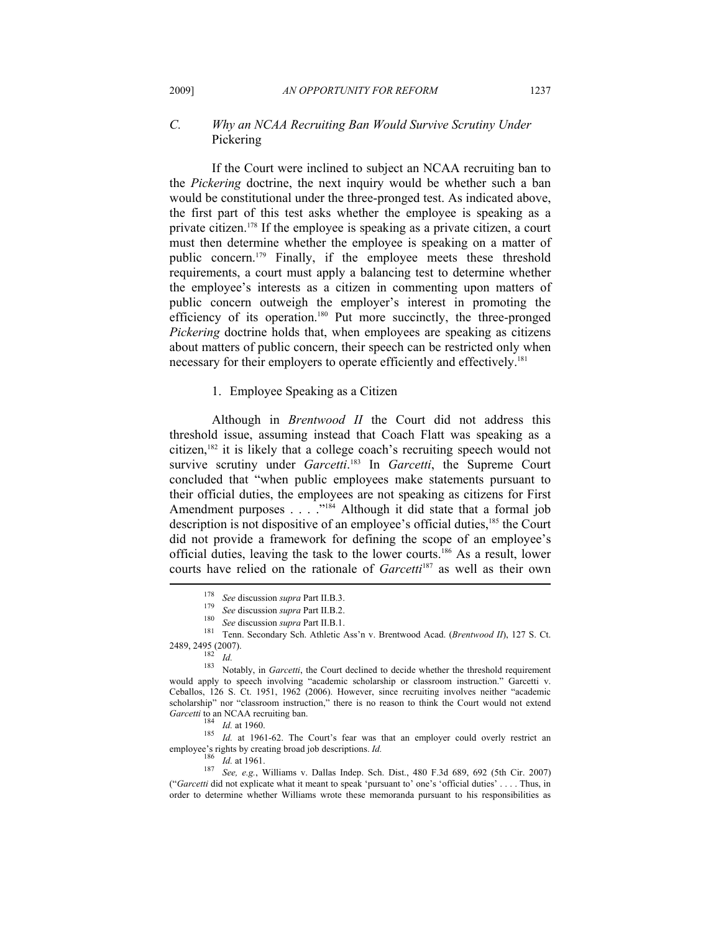# *C. Why an NCAA Recruiting Ban Would Survive Scrutiny Under*  Pickering

If the Court were inclined to subject an NCAA recruiting ban to the *Pickering* doctrine, the next inquiry would be whether such a ban would be constitutional under the three-pronged test. As indicated above, the first part of this test asks whether the employee is speaking as a private citizen.178 If the employee is speaking as a private citizen, a court must then determine whether the employee is speaking on a matter of public concern.179 Finally, if the employee meets these threshold requirements, a court must apply a balancing test to determine whether the employee's interests as a citizen in commenting upon matters of public concern outweigh the employer's interest in promoting the efficiency of its operation.<sup>180</sup> Put more succinctly, the three-pronged *Pickering* doctrine holds that, when employees are speaking as citizens about matters of public concern, their speech can be restricted only when necessary for their employers to operate efficiently and effectively.<sup>181</sup>

# 1. Employee Speaking as a Citizen

Although in *Brentwood II* the Court did not address this threshold issue, assuming instead that Coach Flatt was speaking as a citizen,182 it is likely that a college coach's recruiting speech would not survive scrutiny under *Garcetti*. 183 In *Garcetti*, the Supreme Court concluded that "when public employees make statements pursuant to their official duties, the employees are not speaking as citizens for First Amendment purposes  $\ldots$  .  $\ldots$ <sup>184</sup> Although it did state that a formal job description is not dispositive of an employee's official duties,<sup>185</sup> the Court did not provide a framework for defining the scope of an employee's official duties, leaving the task to the lower courts.186 As a result, lower courts have relied on the rationale of *Garcetti*<sup>187</sup> as well as their own

184 *Id.* at 1960.<br><sup>185</sup> *Id.* at 1961-62. The Court's fear was that an employer could overly restrict an  $\frac{185}{100}$  *Id.* employee's rights by creating broad job descriptions. *Id.* 186 *Id.* at 1961.<br><sup>187</sup> *See, e.g.*, Williams v. Dallas Indep. Sch. Dist., 480 F.3d 689, 692 (5th Cir. 2007)

<sup>&</sup>lt;sup>178</sup> See discussion supra Part II.B.3.<br>
<sup>179</sup> See discussion supra Part II.B.2.<br>
<sup>180</sup> See discussion supra Part II.B.1.<br>
<sup>181</sup> Tenn. Secondary Sch. Athletic Ass'n v. Brentwood Acad. (*Brentwood II*), 127 S. Ct.

<sup>2489, 2495 (2007).&</sup>lt;br><sup>182</sup> *Id.* 183 *Id.* 183 Notably, in *Garcetti*, the Court declined to decide whether the threshold requirement would apply to speech involving "academic scholarship or classroom instruction." Garcetti v. Ceballos, 126 S. Ct. 1951, 1962 (2006). However, since recruiting involves neither "academic scholarship" nor "classroom instruction," there is no reason to think the Court would not extend *Garcetti* to an NCAA recruiting ban.

<sup>(&</sup>quot;*Garcetti* did not explicate what it meant to speak 'pursuant to' one's 'official duties' . . . . Thus, in order to determine whether Williams wrote these memoranda pursuant to his responsibilities as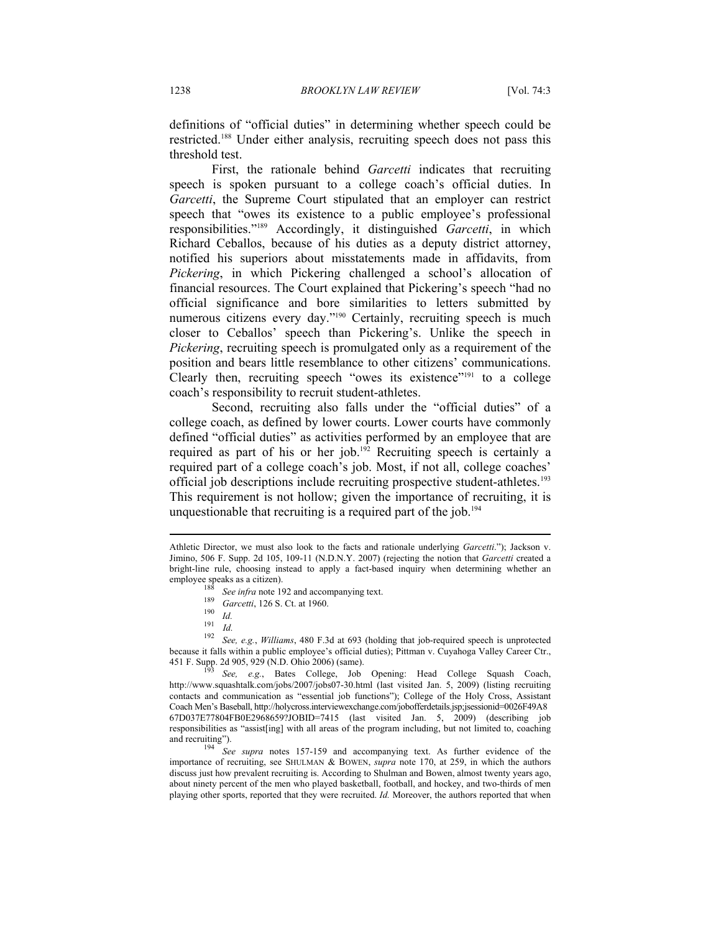definitions of "official duties" in determining whether speech could be restricted.188 Under either analysis, recruiting speech does not pass this threshold test.

First, the rationale behind *Garcetti* indicates that recruiting speech is spoken pursuant to a college coach's official duties. In *Garcetti*, the Supreme Court stipulated that an employer can restrict speech that "owes its existence to a public employee's professional responsibilities."189 Accordingly, it distinguished *Garcetti*, in which Richard Ceballos, because of his duties as a deputy district attorney, notified his superiors about misstatements made in affidavits, from *Pickering*, in which Pickering challenged a school's allocation of financial resources. The Court explained that Pickering's speech "had no official significance and bore similarities to letters submitted by numerous citizens every day."<sup>190</sup> Certainly, recruiting speech is much closer to Ceballos' speech than Pickering's. Unlike the speech in *Pickering*, recruiting speech is promulgated only as a requirement of the position and bears little resemblance to other citizens' communications. Clearly then, recruiting speech "owes its existence"191 to a college coach's responsibility to recruit student-athletes.

Second, recruiting also falls under the "official duties" of a college coach, as defined by lower courts. Lower courts have commonly defined "official duties" as activities performed by an employee that are required as part of his or her job.<sup>192</sup> Recruiting speech is certainly a required part of a college coach's job. Most, if not all, college coaches' official job descriptions include recruiting prospective student-athletes.<sup>193</sup> This requirement is not hollow; given the importance of recruiting, it is unquestionable that recruiting is a required part of the job.<sup>194</sup>

Athletic Director, we must also look to the facts and rationale underlying *Garcetti*."); Jackson v. Jimino, 506 F. Supp. 2d 105, 109-11 (N.D.N.Y. 2007) (rejecting the notion that *Garcetti* created a bright-line rule, choosing instead to apply a fact-based inquiry when determining whether an

employee speaks as a citizen).<br>
<sup>188</sup> *See infra* note 192 and accompanying text.<br>
<sup>189</sup> *Garcetti*, 126 S. Ct. at 1960.<br>
<sup>190</sup> *Id.*<br>
<sup>191</sup> *Id.*<br>
<sup>192</sup> *See, e.g., Williams,* 480 F.3d at 693 (holding that job-required s because it falls within a public employee's official duties); Pittman v. Cuyahoga Valley Career Ctr., 451 F. Supp. 2d 905, 929 (N.D. Ohio 2006) (same). 193 *See, e.g.*, Bates College, Job Opening: Head College Squash Coach,

http://www.squashtalk.com/jobs/2007/jobs07-30.html (last visited Jan. 5, 2009) (listing recruiting contacts and communication as "essential job functions"); College of the Holy Cross, Assistant Coach Men's Baseball, http://holycross.interviewexchange.com/jobofferdetails.jsp;jsessionid=0026F49A8 67D037E77804FB0E2968659?JOBID=7415 (last visited Jan. 5, 2009) (describing job responsibilities as "assist[ing] with all areas of the program including, but not limited to, coaching and recruiting"). 194 *See supra* notes 157-159 and accompanying text. As further evidence of the

importance of recruiting, see SHULMAN & BOWEN, *supra* note 170, at 259, in which the authors discuss just how prevalent recruiting is. According to Shulman and Bowen, almost twenty years ago, about ninety percent of the men who played basketball, football, and hockey, and two-thirds of men playing other sports, reported that they were recruited. *Id.* Moreover, the authors reported that when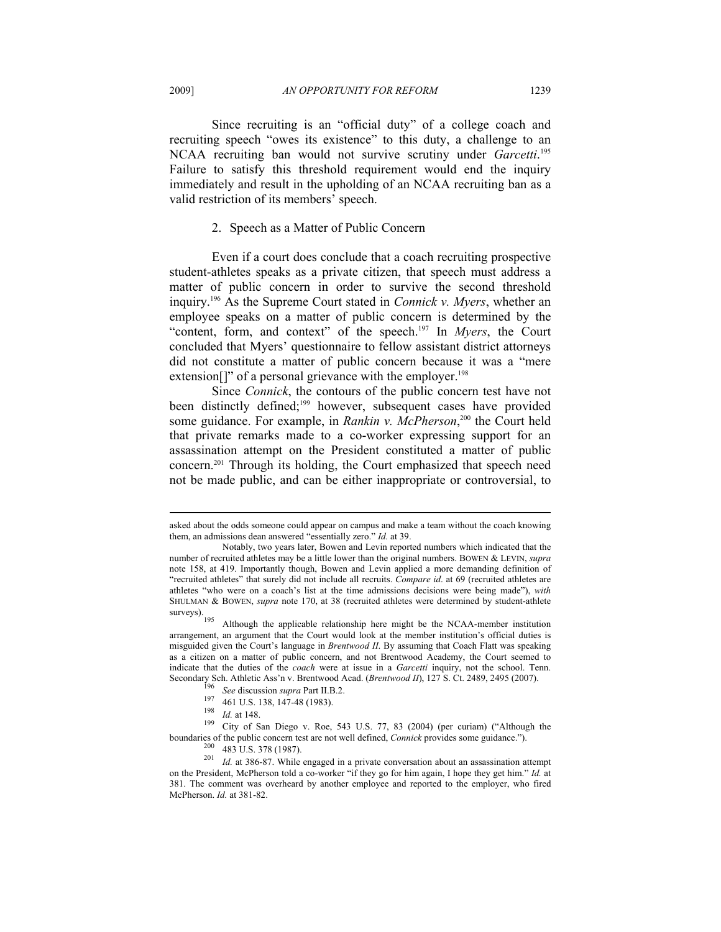Since recruiting is an "official duty" of a college coach and recruiting speech "owes its existence" to this duty, a challenge to an NCAA recruiting ban would not survive scrutiny under *Garcetti*. 195 Failure to satisfy this threshold requirement would end the inquiry immediately and result in the upholding of an NCAA recruiting ban as a valid restriction of its members' speech.

#### 2. Speech as a Matter of Public Concern

Even if a court does conclude that a coach recruiting prospective student-athletes speaks as a private citizen, that speech must address a matter of public concern in order to survive the second threshold inquiry.196 As the Supreme Court stated in *Connick v. Myers*, whether an employee speaks on a matter of public concern is determined by the "content, form, and context" of the speech.197 In *Myers*, the Court concluded that Myers' questionnaire to fellow assistant district attorneys did not constitute a matter of public concern because it was a "mere extension<sup>[]"</sup> of a personal grievance with the employer.<sup>198</sup>

Since *Connick*, the contours of the public concern test have not been distinctly defined;<sup>199</sup> however, subsequent cases have provided some guidance. For example, in *Rankin v. McPherson*, 200 the Court held that private remarks made to a co-worker expressing support for an assassination attempt on the President constituted a matter of public concern.201 Through its holding, the Court emphasized that speech need not be made public, and can be either inappropriate or controversial, to

boundaries of the public concern test are not well defined, *Connick* provides some guidance.").<br><sup>200</sup> 483 U.S. 378 (1987).<br><sup>201</sup> *Id.* at 386-87. While engaged in a private conversation about an assassination attempt

asked about the odds someone could appear on campus and make a team without the coach knowing them, an admissions dean answered "essentially zero." *Id.* at 39.

Notably, two years later, Bowen and Levin reported numbers which indicated that the number of recruited athletes may be a little lower than the original numbers. BOWEN & LEVIN, *supra*  note 158, at 419. Importantly though, Bowen and Levin applied a more demanding definition of "recruited athletes" that surely did not include all recruits. *Compare id*. at 69 (recruited athletes are athletes "who were on a coach's list at the time admissions decisions were being made"), *with*  SHULMAN & BOWEN, *supra* note 170, at 38 (recruited athletes were determined by student-athlete surveys).

Although the applicable relationship here might be the NCAA-member institution arrangement, an argument that the Court would look at the member institution's official duties is misguided given the Court's language in *Brentwood II*. By assuming that Coach Flatt was speaking as a citizen on a matter of public concern, and not Brentwood Academy, the Court seemed to indicate that the duties of the *coach* were at issue in a *Garcetti* inquiry, not the school. Tenn. Secondary Sch. Athletic Ass'n v. Brentwood Acad. (*Brentwood II*), 127 S. Ct. 2489, 2495 (2007).<br><sup>196</sup> See discussion *supra* Part II.B.2.<br><sup>197</sup> 461 U.S. 138, 147-48 (1983).<br><sup>198</sup> *Id.* at 148.<br><sup>199</sup> City of San Diego v. R

on the President, McPherson told a co-worker "if they go for him again, I hope they get him." *Id.* at 381. The comment was overheard by another employee and reported to the employer, who fired McPherson. *Id.* at 381-82.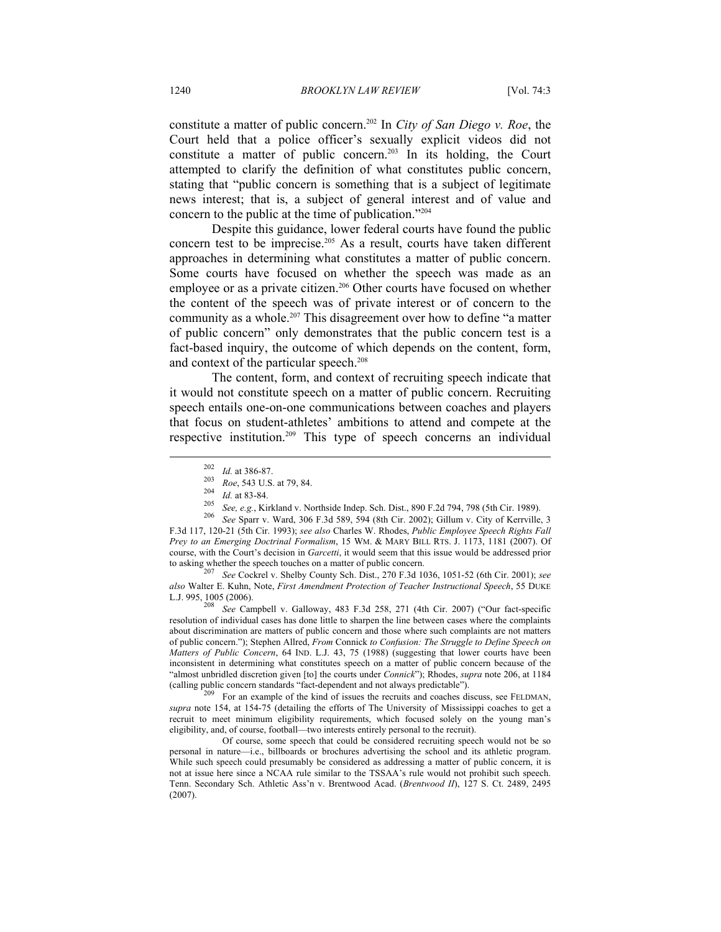constitute a matter of public concern.202 In *City of San Diego v. Roe*, the Court held that a police officer's sexually explicit videos did not constitute a matter of public concern.203 In its holding, the Court attempted to clarify the definition of what constitutes public concern, stating that "public concern is something that is a subject of legitimate news interest; that is, a subject of general interest and of value and concern to the public at the time of publication."204

Despite this guidance, lower federal courts have found the public concern test to be imprecise.205 As a result, courts have taken different approaches in determining what constitutes a matter of public concern. Some courts have focused on whether the speech was made as an employee or as a private citizen.<sup>206</sup> Other courts have focused on whether the content of the speech was of private interest or of concern to the community as a whole.<sup>207</sup> This disagreement over how to define "a matter of public concern" only demonstrates that the public concern test is a fact-based inquiry, the outcome of which depends on the content, form, and context of the particular speech.<sup>208</sup>

The content, form, and context of recruiting speech indicate that it would not constitute speech on a matter of public concern. Recruiting speech entails one-on-one communications between coaches and players that focus on student-athletes' ambitions to attend and compete at the respective institution.209 This type of speech concerns an individual  $\overline{a}$ 

*also* Walter E. Kuhn, Note, *First Amendment Protection of Teacher Instructional Speech*, 55 DUKE

<sup>208</sup> See Campbell v. Galloway, 483 F.3d 258, 271 (4th Cir. 2007) ("Our fact-specific resolution of individual cases has done little to sharpen the line between cases where the complaints about discrimination are matters of public concern and those where such complaints are not matters of public concern."); Stephen Allred, *From* Connick *to Confusion: The Struggle to Define Speech on Matters of Public Concern*, 64 IND. L.J. 43, 75 (1988) (suggesting that lower courts have been inconsistent in determining what constitutes speech on a matter of public concern because of the "almost unbridled discretion given [to] the courts under *Connick*"); Rhodes, *supra* note 206, at 1184 (calling public concern standards "fact-dependent and not always predictable"). 209 For an example of the kind of issues the recruits and coaches discuss, see FELDMAN,

*supra* note 154, at 154-75 (detailing the efforts of The University of Mississippi coaches to get a recruit to meet minimum eligibility requirements, which focused solely on the young man's eligibility, and, of course, football—two interests entirely personal to the recruit).

 Of course, some speech that could be considered recruiting speech would not be so personal in nature—i.e., billboards or brochures advertising the school and its athletic program. While such speech could presumably be considered as addressing a matter of public concern, it is not at issue here since a NCAA rule similar to the TSSAA's rule would not prohibit such speech. Tenn. Secondary Sch. Athletic Ass'n v. Brentwood Acad. (*Brentwood II*), 127 S. Ct. 2489, 2495 (2007).

<sup>&</sup>lt;sup>202</sup> *Id.* at 386-87.<br>
<sup>203</sup> *Roe*, 543 U.S. at 79, 84.<br>
<sup>204</sup> *Id.* at 83-84.<br>
<sup>205</sup> *See, e.g.*, Kirkland v. Northside Indep. Sch. Dist., 890 F.2d 794, 798 (5th Cir. 1989).<br>
<sup>206</sup> *See* Sparr v. Ward, 306 F.3d 589, 594 F.3d 117, 120-21 (5th Cir. 1993); *see also* Charles W. Rhodes, *Public Employee Speech Rights Fall Prey to an Emerging Doctrinal Formalism*, 15 WM. & MARY BILL RTS. J. 1173, 1181 (2007). Of course, with the Court's decision in *Garcetti*, it would seem that this issue would be addressed prior to asking whether the speech touches on a matter of public concern. 207 *See* Cockrel v. Shelby County Sch. Dist., 270 F.3d 1036, 1051-52 (6th Cir. 2001); *see*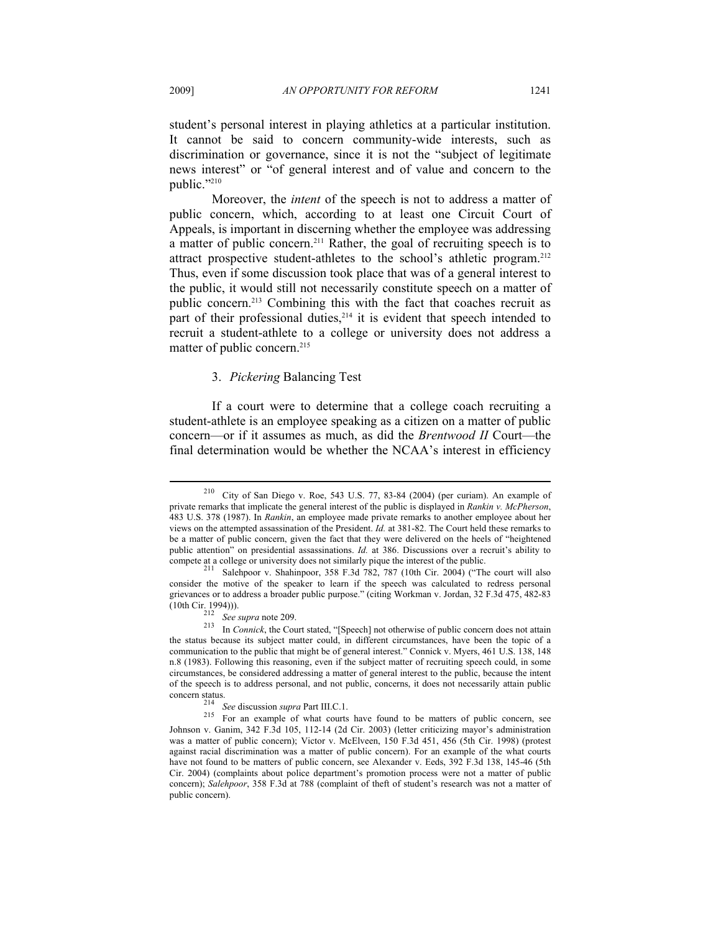student's personal interest in playing athletics at a particular institution. It cannot be said to concern community-wide interests, such as discrimination or governance, since it is not the "subject of legitimate news interest" or "of general interest and of value and concern to the public."210

Moreover, the *intent* of the speech is not to address a matter of public concern, which, according to at least one Circuit Court of Appeals, is important in discerning whether the employee was addressing a matter of public concern.211 Rather, the goal of recruiting speech is to attract prospective student-athletes to the school's athletic program.<sup>212</sup> Thus, even if some discussion took place that was of a general interest to the public, it would still not necessarily constitute speech on a matter of public concern.213 Combining this with the fact that coaches recruit as part of their professional duties, $2^{14}$  it is evident that speech intended to recruit a student-athlete to a college or university does not address a matter of public concern.<sup>215</sup>

## 3. *Pickering* Balancing Test

If a court were to determine that a college coach recruiting a student-athlete is an employee speaking as a citizen on a matter of public concern—or if it assumes as much, as did the *Brentwood II* Court—the final determination would be whether the NCAA's interest in efficiency

<sup>210</sup> City of San Diego v. Roe, 543 U.S. 77, 83-84 (2004) (per curiam). An example of private remarks that implicate the general interest of the public is displayed in *Rankin v. McPherson*, 483 U.S. 378 (1987). In *Rankin*, an employee made private remarks to another employee about her views on the attempted assassination of the President. *Id.* at 381-82. The Court held these remarks to be a matter of public concern, given the fact that they were delivered on the heels of "heightened public attention" on presidential assassinations. *Id.* at 386. Discussions over a recruit's ability to compete at a college or university does not similarly pique the interest of the public.<br><sup>211</sup> Salehpoor v. Shahinpoor, 358 F.3d 782, 787 (10th Cir. 2004) ("The court will also

consider the motive of the speaker to learn if the speech was calculated to redress personal grievances or to address a broader public purpose." (citing Workman v. Jordan, 32 F.3d 475, 482-83

<sup>(10</sup>th Cir. 1994))). 212 *See supra* note 209. 213 In *Connick*, the Court stated, "[Speech] not otherwise of public concern does not attain the status because its subject matter could, in different circumstances, have been the topic of a communication to the public that might be of general interest." Connick v. Myers, 461 U.S. 138, 148 n.8 (1983). Following this reasoning, even if the subject matter of recruiting speech could, in some circumstances, be considered addressing a matter of general interest to the public, because the intent of the speech is to address personal, and not public, concerns, it does not necessarily attain public

concern status.<br><sup>214</sup> *See* discussion *supra* Part III.C.1.<br><sup>215</sup> For an example of what courts have found to be matters of public concern, see Johnson v. Ganim, 342 F.3d 105, 112-14 (2d Cir. 2003) (letter criticizing mayor's administration was a matter of public concern); Victor v. McElveen, 150 F.3d 451, 456 (5th Cir. 1998) (protest against racial discrimination was a matter of public concern). For an example of the what courts have not found to be matters of public concern, see Alexander v. Eeds, 392 F.3d 138, 145-46 (5th Cir. 2004) (complaints about police department's promotion process were not a matter of public concern); *Salehpoor*, 358 F.3d at 788 (complaint of theft of student's research was not a matter of public concern).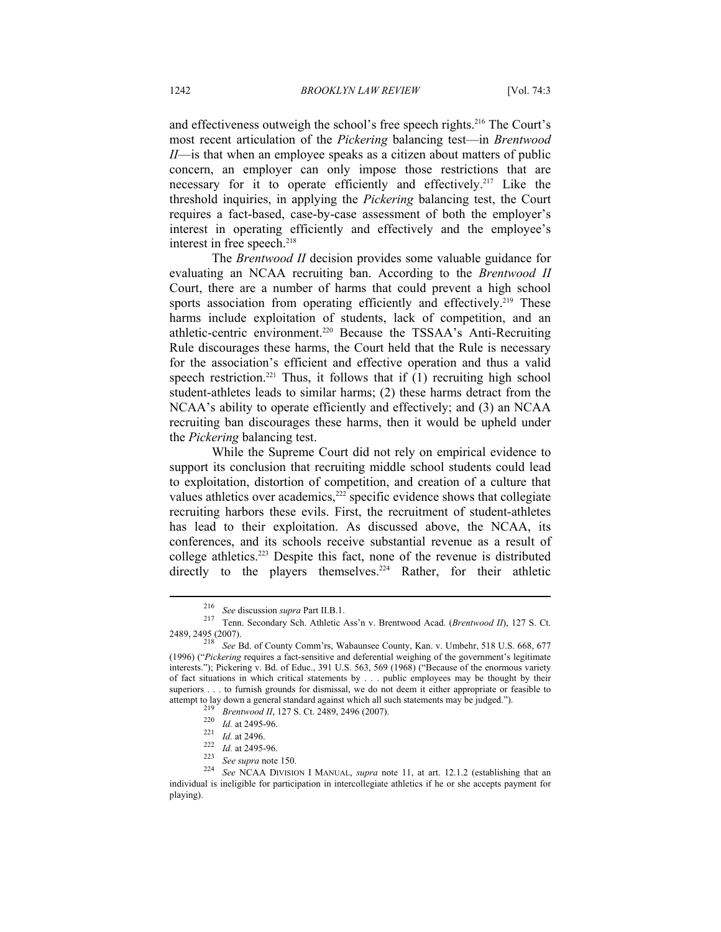and effectiveness outweigh the school's free speech rights.<sup>216</sup> The Court's most recent articulation of the *Pickering* balancing test—in *Brentwood II*—is that when an employee speaks as a citizen about matters of public concern, an employer can only impose those restrictions that are necessary for it to operate efficiently and effectively.<sup>217</sup> Like the threshold inquiries, in applying the *Pickering* balancing test, the Court requires a fact-based, case-by-case assessment of both the employer's interest in operating efficiently and effectively and the employee's interest in free speech.<sup>218</sup>

The *Brentwood II* decision provides some valuable guidance for evaluating an NCAA recruiting ban. According to the *Brentwood II*  Court, there are a number of harms that could prevent a high school sports association from operating efficiently and effectively.<sup>219</sup> These harms include exploitation of students, lack of competition, and an athletic-centric environment.220 Because the TSSAA's Anti-Recruiting Rule discourages these harms, the Court held that the Rule is necessary for the association's efficient and effective operation and thus a valid speech restriction.<sup>221</sup> Thus, it follows that if  $(1)$  recruiting high school student-athletes leads to similar harms; (2) these harms detract from the NCAA's ability to operate efficiently and effectively; and (3) an NCAA recruiting ban discourages these harms, then it would be upheld under the *Pickering* balancing test.

While the Supreme Court did not rely on empirical evidence to support its conclusion that recruiting middle school students could lead to exploitation, distortion of competition, and creation of a culture that values athletics over academics,<sup>222</sup> specific evidence shows that collegiate recruiting harbors these evils. First, the recruitment of student-athletes has lead to their exploitation. As discussed above, the NCAA, its conferences, and its schools receive substantial revenue as a result of college athletics.223 Despite this fact, none of the revenue is distributed directly to the players themselves.<sup>224</sup> Rather, for their athletic

<sup>216</sup> *See* discussion *supra* Part II.B.1. 217 Tenn. Secondary Sch. Athletic Ass'n v. Brentwood Acad. (*Brentwood II*), 127 S. Ct. 2489, 2495 (2007). 218 *See* Bd. of County Comm'rs, Wabaunsee County, Kan. v. Umbehr, 518 U.S. 668, 677

<sup>(1996) (&</sup>quot;*Pickering* requires a fact-sensitive and deferential weighing of the government's legitimate interests."); Pickering v. Bd. of Educ., 391 U.S. 563, 569 (1968) ("Because of the enormous variety of fact situations in which critical statements by . . . public employees may be thought by their superiors . . . to furnish grounds for dismissal, we do not deem it either appropriate or feasible to attempt to lay down a general standard against which all such statements may be judged.").<br>
<sup>219</sup> *Brentwood II*, 127 S. Ct. 2489, 2496 (2007).<br>
<sup>220</sup> *Id.* at 2495-96.<br>
<sup>221</sup> *Id.* at 2495-96.<br>
<sup>221</sup> *Id.* at 2495-96.<br>
<sup></sup>

individual is ineligible for participation in intercollegiate athletics if he or she accepts payment for playing).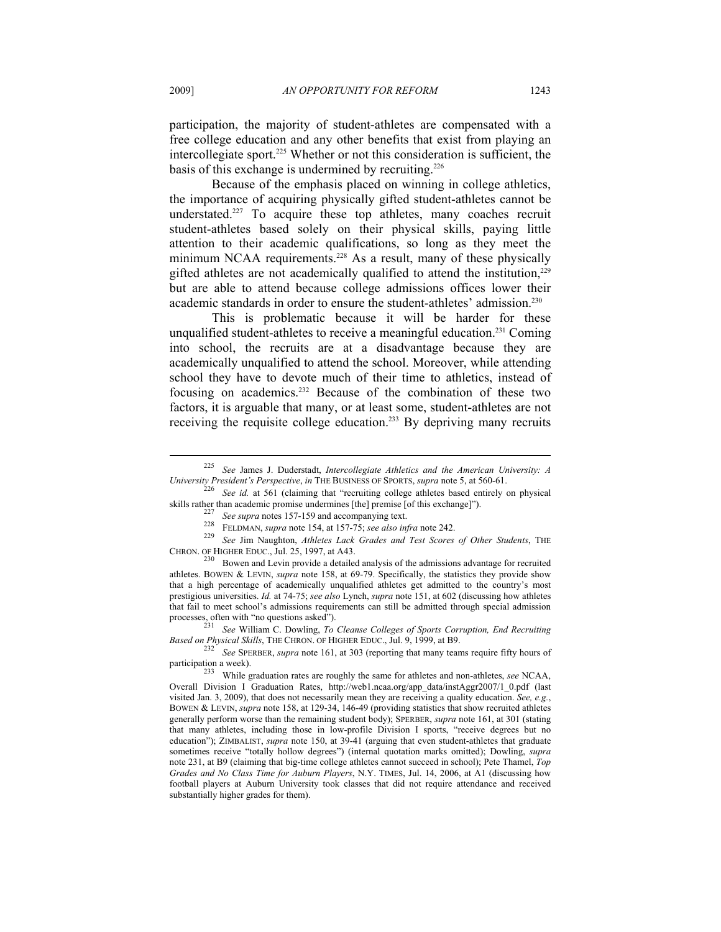participation, the majority of student-athletes are compensated with a free college education and any other benefits that exist from playing an intercollegiate sport.225 Whether or not this consideration is sufficient, the basis of this exchange is undermined by recruiting.<sup>226</sup>

Because of the emphasis placed on winning in college athletics, the importance of acquiring physically gifted student-athletes cannot be understated.227 To acquire these top athletes, many coaches recruit student-athletes based solely on their physical skills, paying little attention to their academic qualifications, so long as they meet the minimum NCAA requirements.<sup>228</sup> As a result, many of these physically gifted athletes are not academically qualified to attend the institution,<sup>229</sup> but are able to attend because college admissions offices lower their academic standards in order to ensure the student-athletes' admission.<sup>230</sup>

This is problematic because it will be harder for these unqualified student-athletes to receive a meaningful education.231 Coming into school, the recruits are at a disadvantage because they are academically unqualified to attend the school. Moreover, while attending school they have to devote much of their time to athletics, instead of focusing on academics.232 Because of the combination of these two factors, it is arguable that many, or at least some, student-athletes are not receiving the requisite college education.<sup>233</sup> By depriving many recruits

<sup>225</sup> *See* James J. Duderstadt, *Intercollegiate Athletics and the American University: A University President's Perspective, in* THE BUSINESS OF SPORTS, *supra* note 5, at 560-61.<br><sup>226</sup> See id. at 561 (claiming that "recruiting college athletes based entirely on physical

skills rather than academic promise undermines [the] premise [of this exchange]").<br>
<sup>227</sup> See supra notes 157-159 and accompanying text.<br>
<sup>228</sup> FELDMAN, *supra* note 154, at 157-75; *see also infra* note 242.<br>
<sup>229</sup> See Ji

 $^{230}$  Bowen and Levin provide a detailed analysis of the admissions advantage for recruited athletes. BOWEN & LEVIN, *supra* note 158, at 69-79. Specifically, the statistics they provide show that a high percentage of academically unqualified athletes get admitted to the country's most prestigious universities. *Id.* at 74-75; *see also* Lynch, *supra* note 151, at 602 (discussing how athletes that fail to meet school's admissions requirements can still be admitted through special admission

processes, often with "no questions asked").<br><sup>231</sup> See William C. Dowling, *To Cleanse Colleges of Sports Corruption, End Recruiting Based on Physical Skills, THE CHRON. OF HIGHER EDUC., Jul. 9, 1999, at B9.* 

*Based Shewing, The Christian Skills, The Christian Skills, Theory See Spersber, <i>supra* note 161, at 303 (reporting that many teams require fifty hours of

participation a week).<br><sup>233</sup> While graduation rates are roughly the same for athletes and non-athletes, *see* NCAA, Overall Division I Graduation Rates, http://web1.ncaa.org/app\_data/instAggr2007/1\_0.pdf (last visited Jan. 3, 2009), that does not necessarily mean they are receiving a quality education. *See, e.g.*, BOWEN & LEVIN, *supra* note 158, at 129-34, 146-49 (providing statistics that show recruited athletes generally perform worse than the remaining student body); SPERBER, *supra* note 161, at 301 (stating that many athletes, including those in low-profile Division I sports, "receive degrees but no education"); ZIMBALIST, *supra* note 150, at 39-41 (arguing that even student-athletes that graduate sometimes receive "totally hollow degrees") (internal quotation marks omitted); Dowling, *supra*  note 231, at B9 (claiming that big-time college athletes cannot succeed in school); Pete Thamel, *Top Grades and No Class Time for Auburn Players*, N.Y. TIMES, Jul. 14, 2006, at A1 (discussing how football players at Auburn University took classes that did not require attendance and received substantially higher grades for them).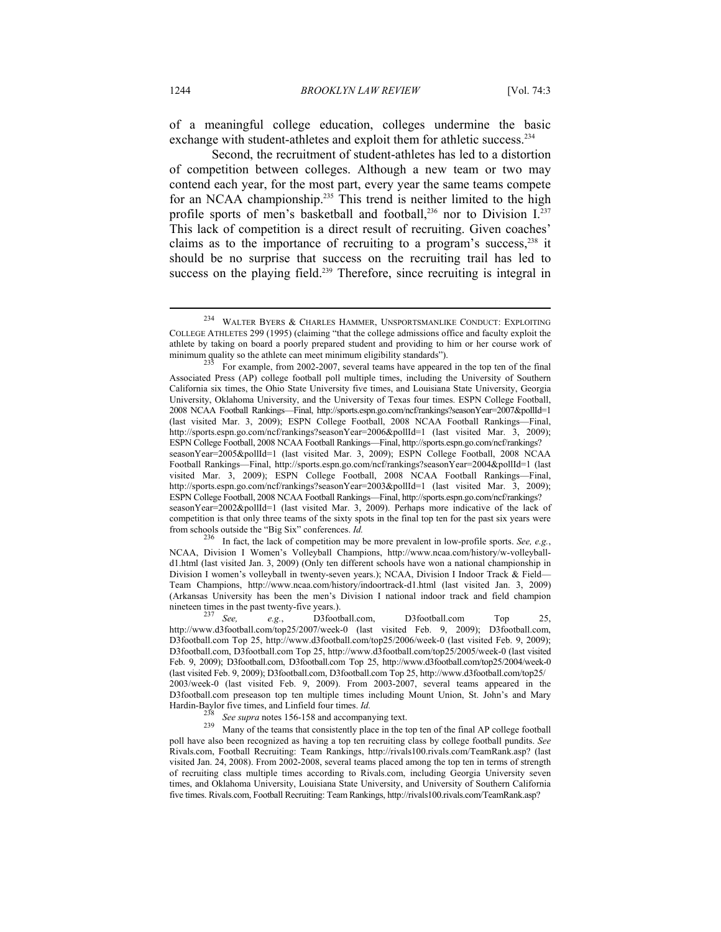of a meaningful college education, colleges undermine the basic exchange with student-athletes and exploit them for athletic success.<sup>234</sup>

Second, the recruitment of student-athletes has led to a distortion of competition between colleges. Although a new team or two may contend each year, for the most part, every year the same teams compete for an NCAA championship.<sup>235</sup> This trend is neither limited to the high profile sports of men's basketball and football,<sup>236</sup> nor to Division I.<sup>237</sup> This lack of competition is a direct result of recruiting. Given coaches' claims as to the importance of recruiting to a program's success, $238$  it should be no surprise that success on the recruiting trail has led to success on the playing field.<sup>239</sup> Therefore, since recruiting is integral in

NCAA, Division I Women's Volleyball Champions, http://www.ncaa.com/history/w-volleyballd1.html (last visited Jan. 3, 2009) (Only ten different schools have won a national championship in Division I women's volleyball in twenty-seven years.); NCAA, Division I Indoor Track & Field-Team Champions, http://www.ncaa.com/history/indoortrack-d1.html (last visited Jan. 3, 2009) (Arkansas University has been the men's Division I national indoor track and field champion nineteen times in the past twenty-five years.).<br><sup>237</sup> See, e.g., D3football.com, D3football.com Top 25,

http://www.d3football.com/top25/2007/week-0 (last visited Feb. 9, 2009); D3football.com, D3football.com Top 25, http://www.d3football.com/top25/2006/week-0 (last visited Feb. 9, 2009); D3football.com, D3football.com Top 25, http://www.d3football.com/top25/2005/week-0 (last visited Feb. 9, 2009); D3football.com, D3football.com Top 25, http://www.d3football.com/top25/2004/week-0 (last visited Feb. 9, 2009); D3football.com, D3football.com Top 25, http://www.d3football.com/top25/ 2003/week-0 (last visited Feb. 9, 2009). From 2003-2007, several teams appeared in the D3football.com preseason top ten multiple times including Mount Union, St. John's and Mary Hardin-Baylor five times, and Linfield four times. *Id.*<br><sup>238</sup> See supra notes 156-158 and accompanying text.<br><sup>239</sup> Many of the teams that consistently place in the top ten of the final AP college football

poll have also been recognized as having a top ten recruiting class by college football pundits. *See* Rivals.com, Football Recruiting: Team Rankings, http://rivals100.rivals.com/TeamRank.asp? (last visited Jan. 24, 2008). From 2002-2008, several teams placed among the top ten in terms of strength of recruiting class multiple times according to Rivals.com, including Georgia University seven times, and Oklahoma University, Louisiana State University, and University of Southern California five times. Rivals.com, Football Recruiting: Team Rankings, http://rivals100.rivals.com/TeamRank.asp?

<sup>234</sup> WALTER BYERS & CHARLES HAMMER, UNSPORTSMANLIKE CONDUCT: EXPLOITING COLLEGE ATHLETES 299 (1995) (claiming "that the college admissions office and faculty exploit the athlete by taking on board a poorly prepared student and providing to him or her course work of minimum quality so the athlete can meet minimum eligibility standards").<br><sup>235</sup> For example, from 2002-2007, several teams have appeared in the top ten of the final

Associated Press (AP) college football poll multiple times, including the University of Southern California six times, the Ohio State University five times, and Louisiana State University, Georgia University, Oklahoma University, and the University of Texas four times. ESPN College Football, 2008 NCAA Football Rankings—Final, http://sports.espn.go.com/ncf/rankings?seasonYear=2007&pollId=1 (last visited Mar. 3, 2009); ESPN College Football, 2008 NCAA Football Rankings—Final, http://sports.espn.go.com/ncf/rankings?seasonYear=2006&pollId=1 (last visited Mar. 3, 2009); ESPN College Football, 2008 NCAA Football Rankings—Final, http://sports.espn.go.com/ncf/rankings? seasonYear=2005&pollId=1 (last visited Mar. 3, 2009); ESPN College Football, 2008 NCAA Football Rankings—Final, http://sports.espn.go.com/ncf/rankings?seasonYear=2004&pollId=1 (last visited Mar. 3, 2009); ESPN College Football, 2008 NCAA Football Rankings—Final, http://sports.espn.go.com/ncf/rankings?seasonYear=2003&pollId=1 (last visited Mar. 3, 2009); ESPN College Football, 2008 NCAA Football Rankings—Final, http://sports.espn.go.com/ncf/rankings? seasonYear=2002&pollId=1 (last visited Mar. 3, 2009). Perhaps more indicative of the lack of competition is that only three teams of the sixty spots in the final top ten for the past six years were from schools outside the "Big Six" conferences.  $Id$ .<br><sup>236</sup> In fact, the lack of competition may be more prevalent in low-profile sports. *See, e.g.*,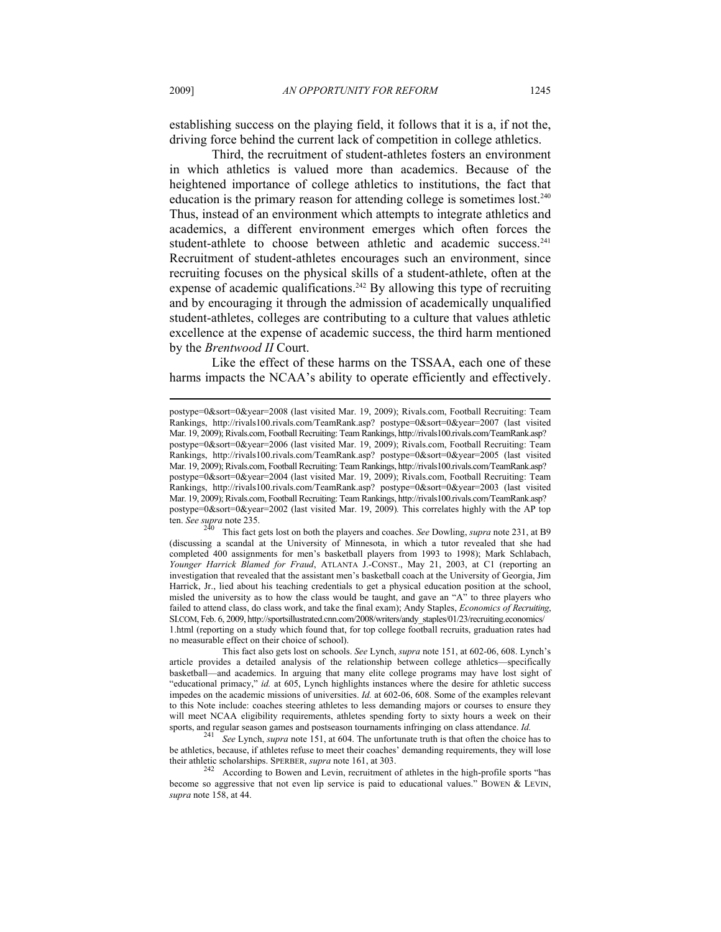establishing success on the playing field, it follows that it is a, if not the, driving force behind the current lack of competition in college athletics.

Third, the recruitment of student-athletes fosters an environment in which athletics is valued more than academics. Because of the heightened importance of college athletics to institutions, the fact that education is the primary reason for attending college is sometimes lost.<sup>240</sup> Thus, instead of an environment which attempts to integrate athletics and academics, a different environment emerges which often forces the student-athlete to choose between athletic and academic success.<sup>241</sup> Recruitment of student-athletes encourages such an environment, since recruiting focuses on the physical skills of a student-athlete, often at the expense of academic qualifications.<sup>242</sup> By allowing this type of recruiting and by encouraging it through the admission of academically unqualified student-athletes, colleges are contributing to a culture that values athletic excellence at the expense of academic success, the third harm mentioned by the *Brentwood II* Court.

Like the effect of these harms on the TSSAA, each one of these harms impacts the NCAA's ability to operate efficiently and effectively.

postype=0&sort=0&year=2008 (last visited Mar. 19, 2009); Rivals.com, Football Recruiting: Team Rankings, http://rivals100.rivals.com/TeamRank.asp? postype=0&sort=0&year=2007 (last visited Mar. 19, 2009); Rivals.com, Football Recruiting: Team Rankings, http://rivals100.rivals.com/TeamRank.asp? postype=0&sort=0&year=2006 (last visited Mar. 19, 2009); Rivals.com, Football Recruiting: Team Rankings, http://rivals100.rivals.com/TeamRank.asp? postype=0&sort=0&year=2005 (last visited Mar. 19, 2009); Rivals.com, Football Recruiting: Team Rankings, http://rivals100.rivals.com/TeamRank.asp? postype=0&sort=0&year=2004 (last visited Mar. 19, 2009); Rivals.com, Football Recruiting: Team Rankings, http://rivals100.rivals.com/TeamRank.asp? postype=0&sort=0&year=2003 (last visited Mar. 19, 2009); Rivals.com, Football Recruiting: Team Rankings, http://rivals100.rivals.com/TeamRank.asp? postype=0&sort=0&year=2002 (last visited Mar. 19, 2009). This correlates highly with the AP top ten. *See supra* note 235.

This fact gets lost on both the players and coaches. *See Dowling, supra* note 231, at B9 (discussing a scandal at the University of Minnesota, in which a tutor revealed that she had completed 400 assignments for men's basketball players from 1993 to 1998); Mark Schlabach, *Younger Harrick Blamed for Fraud*, ATLANTA J.-CONST., May 21, 2003, at C1 (reporting an investigation that revealed that the assistant men's basketball coach at the University of Georgia, Jim Harrick, Jr., lied about his teaching credentials to get a physical education position at the school, misled the university as to how the class would be taught, and gave an " $A$ " to three players who failed to attend class, do class work, and take the final exam); Andy Staples, *Economics of Recruiting*, SI.COM, Feb. 6, 2009, http://sportsillustrated.cnn.com/2008/writers/andy\_staples/01/23/recruiting.economics/ 1.html (reporting on a study which found that, for top college football recruits, graduation rates had no measurable effect on their choice of school).

This fact also gets lost on schools. *See* Lynch, *supra* note 151, at 602-06, 608. Lynch's article provides a detailed analysis of the relationship between college athletics—specifically basketball—and academics. In arguing that many elite college programs may have lost sight of "educational primacy," *id.* at 605, Lynch highlights instances where the desire for athletic success impedes on the academic missions of universities. *Id.* at 602-06, 608. Some of the examples relevant to this Note include: coaches steering athletes to less demanding majors or courses to ensure they will meet NCAA eligibility requirements, athletes spending forty to sixty hours a week on their

sports, and regular season games and postseason tournaments infringing on class attendance. *Id.* 241 See Lynch, *supra* note 151, at 604. The unfortunate truth is that often the choice has to be athletics, because, if athletes refuse to meet their coaches' demanding requirements, they will lose their athletic scholarships. SPERBER, *supra* note 161, at 303.<br><sup>242</sup> According to Bowen and Levin, recruitment of athletes in the high-profile sports "has

become so aggressive that not even lip service is paid to educational values." BOWEN & LEVIN, *supra* note 158, at 44.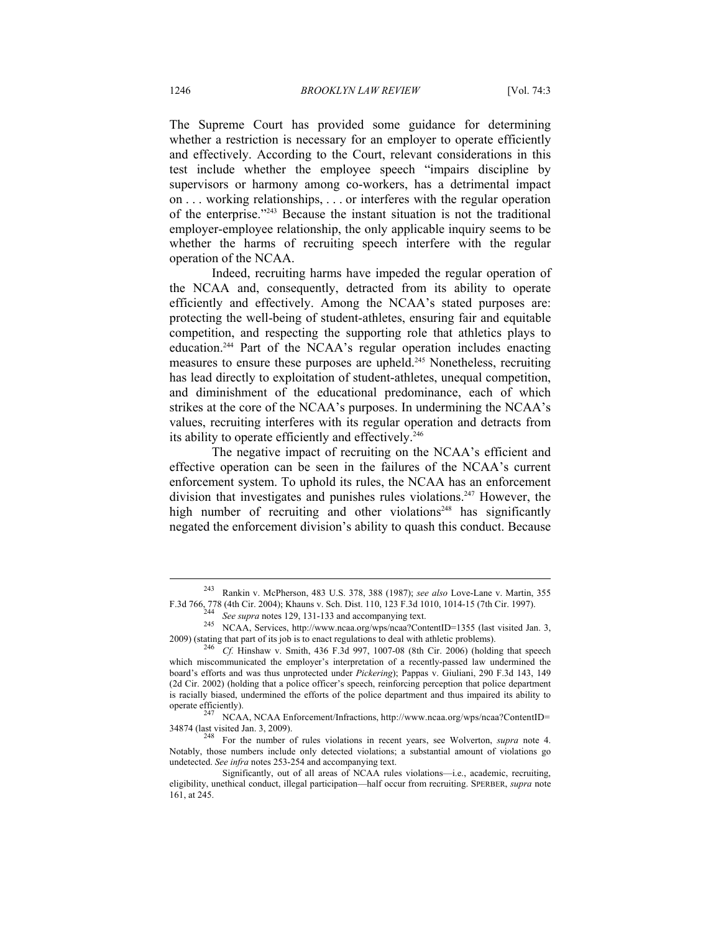The Supreme Court has provided some guidance for determining whether a restriction is necessary for an employer to operate efficiently and effectively. According to the Court, relevant considerations in this test include whether the employee speech "impairs discipline by supervisors or harmony among co-workers, has a detrimental impact on . . . working relationships, . . . or interferes with the regular operation of the enterprise."243 Because the instant situation is not the traditional employer-employee relationship, the only applicable inquiry seems to be whether the harms of recruiting speech interfere with the regular operation of the NCAA.

Indeed, recruiting harms have impeded the regular operation of the NCAA and, consequently, detracted from its ability to operate efficiently and effectively. Among the NCAA's stated purposes are: protecting the well-being of student-athletes, ensuring fair and equitable competition, and respecting the supporting role that athletics plays to education.244 Part of the NCAA's regular operation includes enacting measures to ensure these purposes are upheld.245 Nonetheless, recruiting has lead directly to exploitation of student-athletes, unequal competition, and diminishment of the educational predominance, each of which strikes at the core of the NCAA's purposes. In undermining the NCAA's values, recruiting interferes with its regular operation and detracts from its ability to operate efficiently and effectively.<sup>246</sup>

The negative impact of recruiting on the NCAA's efficient and effective operation can be seen in the failures of the NCAA's current enforcement system. To uphold its rules, the NCAA has an enforcement division that investigates and punishes rules violations.<sup>247</sup> However, the high number of recruiting and other violations<sup>248</sup> has significantly negated the enforcement division's ability to quash this conduct. Because

<sup>243</sup> Rankin v. McPherson, 483 U.S. 378, 388 (1987); *see also* Love-Lane v. Martin, 355 F.3d 766, 778 (4th Cir. 2004); Khauns v. Sch. Dist. 110, 123 F.3d 1010, 1014-15 (7th Cir. 1997).<br>
<sup>244</sup> See supra notes 129, 131-133 and accompanying text.<br>
<sup>245</sup> NCAA, Services, http://www.ncaa.org/wps/ncaa?ContentID=1355

<sup>2009) (</sup>stating that part of its job is to enact regulations to deal with athletic problems). 246 *Cf.* Hinshaw v. Smith, 436 F.3d 997, 1007-08 (8th Cir. 2006) (holding that speech

which miscommunicated the employer's interpretation of a recently-passed law undermined the board's efforts and was thus unprotected under *Pickering*); Pappas v. Giuliani, 290 F.3d 143, 149 (2d Cir. 2002) (holding that a police officer's speech, reinforcing perception that police department is racially biased, undermined the efforts of the police department and thus impaired its ability to operate efficiently).

<sup>247</sup> NCAA, NCAA Enforcement/Infractions, http://www.ncaa.org/wps/ncaa?ContentID= 34874 (last visited Jan. 3, 2009). 248 For the number of rules violations in recent years, see Wolverton, *supra* note 4.

Notably, those numbers include only detected violations; a substantial amount of violations go undetected. *See infra* notes 253-254 and accompanying text.

Significantly, out of all areas of NCAA rules violations—i.e., academic, recruiting, eligibility, unethical conduct, illegal participation—half occur from recruiting. SPERBER, *supra* note 161, at 245.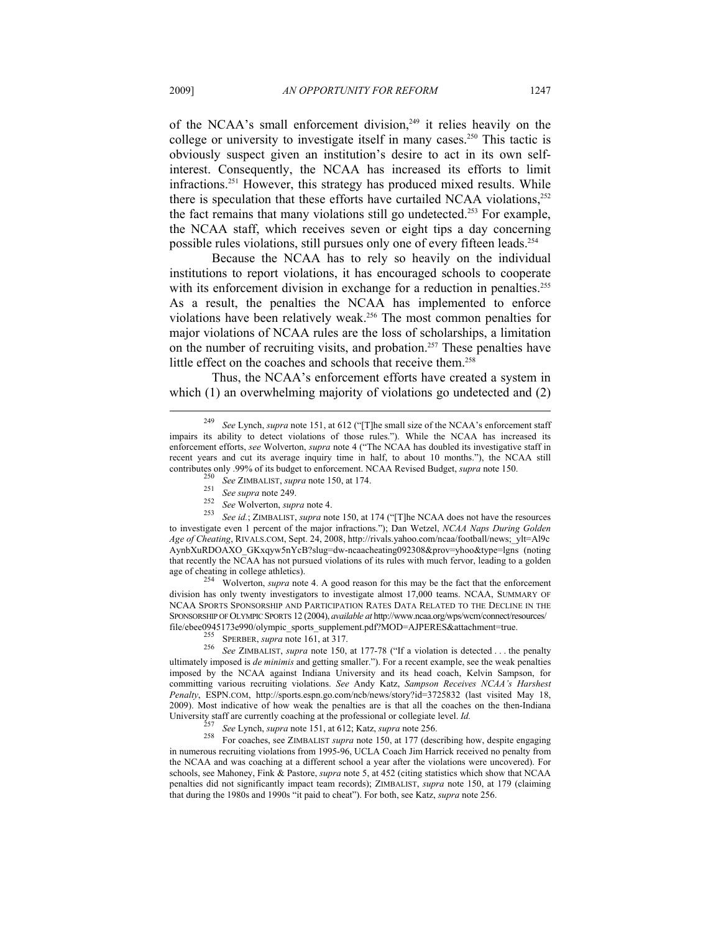of the NCAA's small enforcement division,<sup>249</sup> it relies heavily on the college or university to investigate itself in many cases.<sup>250</sup> This tactic is obviously suspect given an institution's desire to act in its own selfinterest. Consequently, the NCAA has increased its efforts to limit infractions.251 However, this strategy has produced mixed results. While there is speculation that these efforts have curtailed NCAA violations, $252$ the fact remains that many violations still go undetected.<sup>253</sup> For example, the NCAA staff, which receives seven or eight tips a day concerning possible rules violations, still pursues only one of every fifteen leads.254

Because the NCAA has to rely so heavily on the individual institutions to report violations, it has encouraged schools to cooperate with its enforcement division in exchange for a reduction in penalties.<sup>255</sup> As a result, the penalties the NCAA has implemented to enforce violations have been relatively weak.256 The most common penalties for major violations of NCAA rules are the loss of scholarships, a limitation on the number of recruiting visits, and probation.<sup>257</sup> These penalties have little effect on the coaches and schools that receive them.<sup>258</sup>

Thus, the NCAA's enforcement efforts have created a system in which (1) an overwhelming majority of violations go undetected and (2)

<sup>257</sup> See Lynch, *supra* note 151, at 612; Katz, *supra* note 256.<br><sup>258</sup> For coaches, see ZIMBALIST *supra* note 150, at 177 (describing how, despite engaging in numerous recruiting violations from 1995-96, UCLA Coach Jim Harrick received no penalty from the NCAA and was coaching at a different school a year after the violations were uncovered). For schools, see Mahoney, Fink & Pastore, *supra* note 5, at 452 (citing statistics which show that NCAA penalties did not significantly impact team records); ZIMBALIST, *supra* note 150, at 179 (claiming that during the 1980s and 1990s "it paid to cheat"). For both, see Katz, *supra* note 256.

<sup>249</sup> *See* Lynch, *supra* note 151, at 612 ("[T]he small size of the NCAA's enforcement staff impairs its ability to detect violations of those rules."). While the NCAA has increased its enforcement efforts, *see* Wolverton, *supra* note 4 ("The NCAA has doubled its investigative staff in recent years and cut its average inquiry time in half, to about 10 months."), the NCAA still contributes only .99% of its budget to enforcement. NCAA Revised Budget, *supra* note 150.<br><sup>250</sup> See ZIMBALIST, *supra* note 150, at 174.<br><sup>251</sup> See supra note 249.<br><sup>252</sup> See Wolverton, *supra* note 4.<br><sup>253</sup> See id.; ZIMBAL

to investigate even 1 percent of the major infractions."); Dan Wetzel, *NCAA Naps During Golden Age of Cheating*, RIVALS.COM, Sept. 24, 2008, http://rivals.yahoo.com/ncaa/football/news;\_ylt=Al9c AynbXuRDOAXO\_GKxqyw5nYcB?slug=dw-ncaacheating092308&prov=yhoo&type=lgns (noting that recently the NCAA has not pursued violations of its rules with much fervor, leading to a golden

age of cheating in college athletics). 254 Wolverton, *supra* note 4. A good reason for this may be the fact that the enforcement division has only twenty investigators to investigate almost 17,000 teams. NCAA, SUMMARY OF NCAA SPORTS SPONSORSHIP AND PARTICIPATION RATES DATA RELATED TO THE DECLINE IN THE SPONSORSHIP OF OLYMPIC SPORTS 12 (2004), *available at* http://www.ncaa.org/wps/wcm/connect/resources/

file/ebee0945173e990/olympic\_sports\_supplement.pdf?MOD=AJPERES&attachment=true.<br><sup>255</sup> SPERBER, *supra* note 161, at 317.<br><sup>256</sup> See ZIMBALIST, *supra* note 150, at 177-78 ("If a violation is detected . . . the penalty ultimately imposed is *de minimis* and getting smaller."). For a recent example, see the weak penalties imposed by the NCAA against Indiana University and its head coach, Kelvin Sampson, for committing various recruiting violations. *See* Andy Katz, *Sampson Receives NCAA's Harshest Penalty*, ESPN.COM, http://sports.espn.go.com/ncb/news/story?id=3725832 (last visited May 18, 2009). Most indicative of how weak the penalties are is that all the coaches on the then-Indiana University staff are currently coaching at the professional or collegiate level. *Id.*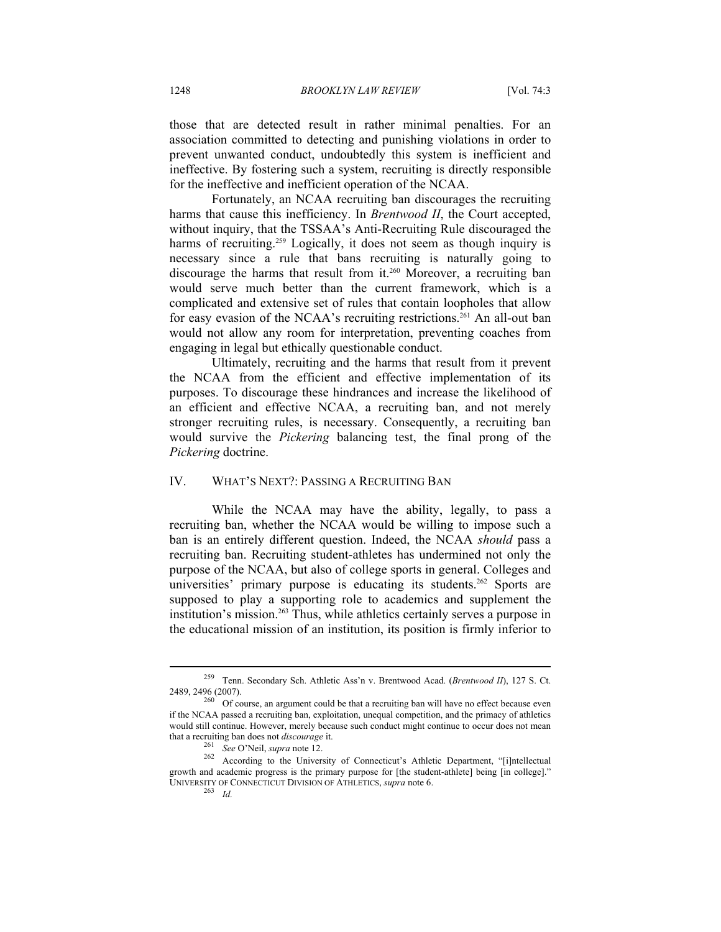those that are detected result in rather minimal penalties. For an association committed to detecting and punishing violations in order to prevent unwanted conduct, undoubtedly this system is inefficient and ineffective. By fostering such a system, recruiting is directly responsible for the ineffective and inefficient operation of the NCAA.

Fortunately, an NCAA recruiting ban discourages the recruiting harms that cause this inefficiency. In *Brentwood II*, the Court accepted, without inquiry, that the TSSAA's Anti-Recruiting Rule discouraged the harms of recruiting.<sup>259</sup> Logically, it does not seem as though inquiry is necessary since a rule that bans recruiting is naturally going to discourage the harms that result from it.<sup>260</sup> Moreover, a recruiting ban would serve much better than the current framework, which is a complicated and extensive set of rules that contain loopholes that allow for easy evasion of the NCAA's recruiting restrictions.<sup>261</sup> An all-out ban would not allow any room for interpretation, preventing coaches from engaging in legal but ethically questionable conduct.

Ultimately, recruiting and the harms that result from it prevent the NCAA from the efficient and effective implementation of its purposes. To discourage these hindrances and increase the likelihood of an efficient and effective NCAA, a recruiting ban, and not merely stronger recruiting rules, is necessary. Consequently, a recruiting ban would survive the *Pickering* balancing test, the final prong of the *Pickering* doctrine.

#### IV. WHAT'S NEXT?: PASSING A RECRUITING BAN

While the NCAA may have the ability, legally, to pass a recruiting ban, whether the NCAA would be willing to impose such a ban is an entirely different question. Indeed, the NCAA *should* pass a recruiting ban. Recruiting student-athletes has undermined not only the purpose of the NCAA, but also of college sports in general. Colleges and universities' primary purpose is educating its students.<sup>262</sup> Sports are supposed to play a supporting role to academics and supplement the institution's mission.<sup>263</sup> Thus, while athletics certainly serves a purpose in the educational mission of an institution, its position is firmly inferior to

<sup>259</sup> Tenn. Secondary Sch. Athletic Ass'n v. Brentwood Acad. (*Brentwood II*), 127 S. Ct. 2489, 2496 (2007).<br><sup>260</sup> Of course, an argument could be that a recruiting ban will have no effect because even

if the NCAA passed a recruiting ban, exploitation, unequal competition, and the primacy of athletics would still continue. However, merely because such conduct might continue to occur does not mean

that a recruiting ban does not *discourage* it.<br><sup>261</sup> See O'Neil, *supra* note 12.<br><sup>262</sup> According to the University of Connecticut's Athletic Department, "[i]ntellectual<br><sup>262</sup> According to the University of Connecticut's growth and academic progress is the primary purpose for [the student-athlete] being [in college]." UNIVERSITY OF CONNECTICUT DIVISION OF ATHLETICS, *supra* note 6. <sup>263</sup> *Id.*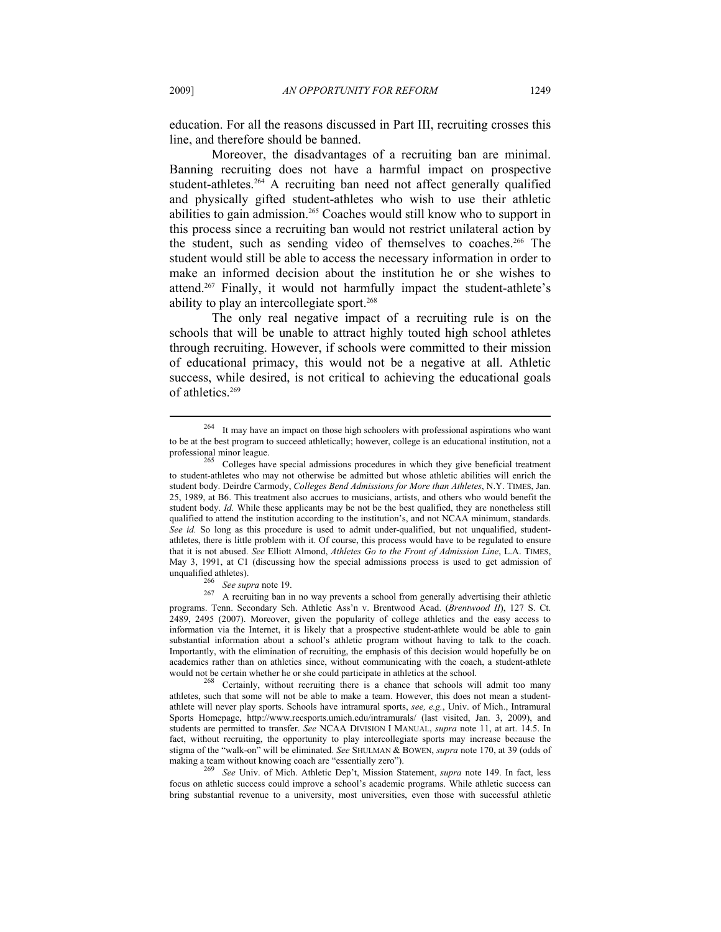education. For all the reasons discussed in Part III, recruiting crosses this line, and therefore should be banned.

Moreover, the disadvantages of a recruiting ban are minimal. Banning recruiting does not have a harmful impact on prospective student-athletes.<sup>264</sup> A recruiting ban need not affect generally qualified and physically gifted student-athletes who wish to use their athletic abilities to gain admission.265 Coaches would still know who to support in this process since a recruiting ban would not restrict unilateral action by the student, such as sending video of themselves to coaches.<sup>266</sup> The student would still be able to access the necessary information in order to make an informed decision about the institution he or she wishes to attend.267 Finally, it would not harmfully impact the student-athlete's ability to play an intercollegiate sport.<sup>268</sup>

The only real negative impact of a recruiting rule is on the schools that will be unable to attract highly touted high school athletes through recruiting. However, if schools were committed to their mission of educational primacy, this would not be a negative at all. Athletic success, while desired, is not critical to achieving the educational goals of athletics.<sup>269</sup>

It may have an impact on those high schoolers with professional aspirations who want to be at the best program to succeed athletically; however, college is an educational institution, not a

professional minor league.<br><sup>265</sup> Colleges have special admissions procedures in which they give beneficial treatment to student-athletes who may not otherwise be admitted but whose athletic abilities will enrich the student body. Deirdre Carmody, *Colleges Bend Admissions for More than Athletes*, N.Y. TIMES, Jan. 25, 1989, at B6. This treatment also accrues to musicians, artists, and others who would benefit the student body. *Id.* While these applicants may be not be the best qualified, they are nonetheless still qualified to attend the institution according to the institution's, and not NCAA minimum, standards. *See id.* So long as this procedure is used to admit under-qualified, but not unqualified, studentathletes, there is little problem with it. Of course, this process would have to be regulated to ensure that it is not abused. *See* Elliott Almond, *Athletes Go to the Front of Admission Line*, L.A. TIMES, May 3, 1991, at C1 (discussing how the special admissions process is used to get admission of unqualified athletes).<br><sup>266</sup> See supra note 19.

<sup>267</sup> A recruiting ban in no way prevents a school from generally advertising their athletic programs. Tenn. Secondary Sch. Athletic Ass'n v. Brentwood Acad. (*Brentwood II*), 127 S. Ct. 2489, 2495 (2007). Moreover, given the popularity of college athletics and the easy access to information via the Internet, it is likely that a prospective student-athlete would be able to gain substantial information about a school's athletic program without having to talk to the coach. Importantly, with the elimination of recruiting, the emphasis of this decision would hopefully be on academics rather than on athletics since, without communicating with the coach, a student-athlete would not be certain whether he or she could participate in athletics at the school.<br><sup>268</sup> Certainly, without recruiting there is a chance that schools will admit too many

athletes, such that some will not be able to make a team. However, this does not mean a studentathlete will never play sports. Schools have intramural sports, *see, e.g.*, Univ. of Mich., Intramural Sports Homepage, http://www.recsports.umich.edu/intramurals/ (last visited, Jan. 3, 2009), and students are permitted to transfer. *See* NCAA DIVISION I MANUAL, *supra* note 11, at art. 14.5. In fact, without recruiting, the opportunity to play intercollegiate sports may increase because the stigma of the "walk-on" will be eliminated. *See* SHULMAN & BOWEN, *supra* note 170, at 39 (odds of making a team without knowing coach are "essentially zero"). 269 *See* Univ. of Mich. Athletic Dep't, Mission Statement, *supra* note 149. In fact, less

focus on athletic success could improve a school's academic programs. While athletic success can bring substantial revenue to a university, most universities, even those with successful athletic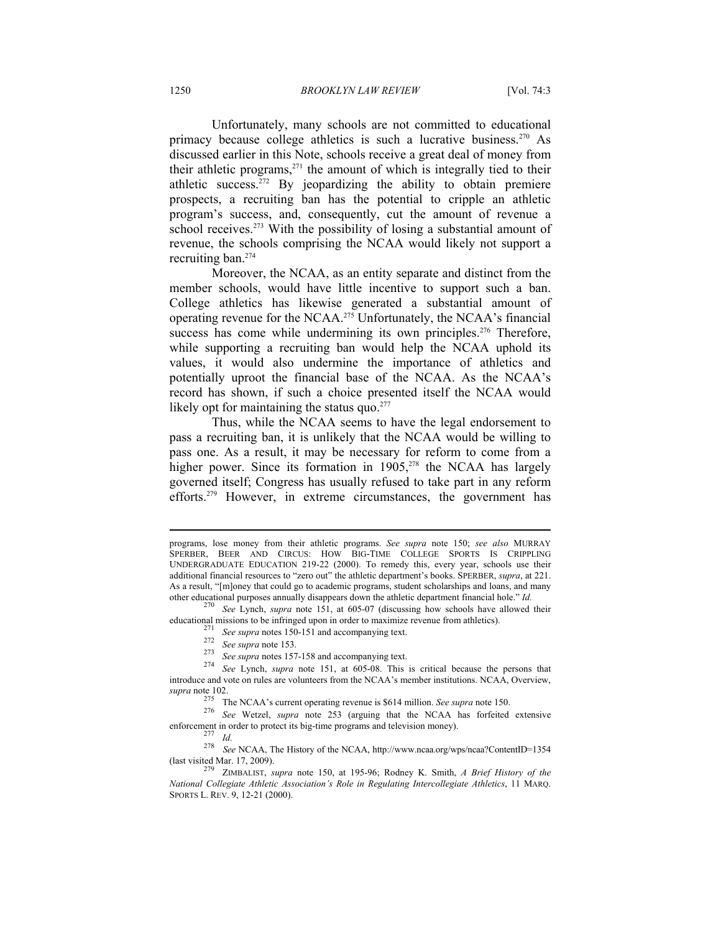Unfortunately, many schools are not committed to educational primacy because college athletics is such a lucrative business.<sup>270</sup> As discussed earlier in this Note, schools receive a great deal of money from their athletic programs, $271$  the amount of which is integrally tied to their athletic success.272 By jeopardizing the ability to obtain premiere prospects, a recruiting ban has the potential to cripple an athletic program's success, and, consequently, cut the amount of revenue a school receives.<sup>273</sup> With the possibility of losing a substantial amount of revenue, the schools comprising the NCAA would likely not support a recruiting ban.274

Moreover, the NCAA, as an entity separate and distinct from the member schools, would have little incentive to support such a ban. College athletics has likewise generated a substantial amount of operating revenue for the NCAA.275 Unfortunately, the NCAA's financial success has come while undermining its own principles.<sup>276</sup> Therefore, while supporting a recruiting ban would help the NCAA uphold its values, it would also undermine the importance of athletics and potentially uproot the financial base of the NCAA. As the NCAA's record has shown, if such a choice presented itself the NCAA would likely opt for maintaining the status quo. $277$ 

Thus, while the NCAA seems to have the legal endorsement to pass a recruiting ban, it is unlikely that the NCAA would be willing to pass one. As a result, it may be necessary for reform to come from a higher power. Since its formation in  $1905$ <sup>278</sup>, the NCAA has largely governed itself; Congress has usually refused to take part in any reform efforts.279 However, in extreme circumstances, the government has

*supra* note 102. 275 The NCAA's current operating revenue is \$614 million. *See supra* note 150. 276 *See* Wetzel, *supra* note 253 (arguing that the NCAA has forfeited extensive

programs, lose money from their athletic programs. *See supra* note 150; *see also* MURRAY SPERBER, BEER AND CIRCUS: HOW BIG-TIME COLLEGE SPORTS IS CRIPPLING UNDERGRADUATE EDUCATION 219-22 (2000). To remedy this, every year, schools use their additional financial resources to "zero out" the athletic department's books. SPERBER, *supra*, at 221. As a result, "[m]oney that could go to academic programs, student scholarships and loans, and many other educational purposes annually disappears down the athletic department financial hole."  $Id$ .

See Lynch, *supra* note 151, at 605-07 (discussing how schools have allowed their

educational missions to be infringed upon in order to maximize revenue from athletics).<br>
<sup>271</sup> See supra notes 150-151 and accompanying text.<br>
<sup>272</sup> See supra note 153.<br>
<sup>273</sup> See supra notes 157-158 and accompanying text. introduce and vote on rules are volunteers from the NCAA's member institutions. NCAA, Overview,

enforcement in order to protect its big-time programs and television money).<br><sup>277</sup> *Id.* 278 *See* NCAA, The History of the NCAA, http://www.ncaa.org/wps/ncaa?ContentID=1354 (last visited Mar. 17, 2009). 279 ZIMBALIST, *supra* note 150, at 195-96; Rodney K. Smith, *A Brief History of the* 

*National Collegiate Athletic Association's Role in Regulating Intercollegiate Athletics*, 11 MARQ. SPORTS L. REV. 9, 12-21 (2000).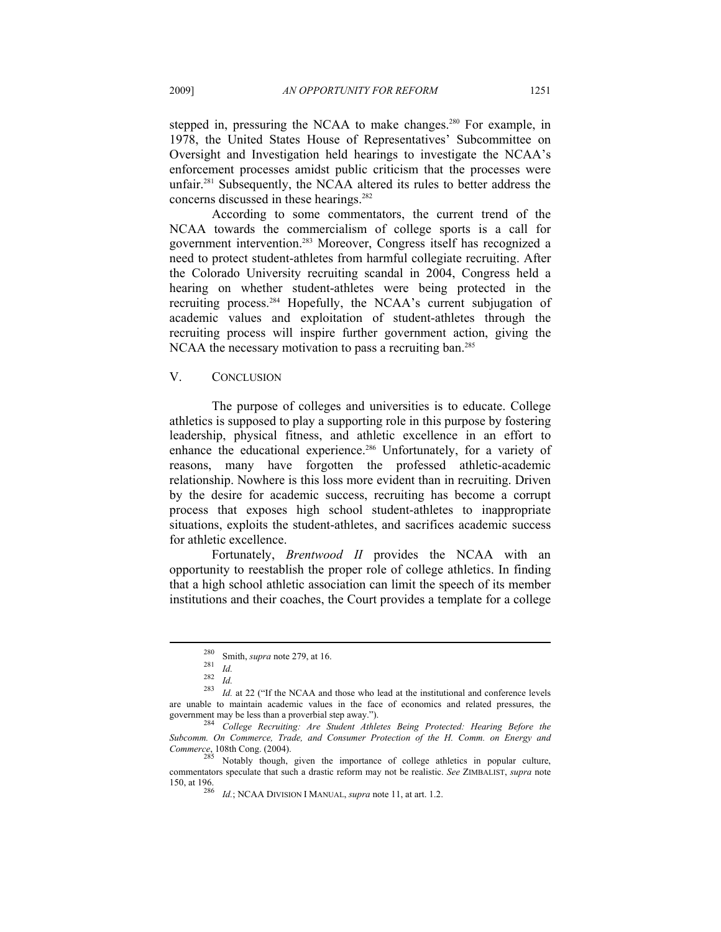stepped in, pressuring the NCAA to make changes.<sup>280</sup> For example, in 1978, the United States House of Representatives' Subcommittee on Oversight and Investigation held hearings to investigate the NCAA's enforcement processes amidst public criticism that the processes were unfair.281 Subsequently, the NCAA altered its rules to better address the concerns discussed in these hearings.<sup>282</sup>

According to some commentators, the current trend of the NCAA towards the commercialism of college sports is a call for government intervention.283 Moreover, Congress itself has recognized a need to protect student-athletes from harmful collegiate recruiting. After the Colorado University recruiting scandal in 2004, Congress held a hearing on whether student-athletes were being protected in the recruiting process.284 Hopefully, the NCAA's current subjugation of academic values and exploitation of student-athletes through the recruiting process will inspire further government action, giving the NCAA the necessary motivation to pass a recruiting ban.<sup>285</sup>

# V. CONCLUSION

The purpose of colleges and universities is to educate. College athletics is supposed to play a supporting role in this purpose by fostering leadership, physical fitness, and athletic excellence in an effort to enhance the educational experience.<sup>286</sup> Unfortunately, for a variety of reasons, many have forgotten the professed athletic-academic relationship. Nowhere is this loss more evident than in recruiting. Driven by the desire for academic success, recruiting has become a corrupt process that exposes high school student-athletes to inappropriate situations, exploits the student-athletes, and sacrifices academic success for athletic excellence.

Fortunately, *Brentwood II* provides the NCAA with an opportunity to reestablish the proper role of college athletics. In finding that a high school athletic association can limit the speech of its member institutions and their coaches, the Court provides a template for a college

<sup>&</sup>lt;sup>280</sup> Smith, *supra* note 279, at 16.<br>
<sup>281</sup> *Id.*<br>
<sup>282</sup> *Id.* 283<br> *Id.* at 22 ("If the NCAA and those who lead at the institutional and conference levels are unable to maintain academic values in the face of economics and related pressures, the government may be less than a proverbial step away."). 284 *College Recruiting: Are Student Athletes Being Protected: Hearing Before the* 

*Subcomm. On Commerce, Trade, and Consumer Protection of the H. Comm. on Energy and Commerce*, 108th Cong. (2004).

<sup>&</sup>lt;sup>285</sup> Notably though, given the importance of college athletics in popular culture, commentators speculate that such a drastic reform may not be realistic. *See* ZIMBALIST, *supra* note

*Id.*; NCAA DIVISION I MANUAL, *supra* note 11, at art. 1.2.